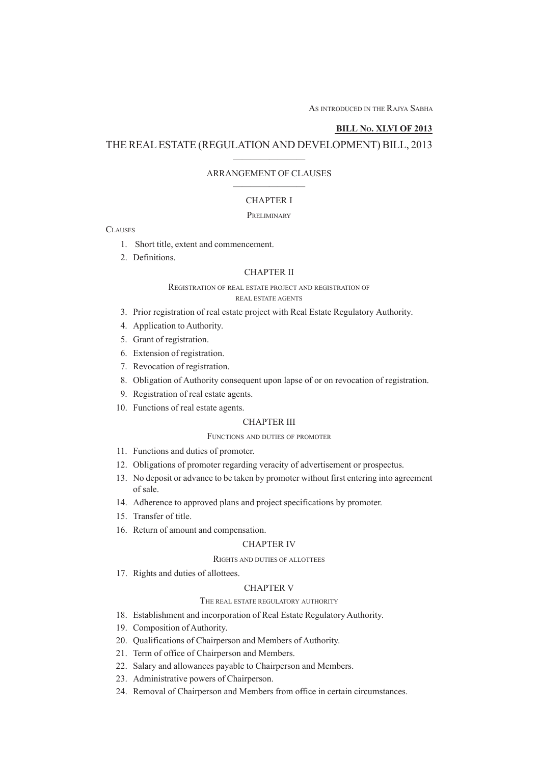AS INTRODUCED IN THE RAJYA SABHA

## **BILL NO. XLVI OF 2013**

# THE REAL ESTATE (REGULATION AND DEVELOPMENT) BILL, 2013 ————————

# ARRANGEMENT OF CLAUSES ————————

## CHAPTER I

#### PRELIMINARY

## **CLAUSES**

- 1. Short title, extent and commencement.
- 2. Definitions.

## CHAPTER II

#### REGISTRATION OF REAL ESTATE PROJECT AND REGISTRATION OF REAL ESTATE AGENTS

- 3. Prior registration of real estate project with Real Estate Regulatory Authority.
- 4. Application to Authority.
- 5. Grant of registration.
- 6. Extension of registration.
- 7. Revocation of registration.
- 8. Obligation of Authority consequent upon lapse of or on revocation of registration.
- 9. Registration of real estate agents.
- 10. Functions of real estate agents.

## CHAPTER III

## FUNCTIONS AND DUTIES OF PROMOTER

- 11. Functions and duties of promoter.
- 12. Obligations of promoter regarding veracity of advertisement or prospectus.
- 13. No deposit or advance to be taken by promoter without first entering into agreement of sale.
- 14. Adherence to approved plans and project specifications by promoter.
- 15. Transfer of title.
- 16. Return of amount and compensation.

## CHAPTER IV

## RIGHTS AND DUTIES OF ALLOTTEES

17. Rights and duties of allottees.

#### CHAPTER V

#### THE REAL ESTATE REGULATORY AUTHORITY

- 18. Establishment and incorporation of Real Estate Regulatory Authority.
- 19. Composition of Authority.
- 20. Qualifications of Chairperson and Members of Authority.
- 21. Term of office of Chairperson and Members.
- 22. Salary and allowances payable to Chairperson and Members.
- 23. Administrative powers of Chairperson.
- 24. Removal of Chairperson and Members from office in certain circumstances.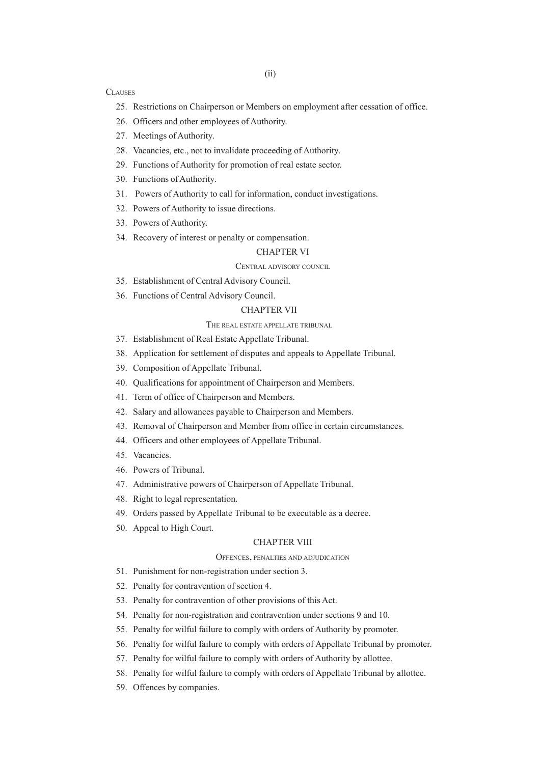**CLAUSES** 

- 25. Restrictions on Chairperson or Members on employment after cessation of office.
- 26. Officers and other employees of Authority.
- 27. Meetings of Authority.
- 28. Vacancies, etc., not to invalidate proceeding of Authority.
- 29. Functions of Authority for promotion of real estate sector.
- 30. Functions of Authority.
- 31. Powers of Authority to call for information, conduct investigations.
- 32. Powers of Authority to issue directions.
- 33. Powers of Authority.
- 34. Recovery of interest or penalty or compensation.

#### CHAPTER VI

#### CENTRAL ADVISORY COUNCIL

- 35. Establishment of Central Advisory Council.
- 36. Functions of Central Advisory Council.

### CHAPTER VII

## THE REAL ESTATE APPELLATE TRIBUNAL

- 37. Establishment of Real Estate Appellate Tribunal.
- 38. Application for settlement of disputes and appeals to Appellate Tribunal.
- 39. Composition of Appellate Tribunal.
- 40. Qualifications for appointment of Chairperson and Members.
- 41. Term of office of Chairperson and Members.
- 42. Salary and allowances payable to Chairperson and Members.
- 43. Removal of Chairperson and Member from office in certain circumstances.
- 44. Officers and other employees of Appellate Tribunal.
- 45. Vacancies.
- 46. Powers of Tribunal.
- 47. Administrative powers of Chairperson of Appellate Tribunal.
- 48. Right to legal representation.
- 49. Orders passed by Appellate Tribunal to be executable as a decree.
- 50. Appeal to High Court.

#### CHAPTER VIII

#### OFFENCES, PENALTIES AND ADJUDICATION

- 51. Punishment for non-registration under section 3.
- 52. Penalty for contravention of section 4.
- 53. Penalty for contravention of other provisions of this Act.
- 54. Penalty for non-registration and contravention under sections 9 and 10.
- 55. Penalty for wilful failure to comply with orders of Authority by promoter.
- 56. Penalty for wilful failure to comply with orders of Appellate Tribunal by promoter.
- 57. Penalty for wilful failure to comply with orders of Authority by allottee.
- 58. Penalty for wilful failure to comply with orders of Appellate Tribunal by allottee.
- 59. Offences by companies.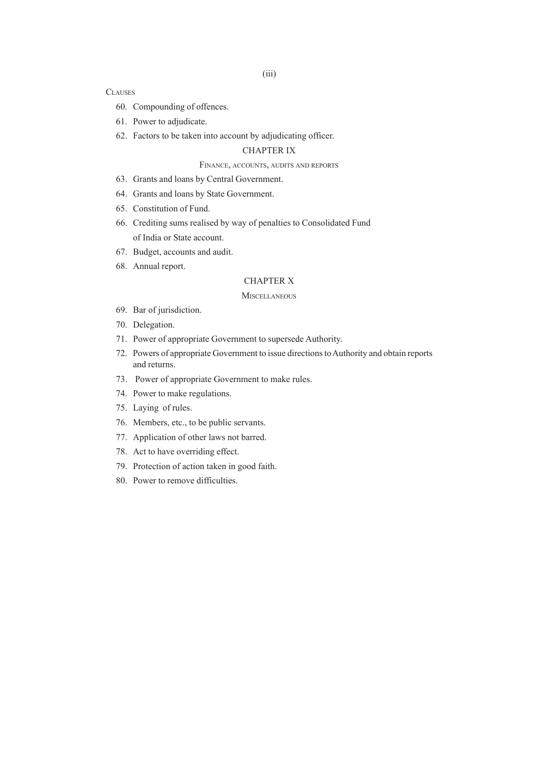## **CLAUSES**

- 60. Compounding of offences.
- 61. Power to adjudicate.
- 62. Factors to be taken into account by adjudicating officer.

# CHAPTER IX

## FINANCE, ACCOUNTS, AUDITS AND REPORTS

- 63. Grants and loans by Central Government.
- 64. Grants and loans by State Government.
- 65. Constitution of Fund.
- 66. Crediting sums realised by way of penalties to Consolidated Fund of India or State account.
- 67. Budget, accounts and audit.
- 68. Annual report.

## CHAPTER X

#### **MISCELLANEOUS**

- 69. Bar of jurisdiction.
- 70. Delegation.
- 71. Power of appropriate Government to supersede Authority.
- 72. Powers of appropriate Government to issue directions to Authority and obtain reports and returns.
- 73. Power of appropriate Government to make rules.
- 74. Power to make regulations.
- 75. Laying of rules.
- 76. Members, etc., to be public servants.
- 77. Application of other laws not barred.
- 78. Act to have overriding effect.
- 79. Protection of action taken in good faith.
- 80. Power to remove difficulties.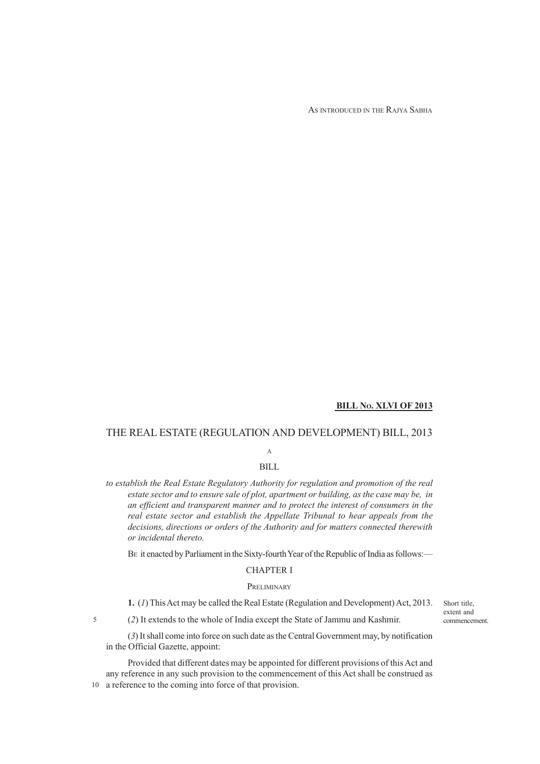AS INTRODUCED IN THE RAJYA SABHA

# **BILL NO. XLVI OF 2013**

# THE REAL ESTATE (REGULATION AND DEVELOPMENT) BILL, 2013

# A

## BILL

*to establish the Real Estate Regulatory Authority for regulation and promotion of the real estate sector and to ensure sale of plot, apartment or building, as the case may be, in an efficient and transparent manner and to protect the interest of consumers in the real estate sector and establish the Appellate Tribunal to hear appeals from the decisions, directions or orders of the Authority and for matters connected therewith or incidental thereto.*

BE it enacted by Parliament in the Sixty-fourth Year of the Republic of India as follows:—

### CHAPTER I

#### **PRELIMINARY**

**1.** (*1*) This Act may be called the Real Estate (Regulation and Development) Act, 2013.

(*2*) It extends to the whole of India except the State of Jammu and Kashmir.

5

(*3*) It shall come into force on such date as the Central Government may, by notification in the Official Gazette, appoint:

Provided that different dates may be appointed for different provisions of this Act and any reference in any such provision to the commencement of this Act shall be construed as 10 a reference to the coming into force of that provision.

Short title, extent and commencement.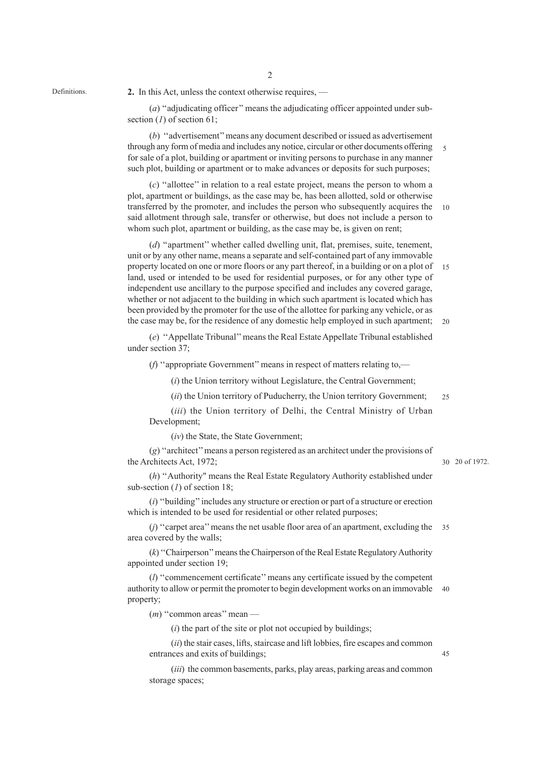Definitions.

2

**2.** In this Act, unless the context otherwise requires, —

(*a*) ''adjudicating officer'' means the adjudicating officer appointed under subsection (*1*) of section 61;

(*b*) ''advertisement'' means any document described or issued as advertisement through any form of media and includes any notice, circular or other documents offering for sale of a plot, building or apartment or inviting persons to purchase in any manner such plot, building or apartment or to make advances or deposits for such purposes; 5

(*c*) ''allottee'' in relation to a real estate project, means the person to whom a plot, apartment or buildings, as the case may be, has been allotted, sold or otherwise transferred by the promoter, and includes the person who subsequently acquires the said allotment through sale, transfer or otherwise, but does not include a person to whom such plot, apartment or building, as the case may be, is given on rent;  $1<sub>0</sub>$ 

(*d*) ''apartment'' whether called dwelling unit, flat, premises, suite, tenement, unit or by any other name, means a separate and self-contained part of any immovable property located on one or more floors or any part thereof, in a building or on a plot of land, used or intended to be used for residential purposes, or for any other type of independent use ancillary to the purpose specified and includes any covered garage, whether or not adjacent to the building in which such apartment is located which has been provided by the promoter for the use of the allottee for parking any vehicle, or as the case may be, for the residence of any domestic help employed in such apartment; 20 15

(*e*) ''Appellate Tribunal'' means the Real Estate Appellate Tribunal established under section 37;

(*f*) ''appropriate Government'' means in respect of matters relating to,—

(*i*) the Union territory without Legislature, the Central Government;

(*ii*) the Union territory of Puducherry, the Union territory Government;  $25$ 

(*iii*) the Union territory of Delhi, the Central Ministry of Urban Development;

(*iv*) the State, the State Government;

(*g*) ''architect'' means a person registered as an architect under the provisions of the Architects Act, 1972;

20 of 1972. 30

(*h*) ''Authority" means the Real Estate Regulatory Authority established under sub-section (*1*) of section 18;

(*i*) ''building'' includes any structure or erection or part of a structure or erection which is intended to be used for residential or other related purposes:

(*j*) ''carpet area'' means the net usable floor area of an apartment, excluding the 35 area covered by the walls;

(*k*) ''Chairperson'' means the Chairperson of the Real Estate Regulatory Authority appointed under section 19;

(*l*) ''commencement certificate'' means any certificate issued by the competent authority to allow or permit the promoter to begin development works on an immovable property; 40

(*m*) "common areas" mean —

(*i*) the part of the site or plot not occupied by buildings;

(*ii*) the stair cases, lifts, staircase and lift lobbies, fire escapes and common entrances and exits of buildings;

(*iii*) the common basements, parks, play areas, parking areas and common storage spaces;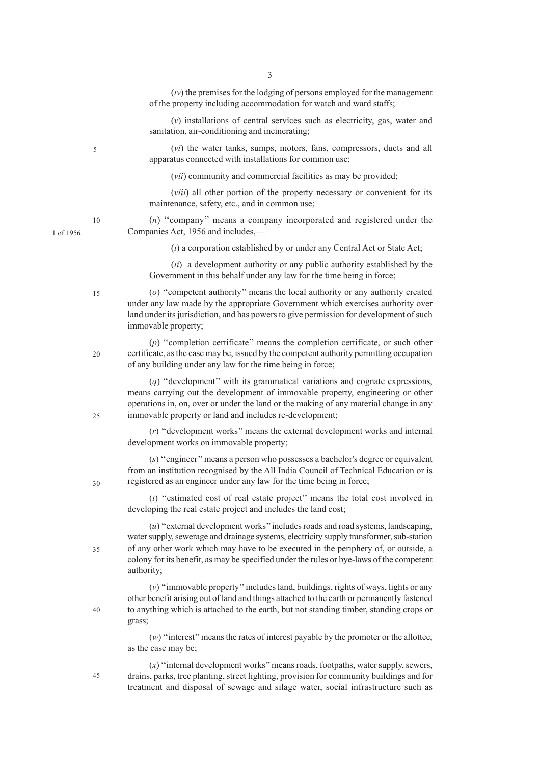(*iv*) the premises for the lodging of persons employed for the management of the property including accommodation for watch and ward staffs;

(*v*) installations of central services such as electricity, gas, water and sanitation, air-conditioning and incinerating;

(*vi*) the water tanks, sumps, motors, fans, compressors, ducts and all apparatus connected with installations for common use;

(*vii*) community and commercial facilities as may be provided;

(*viii*) all other portion of the property necessary or convenient for its maintenance, safety, etc., and in common use;

(*n*) ''company'' means a company incorporated and registered under the Companies Act, 1956 and includes,—

(*i*) a corporation established by or under any Central Act or State Act;

(*ii*) a development authority or any public authority established by the Government in this behalf under any law for the time being in force;

(*o*) ''competent authority'' means the local authority or any authority created under any law made by the appropriate Government which exercises authority over land under its jurisdiction, and has powers to give permission for development of such immovable property;

(*p*) ''completion certificate'' means the completion certificate, or such other certificate, as the case may be, issued by the competent authority permitting occupation of any building under any law for the time being in force;

(*q*) ''development'' with its grammatical variations and cognate expressions, means carrying out the development of immovable property, engineering or other operations in, on, over or under the land or the making of any material change in any immovable property or land and includes re-development;

(*r*) ''development works'' means the external development works and internal development works on immovable property;

(*s*) ''engineer'' means a person who possesses a bachelor's degree or equivalent from an institution recognised by the All India Council of Technical Education or is registered as an engineer under any law for the time being in force;

(*t*) ''estimated cost of real estate project'' means the total cost involved in developing the real estate project and includes the land cost;

(*u*) ''external development works'' includes roads and road systems, landscaping, water supply, sewerage and drainage systems, electricity supply transformer, sub-station of any other work which may have to be executed in the periphery of, or outside, a colony for its benefit, as may be specified under the rules or bye-laws of the competent authority;

(*v*) ''immovable property'' includes land, buildings, rights of ways, lights or any other benefit arising out of land and things attached to the earth or permanently fastened to anything which is attached to the earth, but not standing timber, standing crops or grass;

(*w*) ''interest'' means the rates of interest payable by the promoter or the allottee, as the case may be;

(*x*) ''internal development works'' means roads, footpaths, water supply, sewers, drains, parks, tree planting, street lighting, provision for community buildings and for treatment and disposal of sewage and silage water, social infrastructure such as

10

5

1 of 1956.

15

20

25

30

40

35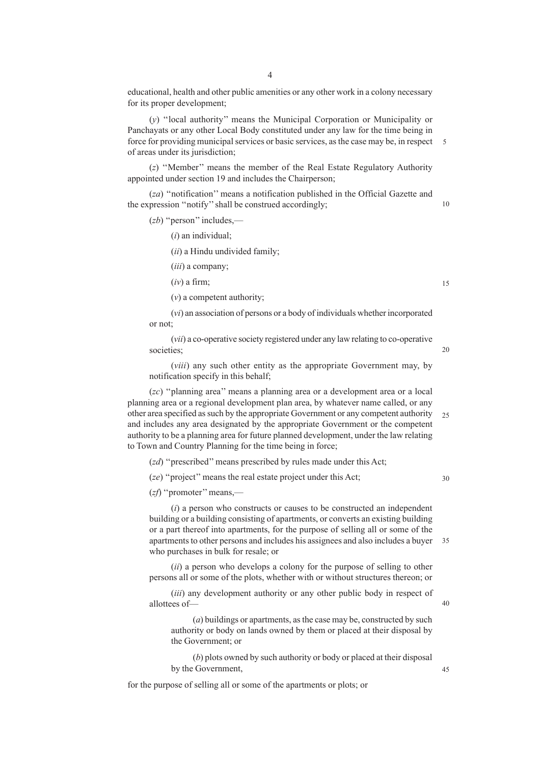educational, health and other public amenities or any other work in a colony necessary for its proper development;

(*y*) ''local authority'' means the Municipal Corporation or Municipality or Panchayats or any other Local Body constituted under any law for the time being in force for providing municipal services or basic services, as the case may be, in respect of areas under its jurisdiction;

(*z*) ''Member'' means the member of the Real Estate Regulatory Authority appointed under section 19 and includes the Chairperson;

(*za*) ''notification'' means a notification published in the Official Gazette and the expression ''notify'' shall be construed accordingly;

(*zb*) ''person'' includes,—

(*i*) an individual;

(*ii*) a Hindu undivided family;

(*iii*) a company;

(*iv*) a firm;

(*v*) a competent authority;

(*vi*) an association of persons or a body of individuals whether incorporated or not;

(*vii*) a co-operative society registered under any law relating to co-operative societies;

(*viii*) any such other entity as the appropriate Government may, by notification specify in this behalf;

(*zc*) ''planning area'' means a planning area or a development area or a local planning area or a regional development plan area, by whatever name called, or any other area specified as such by the appropriate Government or any competent authority and includes any area designated by the appropriate Government or the competent authority to be a planning area for future planned development, under the law relating to Town and Country Planning for the time being in force;  $25$ 

(*zd*) ''prescribed'' means prescribed by rules made under this Act;

(*ze*) ''project'' means the real estate project under this Act;

30

(*zf*) ''promoter'' means,—

(*i*) a person who constructs or causes to be constructed an independent building or a building consisting of apartments, or converts an existing building or a part thereof into apartments, for the purpose of selling all or some of the apartments to other persons and includes his assignees and also includes a buyer who purchases in bulk for resale; or 35

(*ii*) a person who develops a colony for the purpose of selling to other persons all or some of the plots, whether with or without structures thereon; or

(*iii*) any development authority or any other public body in respect of allottees of—

(*a*) buildings or apartments, as the case may be, constructed by such authority or body on lands owned by them or placed at their disposal by the Government; or

(*b*) plots owned by such authority or body or placed at their disposal by the Government,

for the purpose of selling all or some of the apartments or plots; or

20

15

5

10

40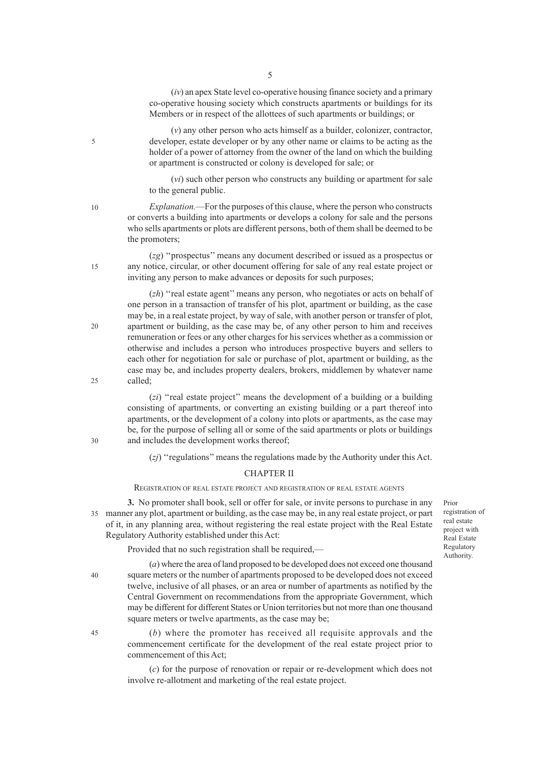Members or in respect of the allottees of such apartments or buildings; or

(*v*) any other person who acts himself as a builder, colonizer, contractor, developer, estate developer or by any other name or claims to be acting as the holder of a power of attorney from the owner of the land on which the building or apartment is constructed or colony is developed for sale; or

(*iv*) an apex State level co-operative housing finance society and a primary co-operative housing society which constructs apartments or buildings for its

(*vi*) such other person who constructs any building or apartment for sale to the general public.

10

 $15$ 

 $20$ 

5

*Explanation.*—For the purposes of this clause, where the person who constructs or converts a building into apartments or develops a colony for sale and the persons who sells apartments or plots are different persons, both of them shall be deemed to be the promoters;

(*zg*) ''prospectus'' means any document described or issued as a prospectus or any notice, circular, or other document offering for sale of any real estate project or inviting any person to make advances or deposits for such purposes;

(*zh*) ''real estate agent'' means any person, who negotiates or acts on behalf of one person in a transaction of transfer of his plot, apartment or building, as the case may be, in a real estate project, by way of sale, with another person or transfer of plot, apartment or building, as the case may be, of any other person to him and receives remuneration or fees or any other charges for his services whether as a commission or otherwise and includes a person who introduces prospective buyers and sellers to each other for negotiation for sale or purchase of plot, apartment or building, as the case may be, and includes property dealers, brokers, middlemen by whatever name called;

(*zi*) ''real estate project'' means the development of a building or a building consisting of apartments, or converting an existing building or a part thereof into apartments, or the development of a colony into plots or apartments, as the case may be, for the purpose of selling all or some of the said apartments or plots or buildings and includes the development works thereof;

(*zj*) ''regulations'' means the regulations made by the Authority under this Act.

#### CHAPTER II

REGISTRATION OF REAL ESTATE PROJECT AND REGISTRATION OF REAL ESTATE AGENTS

**3.** No promoter shall book, sell or offer for sale, or invite persons to purchase in any manner any plot, apartment or building, as the case may be, in any real estate project, or part 35 of it, in any planning area, without registering the real estate project with the Real Estate Regulatory Authority established under this Act:

Prior registration of real estate project with Real Estate Regulatory Authority.

Provided that no such registration shall be required,—

(*a*) where the area of land proposed to be developed does not exceed one thousand square meters or the number of apartments proposed to be developed does not exceed twelve, inclusive of all phases, or an area or number of apartments as notified by the Central Government on recommendations from the appropriate Government, which may be different for different States or Union territories but not more than one thousand square meters or twelve apartments, as the case may be;

(*b*) where the promoter has received all requisite approvals and the commencement certificate for the development of the real estate project prior to commencement of this Act;

(*c*) for the purpose of renovation or repair or re-development which does not involve re-allotment and marketing of the real estate project.

 $25$ 

30

45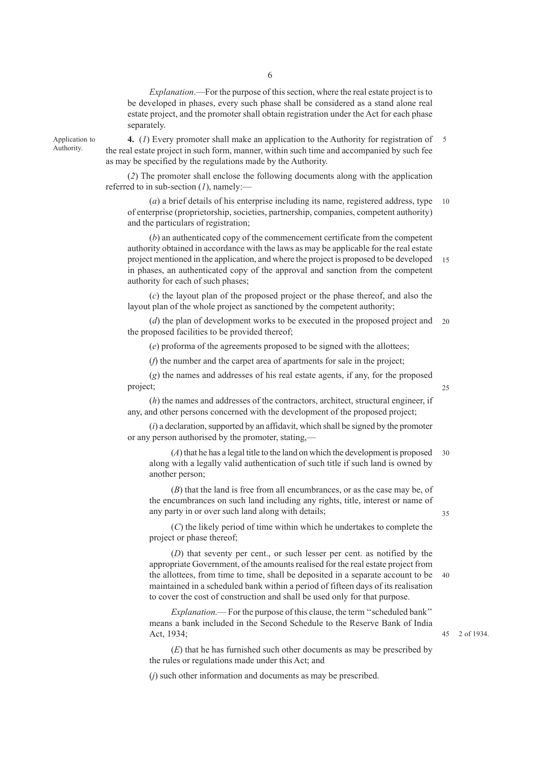*Explanation*.—For the purpose of this section, where the real estate project is to be developed in phases, every such phase shall be considered as a stand alone real estate project, and the promoter shall obtain registration under the Act for each phase separately.

**4.** (*1*) Every promoter shall make an application to the Authority for registration of the real estate project in such form, manner, within such time and accompanied by such fee as may be specified by the regulations made by the Authority. 5

Application to Authority.

> (*2*) The promoter shall enclose the following documents along with the application referred to in sub-section (*1*), namely:—

(*a*) a brief details of his enterprise including its name, registered address, type of enterprise (proprietorship, societies, partnership, companies, competent authority) and the particulars of registration; 10

(*b*) an authenticated copy of the commencement certificate from the competent authority obtained in accordance with the laws as may be applicable for the real estate project mentioned in the application, and where the project is proposed to be developed in phases, an authenticated copy of the approval and sanction from the competent authority for each of such phases; 15

(*c*) the layout plan of the proposed project or the phase thereof, and also the layout plan of the whole project as sanctioned by the competent authority;

(*d*) the plan of development works to be executed in the proposed project and the proposed facilities to be provided thereof; 20

(*e*) proforma of the agreements proposed to be signed with the allottees;

(*f*) the number and the carpet area of apartments for sale in the project;

(*g*) the names and addresses of his real estate agents, if any, for the proposed project;

(*h*) the names and addresses of the contractors, architect, structural engineer, if any, and other persons concerned with the development of the proposed project;

(*i*) a declaration, supported by an affidavit, which shall be signed by the promoter or any person authorised by the promoter, stating,—

(*A*) that he has a legal title to the land on which the development is proposed 30 along with a legally valid authentication of such title if such land is owned by another person;

(*B*) that the land is free from all encumbrances, or as the case may be, of the encumbrances on such land including any rights, title, interest or name of any party in or over such land along with details;

(*C*) the likely period of time within which he undertakes to complete the project or phase thereof;

(*D*) that seventy per cent., or such lesser per cent. as notified by the appropriate Government, of the amounts realised for the real estate project from the allottees, from time to time, shall be deposited in a separate account to be maintained in a scheduled bank within a period of fifteen days of its realisation to cover the cost of construction and shall be used only for that purpose. 40

*Explanation*.— For the purpose of this clause, the term ''scheduled bank'' means a bank included in the Second Schedule to the Reserve Bank of India Act, 1934;

(*E*) that he has furnished such other documents as may be prescribed by the rules or regulations made under this Act; and

(*j*) such other information and documents as may be prescribed.

2 of 1934. 45

 $25$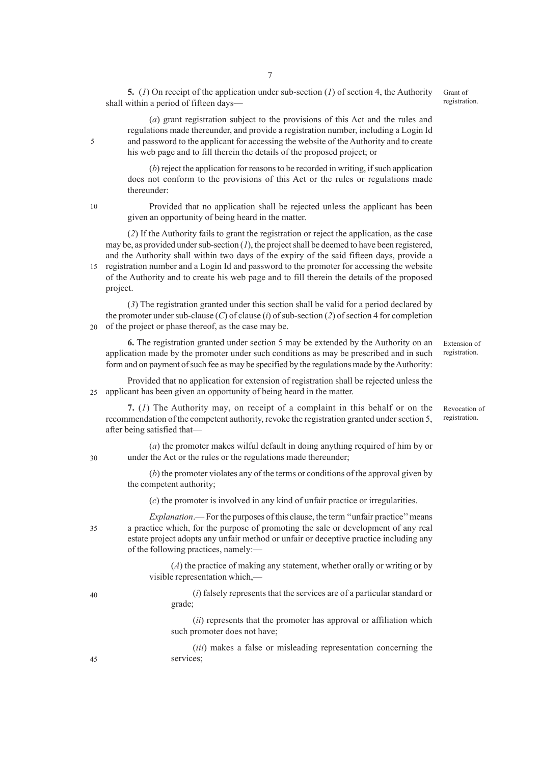**5.** (*1*) On receipt of the application under sub-section (*1*) of section 4, the Authority shall within a period of fifteen daysGrant of registration.

(*a*) grant registration subject to the provisions of this Act and the rules and regulations made thereunder, and provide a registration number, including a Login Id and password to the applicant for accessing the website of the Authority and to create his web page and to fill therein the details of the proposed project; or

(*b*) reject the application for reasons to be recorded in writing, if such application does not conform to the provisions of this Act or the rules or regulations made thereunder:

10

5

Provided that no application shall be rejected unless the applicant has been given an opportunity of being heard in the matter.

(*2*) If the Authority fails to grant the registration or reject the application, as the case may be, as provided under sub-section (*1*), the project shall be deemed to have been registered, and the Authority shall within two days of the expiry of the said fifteen days, provide a registration number and a Login Id and password to the promoter for accessing the website of the Authority and to create his web page and to fill therein the details of the proposed project. 15

(*3*) The registration granted under this section shall be valid for a period declared by the promoter under sub-clause (*C*) of clause (*i*) of sub-section (*2*) of section 4 for completion of the project or phase thereof, as the case may be. 20

**6.** The registration granted under section 5 may be extended by the Authority on an application made by the promoter under such conditions as may be prescribed and in such form and on payment of such fee as may be specified by the regulations made by the Authority:

Extension of registration.

Provided that no application for extension of registration shall be rejected unless the applicant has been given an opportunity of being heard in the matter. 25

**7.** (*1*) The Authority may, on receipt of a complaint in this behalf or on the recommendation of the competent authority, revoke the registration granted under section 5, after being satisfied that— Revocation of registration.

(*a*) the promoter makes wilful default in doing anything required of him by or under the Act or the rules or the regulations made thereunder;

(*b*) the promoter violates any of the terms or conditions of the approval given by the competent authority;

(*c*) the promoter is involved in any kind of unfair practice or irregularities.

*Explanation*.— For the purposes of this clause, the term ''unfair practice'' means a practice which, for the purpose of promoting the sale or development of any real estate project adopts any unfair method or unfair or deceptive practice including any of the following practices, namely:—

> (*A*) the practice of making any statement, whether orally or writing or by visible representation which,—

(*i*) falsely represents that the services are of a particular standard or grade;

(*ii*) represents that the promoter has approval or affiliation which such promoter does not have;

(*iii*) makes a false or misleading representation concerning the services;

30

35

40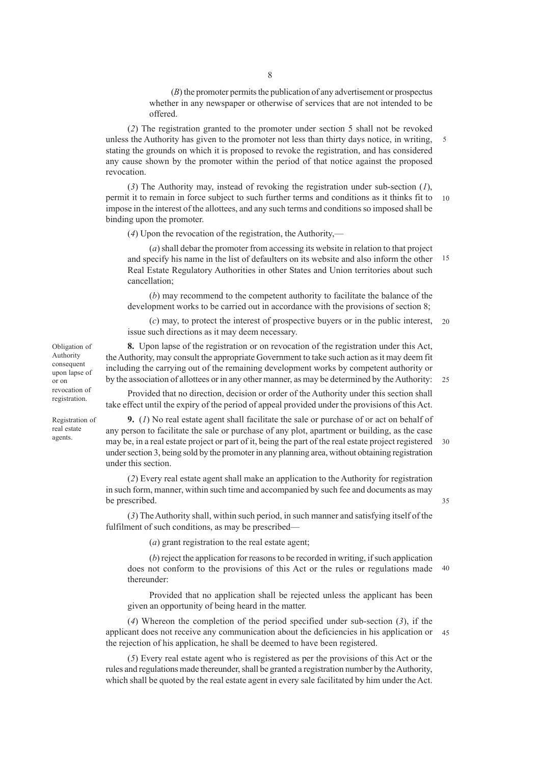(*B*) the promoter permits the publication of any advertisement or prospectus whether in any newspaper or otherwise of services that are not intended to be offered.

(*2*) The registration granted to the promoter under section 5 shall not be revoked unless the Authority has given to the promoter not less than thirty days notice, in writing, stating the grounds on which it is proposed to revoke the registration, and has considered any cause shown by the promoter within the period of that notice against the proposed revocation. 5

(*3*) The Authority may, instead of revoking the registration under sub-section (*1*), permit it to remain in force subject to such further terms and conditions as it thinks fit to impose in the interest of the allottees, and any such terms and conditions so imposed shall be binding upon the promoter. 10

(*4*) Upon the revocation of the registration, the Authority,—

(*a*) shall debar the promoter from accessing its website in relation to that project and specify his name in the list of defaulters on its website and also inform the other Real Estate Regulatory Authorities in other States and Union territories about such cancellation; 15

(*b*) may recommend to the competent authority to facilitate the balance of the development works to be carried out in accordance with the provisions of section 8;

(*c*) may, to protect the interest of prospective buyers or in the public interest, 20 issue such directions as it may deem necessary.

**8.** Upon lapse of the registration or on revocation of the registration under this Act, the Authority, may consult the appropriate Government to take such action as it may deem fit including the carrying out of the remaining development works by competent authority or by the association of allottees or in any other manner, as may be determined by the Authority: 25

Provided that no direction, decision or order of the Authority under this section shall take effect until the expiry of the period of appeal provided under the provisions of this Act.

**9.** (*1*) No real estate agent shall facilitate the sale or purchase of or act on behalf of any person to facilitate the sale or purchase of any plot, apartment or building, as the case may be, in a real estate project or part of it, being the part of the real estate project registered 30 under section 3, being sold by the promoter in any planning area, without obtaining registration under this section.

(*2*) Every real estate agent shall make an application to the Authority for registration in such form, manner, within such time and accompanied by such fee and documents as may be prescribed.

(*3*) The Authority shall, within such period, in such manner and satisfying itself of the fulfilment of such conditions, as may be prescribed-

(*a*) grant registration to the real estate agent;

(*b*) reject the application for reasons to be recorded in writing, if such application does not conform to the provisions of this Act or the rules or regulations made thereunder: 40

35

Provided that no application shall be rejected unless the applicant has been given an opportunity of being heard in the matter.

(*4*) Whereon the completion of the period specified under sub-section (*3*), if the applicant does not receive any communication about the deficiencies in his application or the rejection of his application, he shall be deemed to have been registered. 45

(*5*) Every real estate agent who is registered as per the provisions of this Act or the rules and regulations made thereunder, shall be granted a registration number by the Authority, which shall be quoted by the real estate agent in every sale facilitated by him under the Act.

Authority consequent upon lapse of or on revocation of registration.

Obligation of

Registration of real estate agents.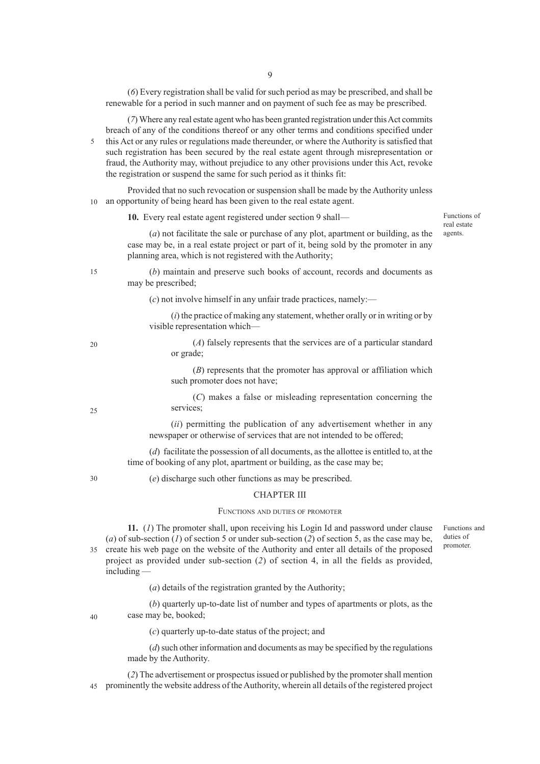(*6*) Every registration shall be valid for such period as may be prescribed, and shall be renewable for a period in such manner and on payment of such fee as may be prescribed.

(*7*) Where any real estate agent who has been granted registration under this Act commits breach of any of the conditions thereof or any other terms and conditions specified under this Act or any rules or regulations made thereunder, or where the Authority is satisfied that such registration has been secured by the real estate agent through misrepresentation or fraud, the Authority may, without prejudice to any other provisions under this Act, revoke the registration or suspend the same for such period as it thinks fit: 5

Provided that no such revocation or suspension shall be made by the Authority unless an opportunity of being heard has been given to the real estate agent. 10

**10.** Every real estate agent registered under section 9 shall—

Functions of real estate agents.

(*a*) not facilitate the sale or purchase of any plot, apartment or building, as the case may be, in a real estate project or part of it, being sold by the promoter in any planning area, which is not registered with the Authority;

15

20

 $25$ 

(*b*) maintain and preserve such books of account, records and documents as may be prescribed;

(*c*) not involve himself in any unfair trade practices, namely:—

(*i*) the practice of making any statement, whether orally or in writing or by visible representation which—

(*A*) falsely represents that the services are of a particular standard or grade;

(*B*) represents that the promoter has approval or affiliation which such promoter does not have;

(*C*) makes a false or misleading representation concerning the services;

(*ii*) permitting the publication of any advertisement whether in any newspaper or otherwise of services that are not intended to be offered;

(*d*) facilitate the possession of all documents, as the allottee is entitled to, at the time of booking of any plot, apartment or building, as the case may be;

30

40

(*e*) discharge such other functions as may be prescribed.

## CHAPTER III

#### FUNCTIONS AND DUTIES OF PROMOTER

**11.** (*1*) The promoter shall, upon receiving his Login Id and password under clause (*a*) of sub-section (*l*) of section 5 or under sub-section (*2*) of section 5, as the case may be, create his web page on the website of the Authority and enter all details of the proposed 35 project as provided under sub-section (*2*) of section 4, in all the fields as provided, including —

Functions and duties of promoter.

(*a*) details of the registration granted by the Authority;

(*b*) quarterly up-to-date list of number and types of apartments or plots, as the case may be, booked;

(*c*) quarterly up-to-date status of the project; and

(*d*) such other information and documents as may be specified by the regulations made by the Authority.

(*2*) The advertisement or prospectus issued or published by the promoter shall mention prominently the website address of the Authority, wherein all details of the registered project 45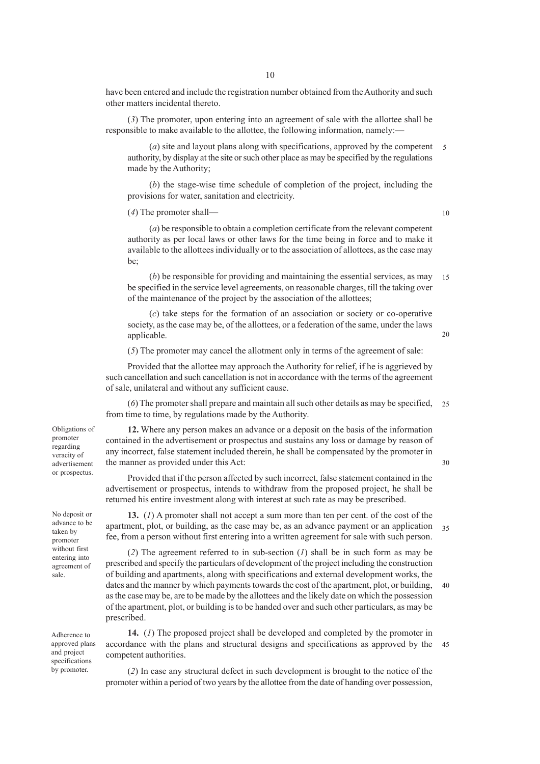have been entered and include the registration number obtained from the Authority and such other matters incidental thereto.

10

(*3*) The promoter, upon entering into an agreement of sale with the allottee shall be responsible to make available to the allottee, the following information, namely:—

(*a*) site and layout plans along with specifications, approved by the competent 5 authority, by display at the site or such other place as may be specified by the regulations made by the Authority;

(*b*) the stage-wise time schedule of completion of the project, including the provisions for water, sanitation and electricity.

(*4*) The promoter shall—

10

20

30

(*a*) be responsible to obtain a completion certificate from the relevant competent authority as per local laws or other laws for the time being in force and to make it available to the allottees individually or to the association of allottees, as the case may be;

(*b*) be responsible for providing and maintaining the essential services, as may be specified in the service level agreements, on reasonable charges, till the taking over of the maintenance of the project by the association of the allottees; 15

(*c*) take steps for the formation of an association or society or co-operative society, as the case may be, of the allottees, or a federation of the same, under the laws applicable.

(*5*) The promoter may cancel the allotment only in terms of the agreement of sale:

Provided that the allottee may approach the Authority for relief, if he is aggrieved by such cancellation and such cancellation is not in accordance with the terms of the agreement of sale, unilateral and without any sufficient cause.

(*6*) The promoter shall prepare and maintain all such other details as may be specified, 25 from time to time, by regulations made by the Authority.

**12.** Where any person makes an advance or a deposit on the basis of the information contained in the advertisement or prospectus and sustains any loss or damage by reason of any incorrect, false statement included therein, he shall be compensated by the promoter in the manner as provided under this Act:

Provided that if the person affected by such incorrect, false statement contained in the advertisement or prospectus, intends to withdraw from the proposed project, he shall be returned his entire investment along with interest at such rate as may be prescribed.

No deposit or advance to be taken by promoter without first entering into agreement of sale.

Adherence to approved plans and project specifications by promoter.

**13.** (*1*) A promoter shall not accept a sum more than ten per cent. of the cost of the apartment, plot, or building, as the case may be, as an advance payment or an application fee, from a person without first entering into a written agreement for sale with such person. 35

(*2*) The agreement referred to in sub-section (*1*) shall be in such form as may be prescribed and specify the particulars of development of the project including the construction of building and apartments, along with specifications and external development works, the dates and the manner by which payments towards the cost of the apartment, plot, or building, as the case may be, are to be made by the allottees and the likely date on which the possession of the apartment, plot, or building is to be handed over and such other particulars, as may be prescribed. 40

**14.** (*1*) The proposed project shall be developed and completed by the promoter in accordance with the plans and structural designs and specifications as approved by the 45competent authorities.

(*2*) In case any structural defect in such development is brought to the notice of the promoter within a period of two years by the allottee from the date of handing over possession,

Obligations of promoter regarding veracity of advertisement or prospectus.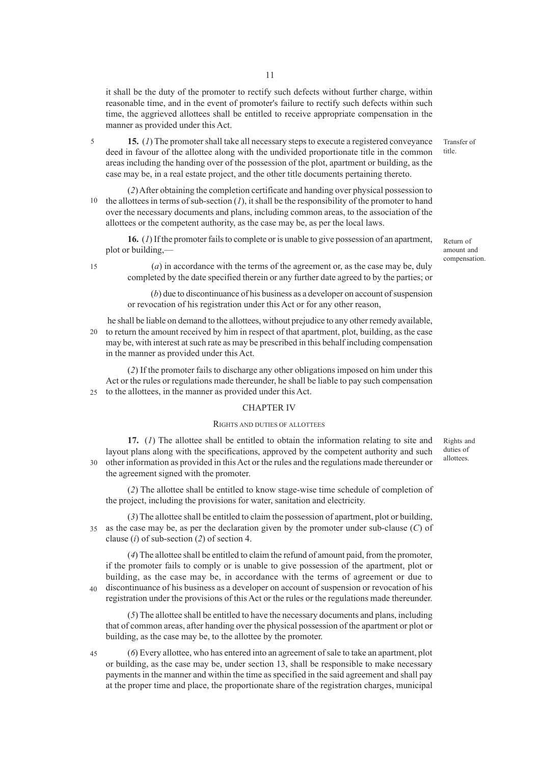it shall be the duty of the promoter to rectify such defects without further charge, within reasonable time, and in the event of promoter's failure to rectify such defects within such time, the aggrieved allottees shall be entitled to receive appropriate compensation in the manner as provided under this Act.

**15.** (*1*) The promoter shall take all necessary steps to execute a registered conveyance deed in favour of the allottee along with the undivided proportionate title in the common areas including the handing over of the possession of the plot, apartment or building, as the case may be, in a real estate project, and the other title documents pertaining thereto.

(*2*) After obtaining the completion certificate and handing over physical possession to 10 the allottees in terms of sub-section  $(1)$ , it shall be the responsibility of the promoter to hand over the necessary documents and plans, including common areas, to the association of the allottees or the competent authority, as the case may be, as per the local laws.

**16.** (*1*) If the promoter fails to complete or is unable to give possession of an apartment, plot or building,—

Return of amount and compensation.

Transfer of title.

 (*a*) in accordance with the terms of the agreement or, as the case may be, duly completed by the date specified therein or any further date agreed to by the parties; or

 (*b*) due to discontinuance of his business as a developer on account of suspension or revocation of his registration under this Act or for any other reason,

 he shall be liable on demand to the allottees, without prejudice to any other remedy available, to return the amount received by him in respect of that apartment, plot, building, as the case may be, with interest at such rate as may be prescribed in this behalf including compensation in the manner as provided under this Act. 20

(*2*) If the promoter fails to discharge any other obligations imposed on him under this Act or the rules or regulations made thereunder, he shall be liable to pay such compensation to the allottees, in the manner as provided under this Act. 25

#### CHAPTER IV

#### RIGHTS AND DUTIES OF ALLOTTEES

**17.** (*1*) The allottee shall be entitled to obtain the information relating to site and layout plans along with the specifications, approved by the competent authority and such other information as provided in this Act or the rules and the regulations made thereunder or the agreement signed with the promoter. 30

(*2*) The allottee shall be entitled to know stage-wise time schedule of completion of the project, including the provisions for water, sanitation and electricity.

(*3*) The allottee shall be entitled to claim the possession of apartment, plot or building, as the case may be, as per the declaration given by the promoter under sub-clause (*C*) of clause (*i*) of sub-section (*2*) of section 4. 35

(*4*) The allottee shall be entitled to claim the refund of amount paid, from the promoter, if the promoter fails to comply or is unable to give possession of the apartment, plot or building, as the case may be, in accordance with the terms of agreement or due to discontinuance of his business as a developer on account of suspension or revocation of his registration under the provisions of this Act or the rules or the regulations made thereunder. 40

(*5*) The allottee shall be entitled to have the necessary documents and plans, including that of common areas, after handing over the physical possession of the apartment or plot or building, as the case may be, to the allottee by the promoter.

(*6*) Every allottee, who has entered into an agreement of sale to take an apartment, plot or building, as the case may be, under section 13, shall be responsible to make necessary payments in the manner and within the time as specified in the said agreement and shall pay at the proper time and place, the proportionate share of the registration charges, municipal 45

Rights and duties of allottees.

5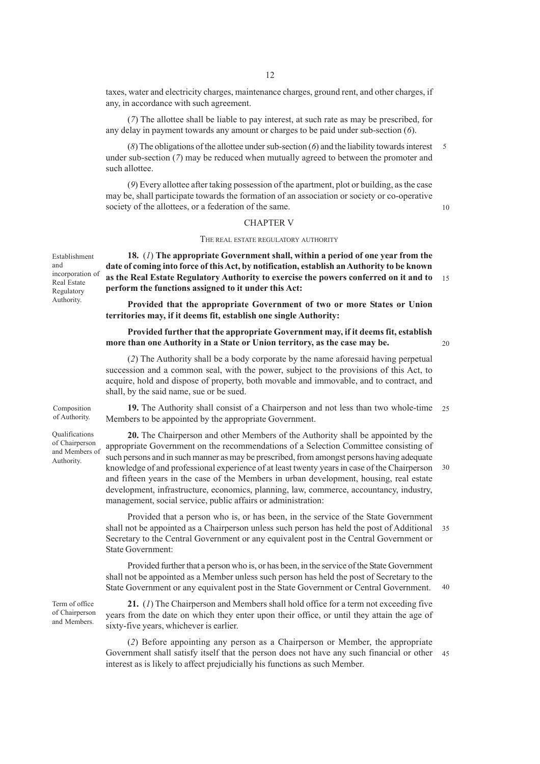taxes, water and electricity charges, maintenance charges, ground rent, and other charges, if any, in accordance with such agreement.

(*7*) The allottee shall be liable to pay interest, at such rate as may be prescribed, for any delay in payment towards any amount or charges to be paid under sub-section (*6*).

(*8*) The obligations of the allottee under sub-section (*6*) and the liability towards interest under sub-section (*7*) may be reduced when mutually agreed to between the promoter and such allottee. 5

(*9*) Every allottee after taking possession of the apartment, plot or building, as the case may be, shall participate towards the formation of an association or society or co-operative society of the allottees, or a federation of the same.

#### CHAPTER V

#### THE REAL ESTATE REGULATORY AUTHORITY

Establishment and incorporation of Real Estate Regulatory Authority.

**18.** (*1*) **The appropriate Government shall, within a period of one year from the date of coming into force of this Act, by notification, establish an Authority to be known as the Real Estate Regulatory Authority to exercise the powers conferred on it and to** 15 **perform the functions assigned to it under this Act:**

**Provided that the appropriate Government of two or more States or Union territories may, if it deems fit, establish one single Authority:**

## **Provided further that the appropriate Government may, if it deems fit, establish more than one Authority in a State or Union territory, as the case may be.**

20

10

(*2*) The Authority shall be a body corporate by the name aforesaid having perpetual succession and a common seal, with the power, subject to the provisions of this Act, to acquire, hold and dispose of property, both movable and immovable, and to contract, and shall, by the said name, sue or be sued.

**19.** The Authority shall consist of a Chairperson and not less than two whole-time Members to be appointed by the appropriate Government.  $25$ 

**20.** The Chairperson and other Members of the Authority shall be appointed by the appropriate Government on the recommendations of a Selection Committee consisting of such persons and in such manner as may be prescribed, from amongst persons having adequate knowledge of and professional experience of at least twenty years in case of the Chairperson and fifteen years in the case of the Members in urban development, housing, real estate development, infrastructure, economics, planning, law, commerce, accountancy, industry, management, social service, public affairs or administration: 30

Provided that a person who is, or has been, in the service of the State Government shall not be appointed as a Chairperson unless such person has held the post of Additional Secretary to the Central Government or any equivalent post in the Central Government or State Government: 35

Provided further that a person who is, or has been, in the service of the State Government shall not be appointed as a Member unless such person has held the post of Secretary to the State Government or any equivalent post in the State Government or Central Government.

**21.** (*1*) The Chairperson and Members shall hold office for a term not exceeding five years from the date on which they enter upon their office, or until they attain the age of sixty-five years, whichever is earlier.

(*2*) Before appointing any person as a Chairperson or Member, the appropriate Government shall satisfy itself that the person does not have any such financial or other interest as is likely to affect prejudicially his functions as such Member. 45

Composition of Authority.

Qualifications of Chairperson and Members of Authority.

Term of office of Chairperson and Members.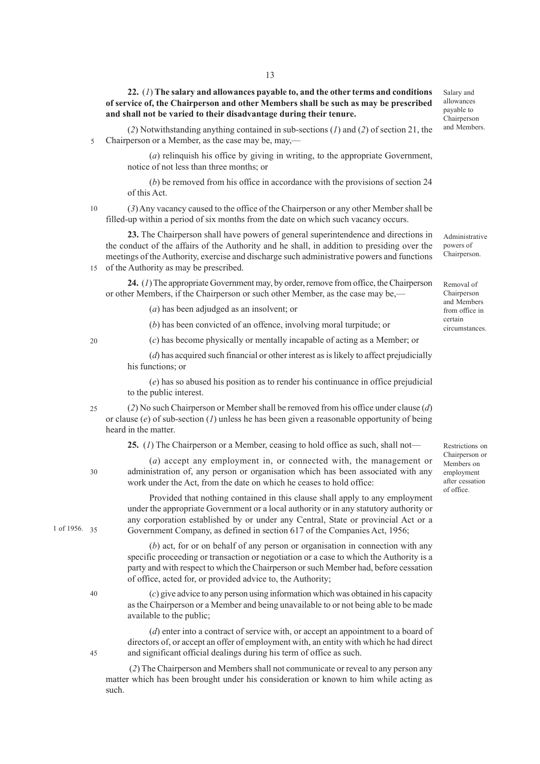**22.** (*1*) **The salary and allowances payable to, and the other terms and conditions of service of, the Chairperson and other Members shall be such as may be prescribed and shall not be varied to their disadvantage during their tenure.**

(*2*) Notwithstanding anything contained in sub-sections (*1*) and (*2*) of section 21, the Chairperson or a Member, as the case may be, may,— 5

> (*a*) relinquish his office by giving in writing, to the appropriate Government, notice of not less than three months; or

> (*b*) be removed from his office in accordance with the provisions of section 24 of this Act.

(*3*) Any vacancy caused to the office of the Chairperson or any other Member shall be filled-up within a period of six months from the date on which such vacancy occurs. 10

**23.** The Chairperson shall have powers of general superintendence and directions in the conduct of the affairs of the Authority and he shall, in addition to presiding over the meetings of the Authority, exercise and discharge such administrative powers and functions 15 of the Authority as may be prescribed.

**24.** (*1*) The appropriate Government may, by order, remove from office, the Chairperson or other Members, if the Chairperson or such other Member, as the case may be,—

(*a*) has been adjudged as an insolvent; or

(*b*) has been convicted of an offence, involving moral turpitude; or

20

(*c*) has become physically or mentally incapable of acting as a Member; or

(*d*) has acquired such financial or other interest as is likely to affect prejudicially his functions; or

(*e*) has so abused his position as to render his continuance in office prejudicial to the public interest.

(*2*) No such Chairperson or Member shall be removed from his office under clause (*d*) or clause (*e*) of sub-section (*1*) unless he has been given a reasonable opportunity of being heard in the matter. 25

**25.** (*1*) The Chairperson or a Member, ceasing to hold office as such, shall not—

(*a*) accept any employment in, or connected with, the management or administration of, any person or organisation which has been associated with any work under the Act, from the date on which he ceases to hold office:

Provided that nothing contained in this clause shall apply to any employment under the appropriate Government or a local authority or in any statutory authority or any corporation established by or under any Central, State or provincial Act or a Government Company, as defined in section 617 of the Companies Act, 1956;

(*b*) act, for or on behalf of any person or organisation in connection with any specific proceeding or transaction or negotiation or a case to which the Authority is a party and with respect to which the Chairperson or such Member had, before cessation of office, acted for, or provided advice to, the Authority;

(*c*) give advice to any person using information which was obtained in his capacity as the Chairperson or a Member and being unavailable to or not being able to be made available to the public;

(*d*) enter into a contract of service with, or accept an appointment to a board of directors of, or accept an offer of employment with, an entity with which he had direct and significant official dealings during his term of office as such.

 (*2*) The Chairperson and Members shall not communicate or reveal to any person any matter which has been brought under his consideration or known to him while acting as such.

Restrictions on Chairperson or Members on employment after cessation of office.

Administrative powers of Chairperson.

Removal of Chairperson and Members from office in certain circumstances.

Salary and allowances payable to Chairperson and Members.

1 of 1956. 35

40

45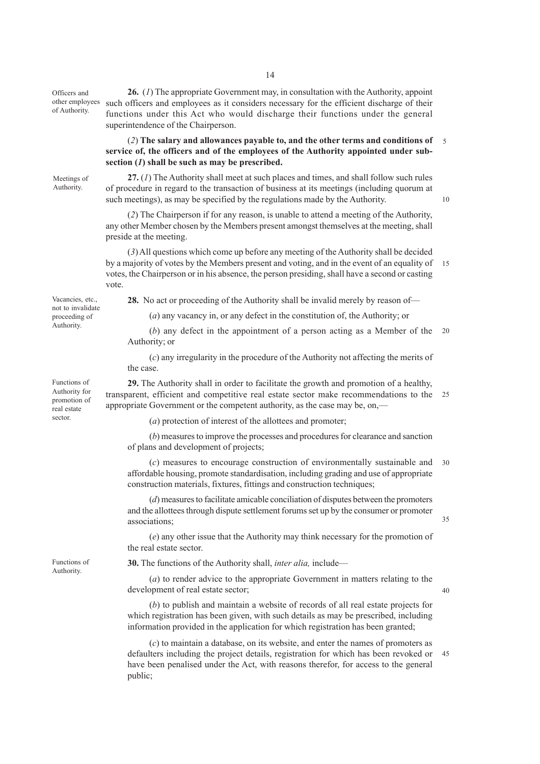Officers and other employees of Authority.

**26.** (*1*) The appropriate Government may, in consultation with the Authority, appoint such officers and employees as it considers necessary for the efficient discharge of their functions under this Act who would discharge their functions under the general superintendence of the Chairperson.

(*2*) **The salary and allowances payable to, and the other terms and conditions of service of, the officers and of the employees of the Authority appointed under subsection (***1***) shall be such as may be prescribed.** 5

Meetings of Authority.

**27.** (*1*) The Authority shall meet at such places and times, and shall follow such rules of procedure in regard to the transaction of business at its meetings (including quorum at such meetings), as may be specified by the regulations made by the Authority.

10

(*2*) The Chairperson if for any reason, is unable to attend a meeting of the Authority, any other Member chosen by the Members present amongst themselves at the meeting, shall preside at the meeting.

(*3*) All questions which come up before any meeting of the Authority shall be decided by a majority of votes by the Members present and voting, and in the event of an equality of votes, the Chairperson or in his absence, the person presiding, shall have a second or casting vote. 15

**28.** No act or proceeding of the Authority shall be invalid merely by reason of— (*a*) any vacancy in, or any defect in the constitution of, the Authority; or

(*b*) any defect in the appointment of a person acting as a Member of the 20

(*c*) any irregularity in the procedure of the Authority not affecting the merits of

Vacancies, etc., not to invalidate proceeding of Authority.

Authority; or

the case.

Functions of Authority for promotion of real estate sector.

appropriate Government or the competent authority, as the case may be, on,— (*a*) protection of interest of the allottees and promoter;

(*b*) measures to improve the processes and procedures for clearance and sanction of plans and development of projects;

**29.** The Authority shall in order to facilitate the growth and promotion of a healthy, transparent, efficient and competitive real estate sector make recommendations to the

(*c*) measures to encourage construction of environmentally sustainable and affordable housing, promote standardisation, including grading and use of appropriate construction materials, fixtures, fittings and construction techniques; 30

(*d*) measures to facilitate amicable conciliation of disputes between the promoters and the allottees through dispute settlement forums set up by the consumer or promoter associations;

(*e*) any other issue that the Authority may think necessary for the promotion of the real estate sector.

**30.** The functions of the Authority shall, *inter alia,* include—

(*a*) to render advice to the appropriate Government in matters relating to the development of real estate sector;

40

35

25

(*b*) to publish and maintain a website of records of all real estate projects for which registration has been given, with such details as may be prescribed, including information provided in the application for which registration has been granted;

(*c*) to maintain a database, on its website, and enter the names of promoters as defaulters including the project details, registration for which has been revoked or have been penalised under the Act, with reasons therefor, for access to the general public; 45

Functions of Authority.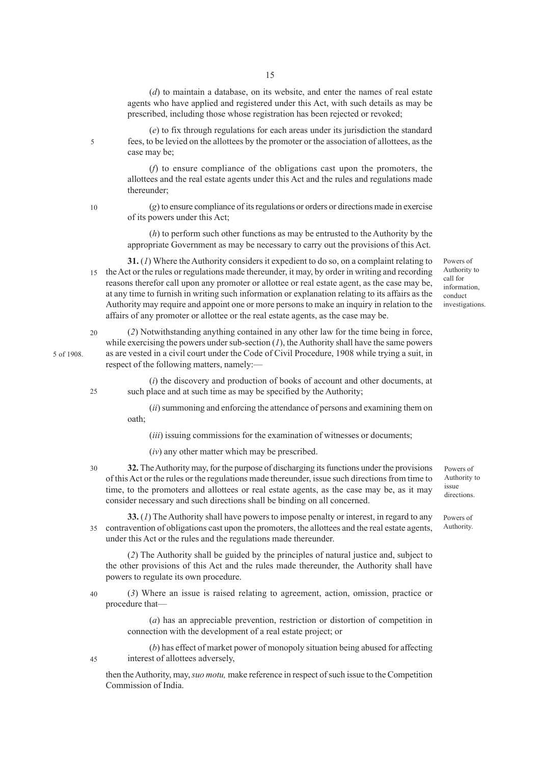(*d*) to maintain a database, on its website, and enter the names of real estate agents who have applied and registered under this Act, with such details as may be prescribed, including those whose registration has been rejected or revoked;

(*e*) to fix through regulations for each areas under its jurisdiction the standard fees, to be levied on the allottees by the promoter or the association of allottees, as the case may be;

(*f*) to ensure compliance of the obligations cast upon the promoters, the allottees and the real estate agents under this Act and the rules and regulations made thereunder;

10

5

(*g*) to ensure compliance of its regulations or orders or directions made in exercise of its powers under this Act;

(*h*) to perform such other functions as may be entrusted to the Authority by the appropriate Government as may be necessary to carry out the provisions of this Act.

**31.** (*1*) Where the Authority considers it expedient to do so, on a complaint relating to 15 the Act or the rules or regulations made thereunder, it may, by order in writing and recording reasons therefor call upon any promoter or allottee or real estate agent, as the case may be, at any time to furnish in writing such information or explanation relating to its affairs as the Authority may require and appoint one or more persons to make an inquiry in relation to the affairs of any promoter or allottee or the real estate agents, as the case may be.

Powers of Authority to call for information, conduct investigations.

(*2*) Notwithstanding anything contained in any other law for the time being in force, while exercising the powers under sub-section  $(I)$ , the Authority shall have the same powers as are vested in a civil court under the Code of Civil Procedure, 1908 while trying a suit, in respect of the following matters, namely:— 20

(*i*) the discovery and production of books of account and other documents, at such place and at such time as may be specified by the Authority;

(*ii*) summoning and enforcing the attendance of persons and examining them on oath;

(*iii*) issuing commissions for the examination of witnesses or documents;

(*iv*) any other matter which may be prescribed.

30

25

**32.** The Authority may, for the purpose of discharging its functions under the provisions of this Act or the rules or the regulations made thereunder, issue such directions from time to time, to the promoters and allottees or real estate agents, as the case may be, as it may consider necessary and such directions shall be binding on all concerned.

**33.** (*1*) The Authority shall have powers to impose penalty or interest, in regard to any contravention of obligations cast upon the promoters, the allottees and the real estate agents, 35 under this Act or the rules and the regulations made thereunder.

(*2*) The Authority shall be guided by the principles of natural justice and, subject to the other provisions of this Act and the rules made thereunder, the Authority shall have powers to regulate its own procedure.

(*3*) Where an issue is raised relating to agreement, action, omission, practice or procedure that— 40

> (*a*) has an appreciable prevention, restriction or distortion of competition in connection with the development of a real estate project; or

(*b*) has effect of market power of monopoly situation being abused for affecting interest of allottees adversely,

then the Authority, may, *suo motu,* make reference in respect of such issue to the Competition Commission of India.

Powers of Authority.

5 of 1908.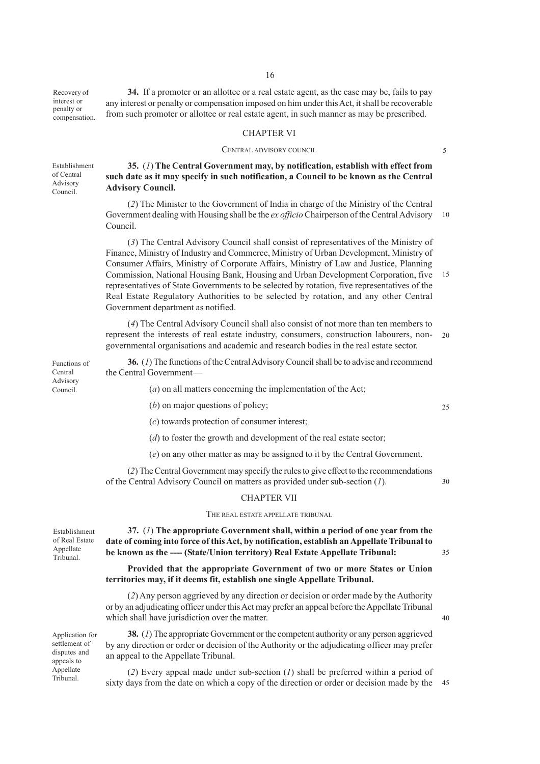Recovery of interest or penalty or compensation.

Establishment of Central Advisory Council.

**34.** If a promoter or an allottee or a real estate agent, as the case may be, fails to pay any interest or penalty or compensation imposed on him under this Act, it shall be recoverable from such promoter or allottee or real estate agent, in such manner as may be prescribed.

16

## CHAPTER VI

#### CENTRAL ADVISORY COUNCIL

5

**35.** (*1*) **The Central Government may, by notification, establish with effect from such date as it may specify in such notification, a Council to be known as the Central Advisory Council.**

(*2*) The Minister to the Government of India in charge of the Ministry of the Central Government dealing with Housing shall be the *ex officio* Chairperson of the Central Advisory Council. 10

(*3*) The Central Advisory Council shall consist of representatives of the Ministry of Finance, Ministry of Industry and Commerce, Ministry of Urban Development, Ministry of Consumer Affairs, Ministry of Corporate Affairs, Ministry of Law and Justice, Planning Commission, National Housing Bank, Housing and Urban Development Corporation, five representatives of State Governments to be selected by rotation, five representatives of the Real Estate Regulatory Authorities to be selected by rotation, and any other Central Government department as notified. 15

(*4*) The Central Advisory Council shall also consist of not more than ten members to represent the interests of real estate industry, consumers, construction labourers, nongovernmental organisations and academic and research bodies in the real estate sector. 20

**36.** (*1*) The functions of the Central Advisory Council shall be to advise and recommend the Central Government—

(*a*) on all matters concerning the implementation of the Act;

(*b*) on major questions of policy;

(*c*) towards protection of consumer interest;

(*d*) to foster the growth and development of the real estate sector;

(*e*) on any other matter as may be assigned to it by the Central Government.

(*2*) The Central Government may specify the rules to give effect to the recommendations of the Central Advisory Council on matters as provided under sub-section (*1*).

## CHAPTER VII

#### THE REAL ESTATE APPELLATE TRIBUNAL

Establishment of Real Estate Appellate Tribunal.

# **37.** (*1*) **The appropriate Government shall, within a period of one year from the date of coming into force of this Act, by notification, establish an Appellate Tribunal to be known as the ---- (State/Union territory) Real Estate Appellate Tribunal:**

## **Provided that the appropriate Government of two or more States or Union territories may, if it deems fit, establish one single Appellate Tribunal.**

(*2*) Any person aggrieved by any direction or decision or order made by the Authority or by an adjudicating officer under this Act may prefer an appeal before the Appellate Tribunal which shall have jurisdiction over the matter.

Application for settlement of disputes and appeals to Appellate Tribunal.

**38.** (*1*) The appropriate Government or the competent authority or any person aggrieved by any direction or order or decision of the Authority or the adjudicating officer may prefer an appeal to the Appellate Tribunal.

(*2*) Every appeal made under sub-section (*1*) shall be preferred within a period of sixty days from the date on which a copy of the direction or order or decision made by the 45

Council.

Functions of Central Advisory

30

35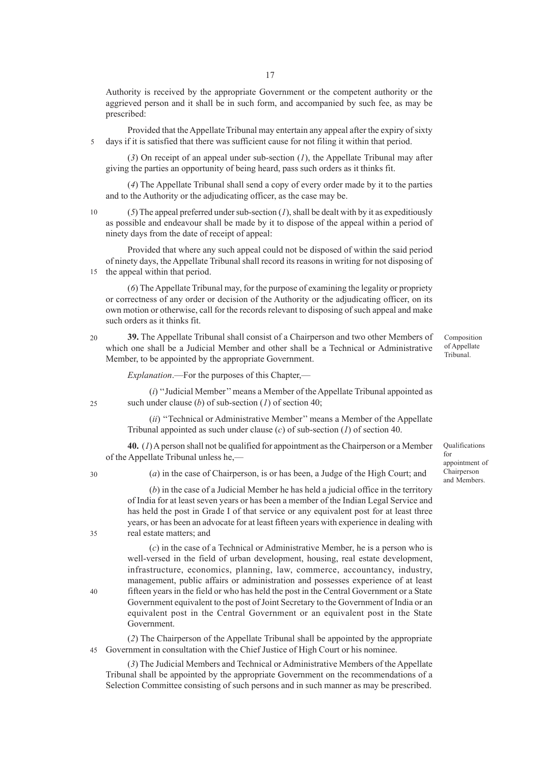Authority is received by the appropriate Government or the competent authority or the aggrieved person and it shall be in such form, and accompanied by such fee, as may be prescribed:

Provided that the Appellate Tribunal may entertain any appeal after the expiry of sixty days if it is satisfied that there was sufficient cause for not filing it within that period. 5

(*3*) On receipt of an appeal under sub-section (*1*), the Appellate Tribunal may after giving the parties an opportunity of being heard, pass such orders as it thinks fit.

(*4*) The Appellate Tribunal shall send a copy of every order made by it to the parties and to the Authority or the adjudicating officer, as the case may be.

10

(*5*) The appeal preferred under sub-section (*1*), shall be dealt with by it as expeditiously as possible and endeavour shall be made by it to dispose of the appeal within a period of ninety days from the date of receipt of appeal:

Provided that where any such appeal could not be disposed of within the said period of ninety days, the Appellate Tribunal shall record its reasons in writing for not disposing of the appeal within that period. 15

(*6*) The Appellate Tribunal may, for the purpose of examining the legality or propriety or correctness of any order or decision of the Authority or the adjudicating officer, on its own motion or otherwise, call for the records relevant to disposing of such appeal and make such orders as it thinks fit.

**39.** The Appellate Tribunal shall consist of a Chairperson and two other Members of which one shall be a Judicial Member and other shall be a Technical or Administrative Member, to be appointed by the appropriate Government. 20

Composition of Appellate Tribunal.

Qualifications

appointment of Chairperson and Members.

for

*Explanation*.—For the purposes of this Chapter,—

(*i*) ''Judicial Member'' means a Member of the Appellate Tribunal appointed as such under clause (*b*) of sub-section (*1*) of section 40;

(*ii*) ''Technical or Administrative Member'' means a Member of the Appellate Tribunal appointed as such under clause (*c*) of sub-section (*1*) of section 40.

**40.** (*1*) A person shall not be qualified for appointment as the Chairperson or a Member of the Appellate Tribunal unless he,—

30

25

(*a*) in the case of Chairperson, is or has been, a Judge of the High Court; and

(*b*) in the case of a Judicial Member he has held a judicial office in the territory of India for at least seven years or has been a member of the Indian Legal Service and has held the post in Grade I of that service or any equivalent post for at least three years, or has been an advocate for at least fifteen years with experience in dealing with real estate matters; and

(*c*) in the case of a Technical or Administrative Member, he is a person who is well-versed in the field of urban development, housing, real estate development, infrastructure, economics, planning, law, commerce, accountancy, industry, management, public affairs or administration and possesses experience of at least fifteen years in the field or who has held the post in the Central Government or a State Government equivalent to the post of Joint Secretary to the Government of India or an equivalent post in the Central Government or an equivalent post in the State Government.

(*2*) The Chairperson of the Appellate Tribunal shall be appointed by the appropriate Government in consultation with the Chief Justice of High Court or his nominee. 45

(*3*) The Judicial Members and Technical or Administrative Members of the Appellate Tribunal shall be appointed by the appropriate Government on the recommendations of a Selection Committee consisting of such persons and in such manner as may be prescribed.

35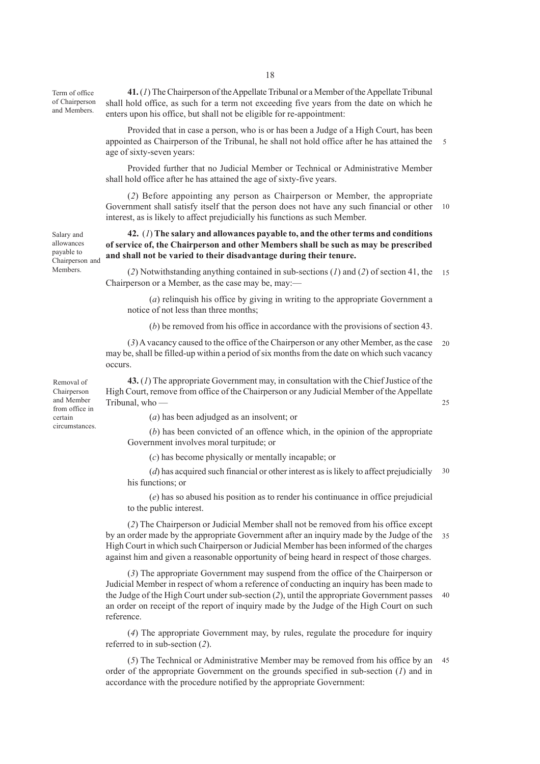Term of office of Chairperson and Members.

Salary and allowances payable to Chairperson and Members.

**41.** (*1*) The Chairperson of the Appellate Tribunal or a Member of the Appellate Tribunal shall hold office, as such for a term not exceeding five years from the date on which he enters upon his office, but shall not be eligible for re-appointment:

Provided that in case a person, who is or has been a Judge of a High Court, has been appointed as Chairperson of the Tribunal, he shall not hold office after he has attained the age of sixty-seven years: 5

Provided further that no Judicial Member or Technical or Administrative Member shall hold office after he has attained the age of sixty-five years.

(*2*) Before appointing any person as Chairperson or Member, the appropriate Government shall satisfy itself that the person does not have any such financial or other interest, as is likely to affect prejudicially his functions as such Member. 10

**42.** (*1*) **The salary and allowances payable to, and the other terms and conditions of service of, the Chairperson and other Members shall be such as may be prescribed and shall not be varied to their disadvantage during their tenure.**

(*2*) Notwithstanding anything contained in sub-sections (*1*) and (*2*) of section 41, the Chairperson or a Member, as the case may be, may:— 15

(*a*) relinquish his office by giving in writing to the appropriate Government a notice of not less than three months;

(*b*) be removed from his office in accordance with the provisions of section 43.

(*3*) A vacancy caused to the office of the Chairperson or any other Member, as the case 20 may be, shall be filled-up within a period of six months from the date on which such vacancy occurs.

**43.** (*1*) The appropriate Government may, in consultation with the Chief Justice of the High Court, remove from office of the Chairperson or any Judicial Member of the Appellate Tribunal, who —

25

and Member from office in certain circumstances.

Removal of Chairperson

(*a*) has been adjudged as an insolvent; or

(*b*) has been convicted of an offence which, in the opinion of the appropriate Government involves moral turpitude; or

(*c*) has become physically or mentally incapable; or

(*d*) has acquired such financial or other interest as is likely to affect prejudicially his functions; or 30

(*e*) has so abused his position as to render his continuance in office prejudicial to the public interest.

(*2*) The Chairperson or Judicial Member shall not be removed from his office except by an order made by the appropriate Government after an inquiry made by the Judge of the High Court in which such Chairperson or Judicial Member has been informed of the charges against him and given a reasonable opportunity of being heard in respect of those charges. 35

(*3*) The appropriate Government may suspend from the office of the Chairperson or Judicial Member in respect of whom a reference of conducting an inquiry has been made to the Judge of the High Court under sub-section (*2*), until the appropriate Government passes an order on receipt of the report of inquiry made by the Judge of the High Court on such reference. 40

(*4*) The appropriate Government may, by rules, regulate the procedure for inquiry referred to in sub-section (*2*).

(*5*) The Technical or Administrative Member may be removed from his office by an order of the appropriate Government on the grounds specified in sub-section (*1*) and in accordance with the procedure notified by the appropriate Government: 45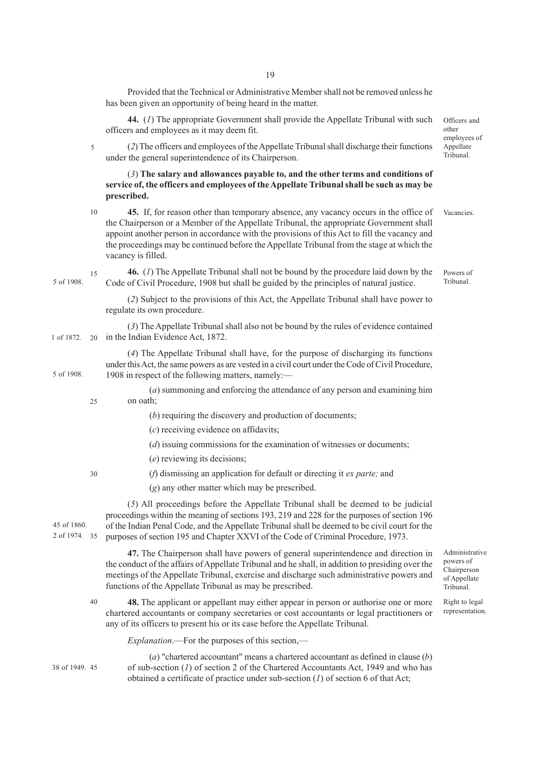Provided that the Technical or Administrative Member shall not be removed unless he has been given an opportunity of being heard in the matter.

**44.** (*1*) The appropriate Government shall provide the Appellate Tribunal with such officers and employees as it may deem fit.

(*2*) The officers and employees of the Appellate Tribunal shall discharge their functions under the general superintendence of its Chairperson.

(*3*) **The salary and allowances payable to, and the other terms and conditions of service of, the officers and employees of the Appellate Tribunal shall be such as may be prescribed.**

- **45.** If, for reason other than temporary absence, any vacancy occurs in the office of the Chairperson or a Member of the Appellate Tribunal, the appropriate Government shall appoint another person in accordance with the provisions of this Act to fill the vacancy and the proceedings may be continued before the Appellate Tribunal from the stage at which the vacancy is filled. Vacancies. 10
- **46.** (*1*) The Appellate Tribunal shall not be bound by the procedure laid down by the Code of Civil Procedure, 1908 but shall be guided by the principles of natural justice. 5 of 1908. Tribunal. 15

employees of Appellate Tribunal.

Officers and other

Powers of

Administrative powers of Chairperson of Appellate Tribunal. Right to legal representation.

(*2*) Subject to the provisions of this Act, the Appellate Tribunal shall have power to regulate its own procedure.

(*3*) The Appellate Tribunal shall also not be bound by the rules of evidence contained in the Indian Evidence Act, 1872. 1 of 1872. 20

|                              |    | (3) The Appellate Tribunal shall also not be bound by the rules of evidence contained<br>1 of 1872. 20 in the Indian Evidence Act, 1872.                                                                                                                                                                                                                               |
|------------------------------|----|------------------------------------------------------------------------------------------------------------------------------------------------------------------------------------------------------------------------------------------------------------------------------------------------------------------------------------------------------------------------|
| 5 of 1908.                   |    | (4) The Appellate Tribunal shall have, for the purpose of discharging its functions<br>under this Act, the same powers as are vested in a civil court under the Code of Civil Procedure,<br>1908 in respect of the following matters, namely:—                                                                                                                         |
|                              | 25 | $(a)$ summoning and enforcing the attendance of any person and examining him<br>on oath;                                                                                                                                                                                                                                                                               |
|                              |    | (b) requiring the discovery and production of documents;                                                                                                                                                                                                                                                                                                               |
|                              |    | $(c)$ receiving evidence on affidavits;                                                                                                                                                                                                                                                                                                                                |
|                              |    | $(d)$ issuing commissions for the examination of witnesses or documents;                                                                                                                                                                                                                                                                                               |
|                              |    | $(e)$ reviewing its decisions;                                                                                                                                                                                                                                                                                                                                         |
|                              | 30 | ( $f$ ) dismissing an application for default or directing it <i>ex parte</i> ; and                                                                                                                                                                                                                                                                                    |
|                              |    | $(g)$ any other matter which may be prescribed.                                                                                                                                                                                                                                                                                                                        |
| 45 of 1860.<br>2 of 1974. 35 |    | (5) All proceedings before the Appellate Tribunal shall be deemed to be judicial<br>proceedings within the meaning of sections 193, 219 and 228 for the purposes of section 196<br>of the Indian Penal Code, and the Appellate Tribunal shall be deemed to be civil court for the<br>purposes of section 195 and Chapter XXVI of the Code of Criminal Procedure, 1973. |
|                              |    | 47. The Chairperson shall have powers of general superintendence and direction in<br>the conduct of the affairs of Appellate Tribunal and he shall, in addition to presiding over the<br>meetings of the Appellate Tribunal, exercise and discharge such administrative powers and<br>functions of the Appellate Tribunal as may be prescribed.                        |
|                              | 40 | 48. The applicant or appellant may either appear in person or authorise one or more<br>chartered accountants or company secretaries or cost accountants or legal practitioners or<br>any of its officers to present his or its case before the Appellate Tribunal.                                                                                                     |
|                              |    | <i>Explanation</i> .—For the purposes of this section,—                                                                                                                                                                                                                                                                                                                |
|                              |    |                                                                                                                                                                                                                                                                                                                                                                        |

38 of 1949. 45

(*a*) "chartered accountant" means a chartered accountant as defined in clause (*b*) of sub-section (*1*) of section 2 of the Chartered Accountants Act, 1949 and who has obtained a certificate of practice under sub-section (*1*) of section 6 of that Act;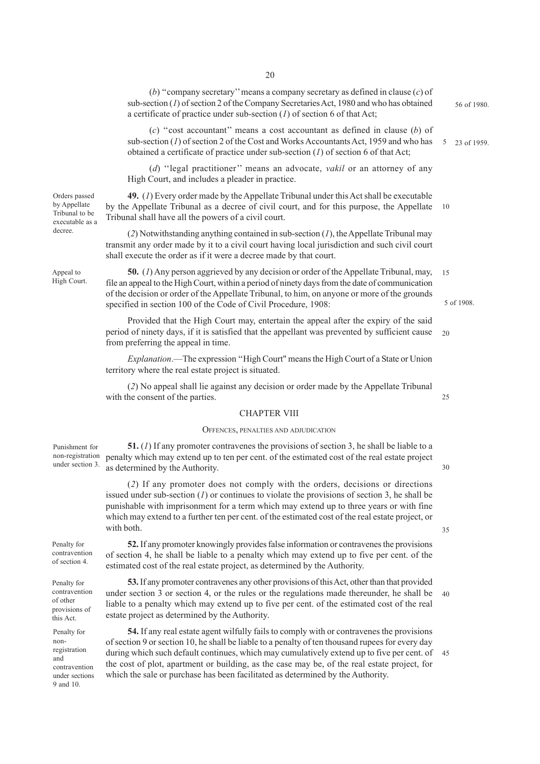(*b*) ''company secretary'' means a company secretary as defined in clause (*c*) of sub-section (*1*) of section 2 of the Company Secretaries Act, 1980 and who has obtained a certificate of practice under sub-section (*1*) of section 6 of that Act; 56 of 1980.

(*c*) ''cost accountant'' means a cost accountant as defined in clause (*b*) of sub-section (*1*) of section 2 of the Cost and Works Accountants Act, 1959 and who has obtained a certificate of practice under sub-section (*1*) of section 6 of that Act; 23 of 1959. 5

(*d*) ''legal practitioner'' means an advocate, *vakil* or an attorney of any High Court, and includes a pleader in practice.

**49.** (*1*) Every order made by the Appellate Tribunal under this Act shall be executable by the Appellate Tribunal as a decree of civil court, and for this purpose, the Appellate Tribunal shall have all the powers of a civil court. 10

(*2*) Notwithstanding anything contained in sub-section (*1*), the Appellate Tribunal may transmit any order made by it to a civil court having local jurisdiction and such civil court shall execute the order as if it were a decree made by that court.

**50.** (*1*) Any person aggrieved by any decision or order of the Appellate Tribunal, may, file an appeal to the High Court, within a period of ninety days from the date of communication of the decision or order of the Appellate Tribunal, to him, on anyone or more of the grounds specified in section 100 of the Code of Civil Procedure, 1908: 15

Provided that the High Court may, entertain the appeal after the expiry of the said period of ninety days, if it is satisfied that the appellant was prevented by sufficient cause from preferring the appeal in time. 20

*Explanation*.—The expression ''High Court" means the High Court of a State or Union territory where the real estate project is situated.

(*2*) No appeal shall lie against any decision or order made by the Appellate Tribunal with the consent of the parties.

#### CHAPTER VIII

#### OFFENCES, PENALTIES AND ADJUDICATION

**51.** (*1*) If any promoter contravenes the provisions of section 3, he shall be liable to a penalty which may extend up to ten per cent. of the estimated cost of the real estate project as determined by the Authority. Punishment for non-registration under section 3.

> (*2*) If any promoter does not comply with the orders, decisions or directions issued under sub-section  $(I)$  or continues to violate the provisions of section 3, he shall be punishable with imprisonment for a term which may extend up to three years or with fine which may extend to a further ten per cent. of the estimated cost of the real estate project, or with both.

Penalty for contravention of section 4.

Penalty for contravention of other provisions of this Act.

Penalty for nonregistration and contravention under sections 9 and 10.

**52.** If any promoter knowingly provides false information or contravenes the provisions of section 4, he shall be liable to a penalty which may extend up to five per cent. of the estimated cost of the real estate project, as determined by the Authority.

**53.** If any promoter contravenes any other provisions of this Act, other than that provided under section 3 or section 4, or the rules or the regulations made thereunder, he shall be liable to a penalty which may extend up to five per cent. of the estimated cost of the real estate project as determined by the Authority. 40

**54.** If any real estate agent wilfully fails to comply with or contravenes the provisions of section 9 or section 10, he shall be liable to a penalty of ten thousand rupees for every day during which such default continues, which may cumulatively extend up to five per cent. of the cost of plot, apartment or building, as the case may be, of the real estate project, for which the sale or purchase has been facilitated as determined by the Authority. 45

by Appellate Tribunal to be executable as a decree.

Orders passed

Appeal to High Court.

5 of 1908.

30

25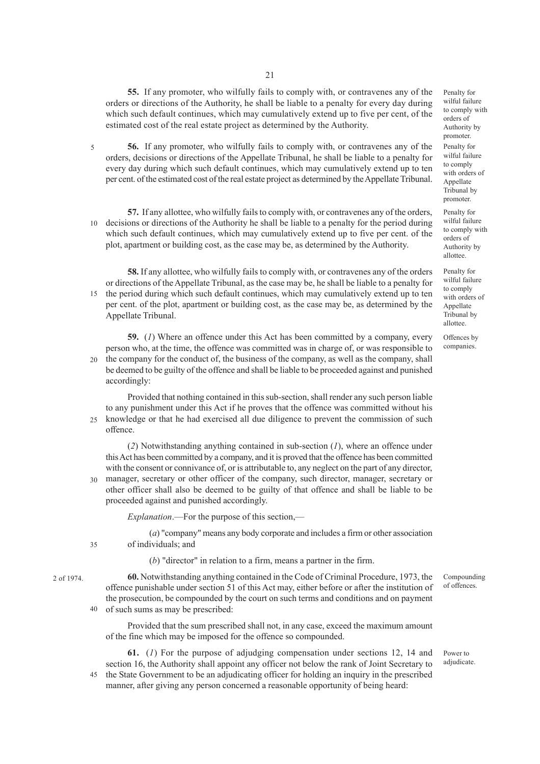**55.** If any promoter, who wilfully fails to comply with, or contravenes any of the orders or directions of the Authority, he shall be liable to a penalty for every day during which such default continues, which may cumulatively extend up to five per cent, of the estimated cost of the real estate project as determined by the Authority.

**56.** If any promoter, who wilfully fails to comply with, or contravenes any of the orders, decisions or directions of the Appellate Tribunal, he shall be liable to a penalty for every day during which such default continues, which may cumulatively extend up to ten per cent. of the estimated cost of the real estate project as determined by the Appellate Tribunal. 5

**57.** If any allottee, who wilfully fails to comply with, or contravenes any of the orders, 10 decisions or directions of the Authority he shall be liable to a penalty for the period during which such default continues, which may cumulatively extend up to five per cent. of the plot, apartment or building cost, as the case may be, as determined by the Authority.

**58.** If any allottee, who wilfully fails to comply with, or contravenes any of the orders or directions of the Appellate Tribunal, as the case may be, he shall be liable to a penalty for 15 the period during which such default continues, which may cumulatively extend up to ten per cent. of the plot, apartment or building cost, as the case may be, as determined by the Appellate Tribunal.

**59.** (*1*) Where an offence under this Act has been committed by a company, every person who, at the time, the offence was committed was in charge of, or was responsible to the company for the conduct of, the business of the company, as well as the company, shall

be deemed to be guilty of the offence and shall be liable to be proceeded against and punished accordingly: 20

Provided that nothing contained in this sub-section, shall render any such person liable to any punishment under this Act if he proves that the offence was committed without his knowledge or that he had exercised all due diligence to prevent the commission of such offence. 25

(*2*) Notwithstanding anything contained in sub-section (*1*), where an offence under this Act has been committed by a company, and it is proved that the offence has been committed with the consent or connivance of, or is attributable to, any neglect on the part of any director, manager, secretary or other officer of the company, such director, manager, secretary or other officer shall also be deemed to be guilty of that offence and shall be liable to be 30

proceeded against and punished accordingly.

*Explanation*.—For the purpose of this section,—

(*a*) "company" means any body corporate and includes a firm or other association of individuals; and

(*b*) "director" in relation to a firm, means a partner in the firm.

2 of 1974.

35

40

**60.** Notwithstanding anything contained in the Code of Criminal Procedure, 1973, the offence punishable under section 51 of this Act may, either before or after the institution of the prosecution, be compounded by the court on such terms and conditions and on payment of such sums as may be prescribed:

Provided that the sum prescribed shall not, in any case, exceed the maximum amount of the fine which may be imposed for the offence so compounded.

**61.** (*1*) For the purpose of adjudging compensation under sections 12, 14 and section 16, the Authority shall appoint any officer not below the rank of Joint Secretary to the State Government to be an adjudicating officer for holding an inquiry in the prescribed manner, after giving any person concerned a reasonable opportunity of being heard: 45

Penalty for wilful failure to comply with orders of Authority by promoter. Penalty for wilful failure to comply with orders of Appellate Tribunal by promoter.

Penalty for wilful failure to comply with orders of Authority by allottee.

Penalty for wilful failure to comply with orders of Appellate Tribunal by allottee.

Offences by companies.

Compounding of offences.

Power to adjudicate.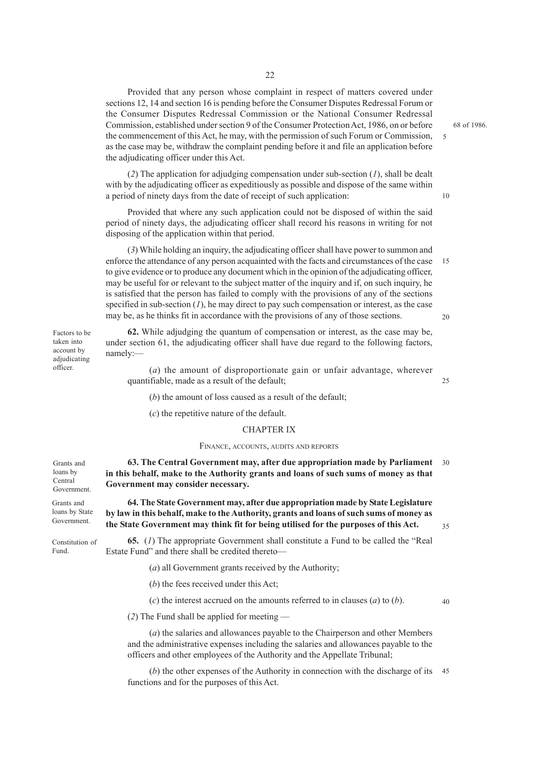Provided that any person whose complaint in respect of matters covered under sections 12, 14 and section 16 is pending before the Consumer Disputes Redressal Forum or the Consumer Disputes Redressal Commission or the National Consumer Redressal Commission, established under section 9 of the Consumer Protection Act, 1986, on or before the commencement of this Act, he may, with the permission of such Forum or Commission, as the case may be, withdraw the complaint pending before it and file an application before the adjudicating officer under this Act.

(*2*) The application for adjudging compensation under sub-section (*1*), shall be dealt with by the adjudicating officer as expeditiously as possible and dispose of the same within a period of ninety days from the date of receipt of such application:

Provided that where any such application could not be disposed of within the said period of ninety days, the adjudicating officer shall record his reasons in writing for not disposing of the application within that period.

(*3*) While holding an inquiry, the adjudicating officer shall have power to summon and enforce the attendance of any person acquainted with the facts and circumstances of the case to give evidence or to produce any document which in the opinion of the adjudicating officer, may be useful for or relevant to the subject matter of the inquiry and if, on such inquiry, he is satisfied that the person has failed to comply with the provisions of any of the sections specified in sub-section (*1*), he may direct to pay such compensation or interest, as the case may be, as he thinks fit in accordance with the provisions of any of those sections. 15  $20$ 

Factors to be taken into account by adjudicating officer.

**62.** While adjudging the quantum of compensation or interest, as the case may be, under section 61, the adjudicating officer shall have due regard to the following factors, namely:—

(*a*) the amount of disproportionate gain or unfair advantage, wherever quantifiable, made as a result of the default;

(*b*) the amount of loss caused as a result of the default;

(*c*) the repetitive nature of the default.

#### CHAPTER IX

#### FINANCE, ACCOUNTS, AUDITS AND REPORTS

**63. The Central Government may, after due appropriation made by Parliament** 30 **in this behalf, make to the Authority grants and loans of such sums of money as that Government may consider necessary.** Grants and loans by Central Government.

> **64. The State Government may, after due appropriation made by State Legislature by law in this behalf, make to the Authority, grants and loans of such sums of money as the State Government may think fit for being utilised for the purposes of this Act.**

Constitution of Fund.

Grants and loans by State Government.

> **65.** (*1*) The appropriate Government shall constitute a Fund to be called the "Real Estate Fund" and there shall be credited thereto—

> > (*a*) all Government grants received by the Authority;

(*b*) the fees received under this Act;

(*c*) the interest accrued on the amounts referred to in clauses (*a*) to (*b*).

(*2*) The Fund shall be applied for meeting —

(*a*) the salaries and allowances payable to the Chairperson and other Members and the administrative expenses including the salaries and allowances payable to the officers and other employees of the Authority and the Appellate Tribunal;

(*b*) the other expenses of the Authority in connection with the discharge of its functions and for the purposes of this Act. 45

68 of 1986.

5

10

 $25$ 

35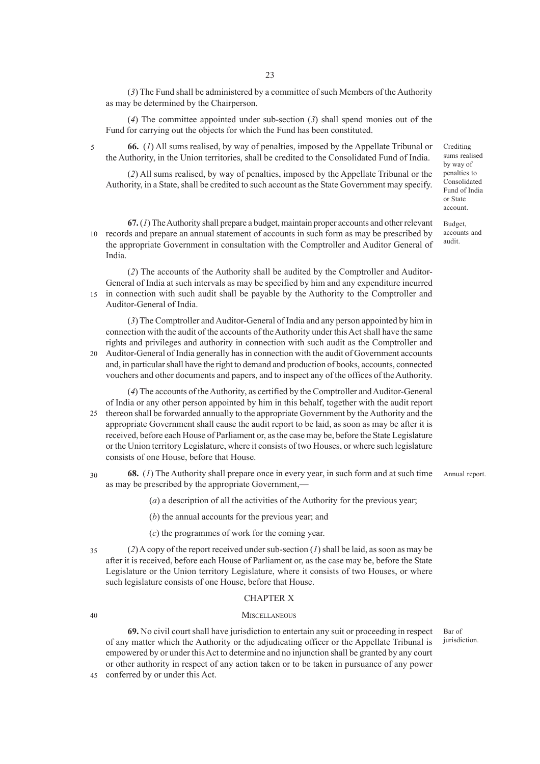(*3*) The Fund shall be administered by a committee of such Members of the Authority as may be determined by the Chairperson.

(*4*) The committee appointed under sub-section (*3*) shall spend monies out of the Fund for carrying out the objects for which the Fund has been constituted.

**66.** (*1*) All sums realised, by way of penalties, imposed by the Appellate Tribunal or the Authority, in the Union territories, shall be credited to the Consolidated Fund of India.

(*2*) All sums realised, by way of penalties, imposed by the Appellate Tribunal or the Authority, in a State, shall be credited to such account as the State Government may specify.

**67.** (*1*) The Authority shall prepare a budget, maintain proper accounts and other relevant 10 records and prepare an annual statement of accounts in such form as may be prescribed by the appropriate Government in consultation with the Comptroller and Auditor General of India.

(*2*) The accounts of the Authority shall be audited by the Comptroller and Auditor-General of India at such intervals as may be specified by him and any expenditure incurred in connection with such audit shall be payable by the Authority to the Comptroller and Auditor-General of India. 15

(*3*) The Comptroller and Auditor-General of India and any person appointed by him in connection with the audit of the accounts of the Authority under this Act shall have the same rights and privileges and authority in connection with such audit as the Comptroller and Auditor-General of India generally has in connection with the audit of Government accounts 20

and, in particular shall have the right to demand and production of books, accounts, connected vouchers and other documents and papers, and to inspect any of the offices of the Authority.

(*4*) The accounts of the Authority, as certified by the Comptroller and Auditor-General of India or any other person appointed by him in this behalf, together with the audit report thereon shall be forwarded annually to the appropriate Government by the Authority and the appropriate Government shall cause the audit report to be laid, as soon as may be after it is received, before each House of Parliament or, as the case may be, before the State Legislature or the Union territory Legislature, where it consists of two Houses, or where such legislature consists of one House, before that House. 25

- **68.** (*1*) The Authority shall prepare once in every year, in such form and at such time as may be prescribed by the appropriate Government,— Annual report. 30
	- (*a*) a description of all the activities of the Authority for the previous year;
	- (*b*) the annual accounts for the previous year; and
	- (*c*) the programmes of work for the coming year.

(*2*) A copy of the report received under sub-section (*1*) shall be laid, as soon as may be after it is received, before each House of Parliament or, as the case may be, before the State Legislature or the Union territory Legislature, where it consists of two Houses, or where such legislature consists of one House, before that House. 35

# CHAPTER X **MISCELLANEOUS**

**69.** No civil court shall have jurisdiction to entertain any suit or proceeding in respect of any matter which the Authority or the adjudicating officer or the Appellate Tribunal is empowered by or under this Act to determine and no injunction shall be granted by any court or other authority in respect of any action taken or to be taken in pursuance of any power conferred by or under this Act.

Bar of jurisdiction.

Crediting sums realised by way of penalties to Consolidated Fund of India or State account.

Budget, accounts and audit.

5

40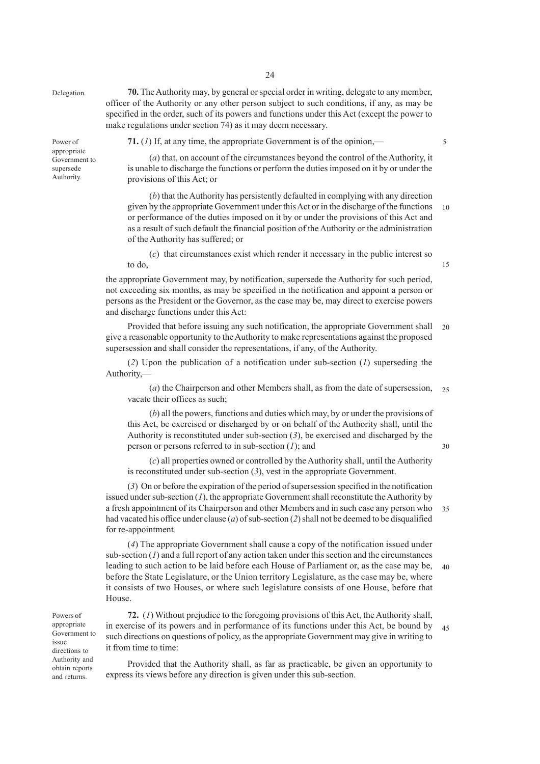Delegation.

Power of appropriate Government to supersede Authority.

**71.** (*1*) If, at any time, the appropriate Government is of the opinion,—

5

(*a*) that, on account of the circumstances beyond the control of the Authority, it is unable to discharge the functions or perform the duties imposed on it by or under the provisions of this Act; or

(*b*) that the Authority has persistently defaulted in complying with any direction given by the appropriate Government under this Act or in the discharge of the functions or performance of the duties imposed on it by or under the provisions of this Act and as a result of such default the financial position of the Authority or the administration of the Authority has suffered; or  $1<sub>0</sub>$ 

(*c*) that circumstances exist which render it necessary in the public interest so to do,

15

the appropriate Government may, by notification, supersede the Authority for such period, not exceeding six months, as may be specified in the notification and appoint a person or persons as the President or the Governor, as the case may be, may direct to exercise powers and discharge functions under this Act:

Provided that before issuing any such notification, the appropriate Government shall give a reasonable opportunity to the Authority to make representations against the proposed supersession and shall consider the representations, if any, of the Authority.  $20$ 

(*2*) Upon the publication of a notification under sub-section (*1*) superseding the Authority,—

(*a*) the Chairperson and other Members shall, as from the date of supersession, vacate their offices as such; 25

(*b*) all the powers, functions and duties which may, by or under the provisions of this Act, be exercised or discharged by or on behalf of the Authority shall, until the Authority is reconstituted under sub-section (*3*), be exercised and discharged by the person or persons referred to in sub-section (*1*); and

30

(*c*) all properties owned or controlled by the Authority shall, until the Authority is reconstituted under sub-section (*3*), vest in the appropriate Government.

(*3*) On or before the expiration of the period of supersession specified in the notification issued under sub-section  $(I)$ , the appropriate Government shall reconstitute the Authority by a fresh appointment of its Chairperson and other Members and in such case any person who had vacated his office under clause (*a*) of sub-section (*2*) shall not be deemed to be disqualified for re-appointment. 35

(*4*) The appropriate Government shall cause a copy of the notification issued under sub-section  $(1)$  and a full report of any action taken under this section and the circumstances leading to such action to be laid before each House of Parliament or, as the case may be, before the State Legislature, or the Union territory Legislature, as the case may be, where it consists of two Houses, or where such legislature consists of one House, before that House. 40

Powers of appropriate Government to issue directions to Authority and obtain reports and returns.

**72.** (*1*) Without prejudice to the foregoing provisions of this Act, the Authority shall, in exercise of its powers and in performance of its functions under this Act, be bound by such directions on questions of policy, as the appropriate Government may give in writing to it from time to time:  $45$ 

Provided that the Authority shall, as far as practicable, be given an opportunity to express its views before any direction is given under this sub-section.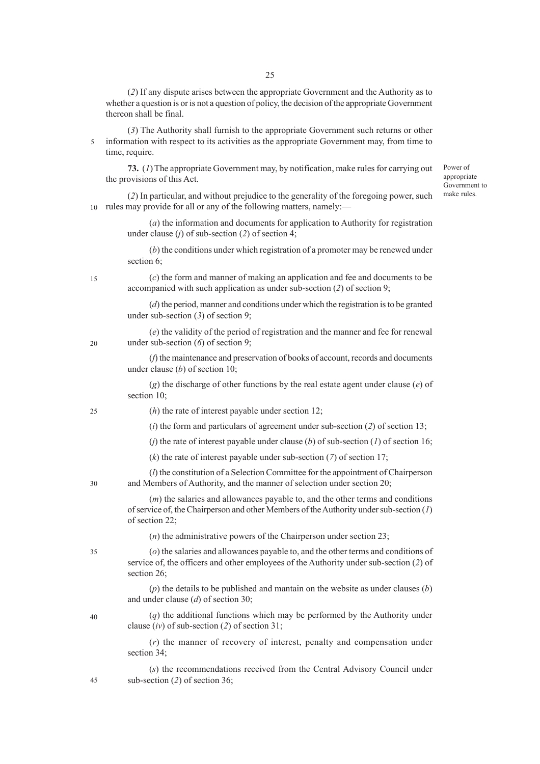(*2*) If any dispute arises between the appropriate Government and the Authority as to whether a question is or is not a question of policy, the decision of the appropriate Government thereon shall be final.

(*3*) The Authority shall furnish to the appropriate Government such returns or other information with respect to its activities as the appropriate Government may, from time to time, require. 5

**73.** (*1*) The appropriate Government may, by notification, make rules for carrying out the provisions of this Act.

Power of appropriate Government to make rules.

(*2*) In particular, and without prejudice to the generality of the foregoing power, such rules may provide for all or any of the following matters, namely:—  $1<sub>0</sub>$ 

> (*a*) the information and documents for application to Authority for registration under clause (*j*) of sub-section (*2*) of section 4;

> (*b*) the conditions under which registration of a promoter may be renewed under section 6;

> (*c*) the form and manner of making an application and fee and documents to be accompanied with such application as under sub-section (*2*) of section 9;

> (*d*) the period, manner and conditions under which the registration is to be granted under sub-section (*3*) of section 9;

(*e*) the validity of the period of registration and the manner and fee for renewal under sub-section (*6*) of section 9;

(*f*) the maintenance and preservation of books of account, records and documents under clause (*b*) of section 10;

(*g*) the discharge of other functions by the real estate agent under clause (*e*) of section 10;

25

30

15

20

(*h*) the rate of interest payable under section 12;

(*i*) the form and particulars of agreement under sub-section (*2*) of section 13;

 $(i)$  the rate of interest payable under clause (*b*) of sub-section (*l*) of section 16;

(*k*) the rate of interest payable under sub-section (*7*) of section 17;

(*l*) the constitution of a Selection Committee for the appointment of Chairperson and Members of Authority, and the manner of selection under section 20;

(*m*) the salaries and allowances payable to, and the other terms and conditions of service of, the Chairperson and other Members of the Authority under sub-section (*1*) of section 22;

(*n*) the administrative powers of the Chairperson under section 23;

35

40

45

(*o*) the salaries and allowances payable to, and the other terms and conditions of service of, the officers and other employees of the Authority under sub-section (*2*) of section 26:

(*p*) the details to be published and mantain on the website as under clauses (*b*) and under clause (*d*) of section 30;

(*q*) the additional functions which may be performed by the Authority under clause (*iv*) of sub-section (*2*) of section 31;

(*r*) the manner of recovery of interest, penalty and compensation under section 34;

(*s*) the recommendations received from the Central Advisory Council under sub-section (*2*) of section 36;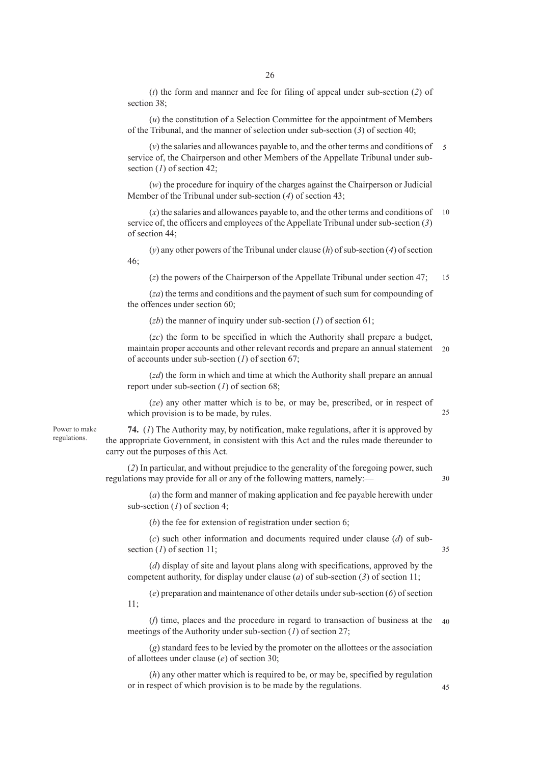(*t*) the form and manner and fee for filing of appeal under sub-section (*2*) of section 38;

(*u*) the constitution of a Selection Committee for the appointment of Members of the Tribunal, and the manner of selection under sub-section (*3*) of section 40;

(*v*) the salaries and allowances payable to, and the other terms and conditions of 5 service of, the Chairperson and other Members of the Appellate Tribunal under subsection (*1*) of section 42;

(*w*) the procedure for inquiry of the charges against the Chairperson or Judicial Member of the Tribunal under sub-section (*4*) of section 43;

(*x*) the salaries and allowances payable to, and the other terms and conditions of service of, the officers and employees of the Appellate Tribunal under sub-section (*3*) of section 44; 10

(*y*) any other powers of the Tribunal under clause (*h*) of sub-section (*4*) of section 46;

(*z*) the powers of the Chairperson of the Appellate Tribunal under section 47; 15

(*za*) the terms and conditions and the payment of such sum for compounding of the offences under section 60;

(*zb*) the manner of inquiry under sub-section (*1*) of section 61;

(*zc*) the form to be specified in which the Authority shall prepare a budget, maintain proper accounts and other relevant records and prepare an annual statement 20 of accounts under sub-section (*1*) of section 67;

(*zd*) the form in which and time at which the Authority shall prepare an annual report under sub-section (*1*) of section 68;

(*ze*) any other matter which is to be, or may be, prescribed, or in respect of which provision is to be made, by rules.

**74.** (*1*) The Authority may, by notification, make regulations, after it is approved by the appropriate Government, in consistent with this Act and the rules made thereunder to carry out the purposes of this Act.

(*2*) In particular, and without prejudice to the generality of the foregoing power, such regulations may provide for all or any of the following matters, namely:—

30

35

25

(*a*) the form and manner of making application and fee payable herewith under sub-section (*1*) of section 4;

(*b*) the fee for extension of registration under section 6;

(*c*) such other information and documents required under clause (*d*) of subsection (*1*) of section 11;

(*d*) display of site and layout plans along with specifications, approved by the competent authority, for display under clause (*a*) of sub-section (*3*) of section 11;

(*e*) preparation and maintenance of other details under sub-section (*6*) of section 11;

(*f*) time, places and the procedure in regard to transaction of business at the 40 meetings of the Authority under sub-section (*1*) of section 27;

(*g*) standard fees to be levied by the promoter on the allottees or the association of allottees under clause (*e*) of section 30;

(*h*) any other matter which is required to be, or may be, specified by regulation or in respect of which provision is to be made by the regulations.

Power to make regulations.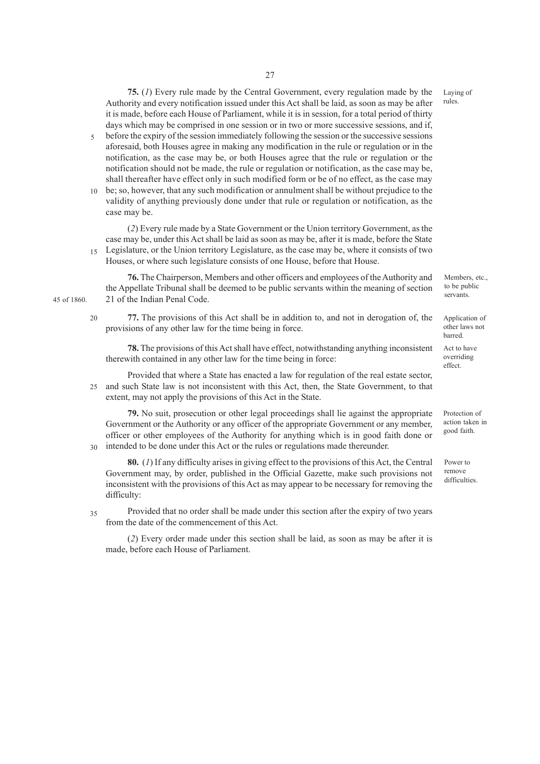**75.** (*1*) Every rule made by the Central Government, every regulation made by the Authority and every notification issued under this Act shall be laid, as soon as may be after it is made, before each House of Parliament, while it is in session, for a total period of thirty days which may be comprised in one session or in two or more successive sessions, and if, Laying of

- before the expiry of the session immediately following the session or the successive sessions aforesaid, both Houses agree in making any modification in the rule or regulation or in the notification, as the case may be, or both Houses agree that the rule or regulation or the notification should not be made, the rule or regulation or notification, as the case may be, shall thereafter have effect only in such modified form or be of no effect, as the case may 5
- be; so, however, that any such modification or annulment shall be without prejudice to the validity of anything previously done under that rule or regulation or notification, as the case may be. 10

(*2*) Every rule made by a State Government or the Union territory Government, as the case may be, under this Act shall be laid as soon as may be, after it is made, before the State Legislature, or the Union territory Legislature, as the case may be, where it consists of two 15 Houses, or where such legislature consists of one House, before that House.

**76.** The Chairperson, Members and other officers and employees of the Authority and the Appellate Tribunal shall be deemed to be public servants within the meaning of section 21 of the Indian Penal Code.

**77.** The provisions of this Act shall be in addition to, and not in derogation of, the provisions of any other law for the time being in force. 20

**78.** The provisions of this Act shall have effect, notwithstanding anything inconsistent therewith contained in any other law for the time being in force:

Provided that where a State has enacted a law for regulation of the real estate sector, and such State law is not inconsistent with this Act, then, the State Government, to that extent, may not apply the provisions of this Act in the State. 25

**79.** No suit, prosecution or other legal proceedings shall lie against the appropriate Government or the Authority or any officer of the appropriate Government or any member, officer or other employees of the Authority for anything which is in good faith done or intended to be done under this Act or the rules or regulations made thereunder. 30

**80.** (*1*) If any difficulty arises in giving effect to the provisions of this Act, the Central Government may, by order, published in the Official Gazette, make such provisions not inconsistent with the provisions of this Act as may appear to be necessary for removing the difficulty:

Provided that no order shall be made under this section after the expiry of two years from the date of the commencement of this Act. 35

(*2*) Every order made under this section shall be laid, as soon as may be after it is made, before each House of Parliament.

45 of 1860.

Members, etc., to be public servants.

rules.

Application of other laws not barred. Act to have

overriding effect.

Protection of action taken in good faith.

Power to remove difficulties.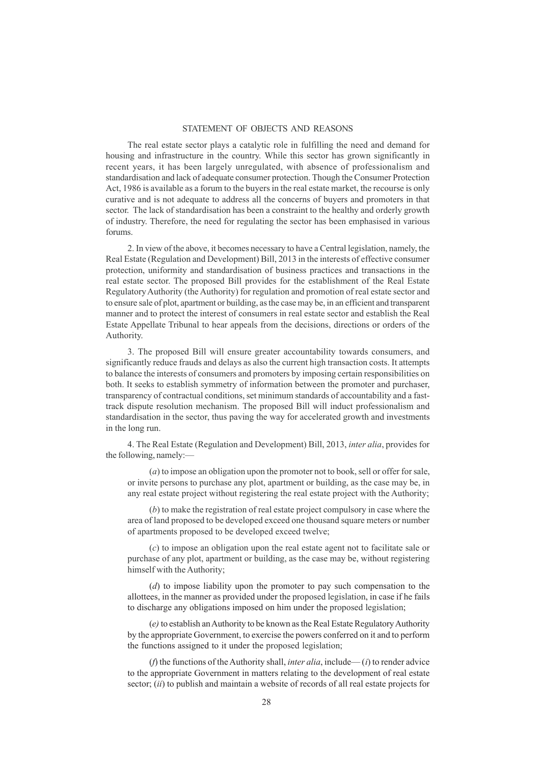#### STATEMENT OF OBJECTS AND REASONS

The real estate sector plays a catalytic role in fulfilling the need and demand for housing and infrastructure in the country. While this sector has grown significantly in recent years, it has been largely unregulated, with absence of professionalism and standardisation and lack of adequate consumer protection. Though the Consumer Protection Act, 1986 is available as a forum to the buyers in the real estate market, the recourse is only curative and is not adequate to address all the concerns of buyers and promoters in that sector. The lack of standardisation has been a constraint to the healthy and orderly growth of industry. Therefore, the need for regulating the sector has been emphasised in various forums.

2. In view of the above, it becomes necessary to have a Central legislation, namely, the Real Estate (Regulation and Development) Bill, 2013 in the interests of effective consumer protection, uniformity and standardisation of business practices and transactions in the real estate sector. The proposed Bill provides for the establishment of the Real Estate Regulatory Authority (the Authority) for regulation and promotion of real estate sector and to ensure sale of plot, apartment or building, as the case may be, in an efficient and transparent manner and to protect the interest of consumers in real estate sector and establish the Real Estate Appellate Tribunal to hear appeals from the decisions, directions or orders of the Authority.

3. The proposed Bill will ensure greater accountability towards consumers, and significantly reduce frauds and delays as also the current high transaction costs. It attempts to balance the interests of consumers and promoters by imposing certain responsibilities on both. It seeks to establish symmetry of information between the promoter and purchaser, transparency of contractual conditions, set minimum standards of accountability and a fasttrack dispute resolution mechanism. The proposed Bill will induct professionalism and standardisation in the sector, thus paving the way for accelerated growth and investments in the long run.

4. The Real Estate (Regulation and Development) Bill, 2013, *inter alia*, provides for the following, namely:—

(*a*) to impose an obligation upon the promoter not to book, sell or offer for sale, or invite persons to purchase any plot, apartment or building, as the case may be, in any real estate project without registering the real estate project with the Authority;

(*b*) to make the registration of real estate project compulsory in case where the area of land proposed to be developed exceed one thousand square meters or number of apartments proposed to be developed exceed twelve;

(*c*) to impose an obligation upon the real estate agent not to facilitate sale or purchase of any plot, apartment or building, as the case may be, without registering himself with the Authority;

(*d*) to impose liability upon the promoter to pay such compensation to the allottees, in the manner as provided under the proposed legislation, in case if he fails to discharge any obligations imposed on him under the proposed legislation;

(*e)* to establish an Authority to be known as the Real Estate Regulatory Authority by the appropriate Government, to exercise the powers conferred on it and to perform the functions assigned to it under the proposed legislation;

( $f$ ) the functions of the Authority shall, *inter alia*, include— $(i)$  to render advice to the appropriate Government in matters relating to the development of real estate sector; (*ii*) to publish and maintain a website of records of all real estate projects for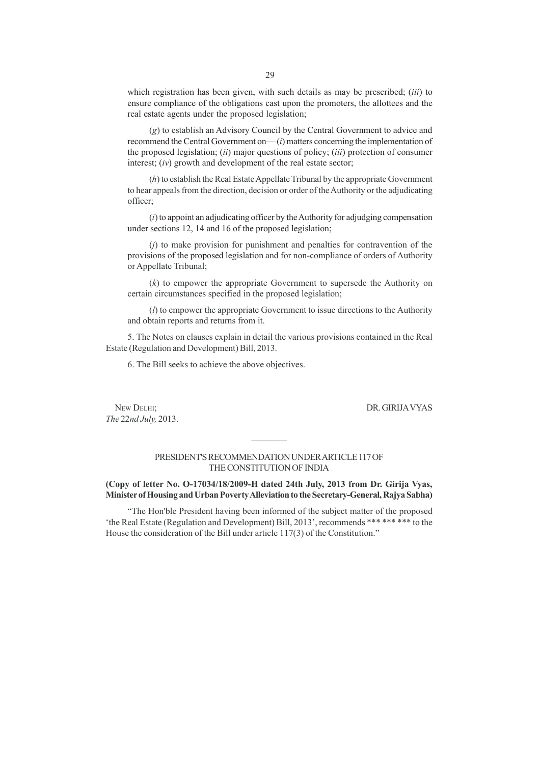which registration has been given, with such details as may be prescribed; (*iii*) to ensure compliance of the obligations cast upon the promoters, the allottees and the real estate agents under the proposed legislation;

(*g*) to establish an Advisory Council by the Central Government to advice and recommend the Central Government on— (*i*) matters concerning the implementation of the proposed legislation; (*ii*) major questions of policy; (*iii*) protection of consumer interest; (*iv*) growth and development of the real estate sector;

(*h*) to establish the Real Estate Appellate Tribunal by the appropriate Government to hear appeals from the direction, decision or order of the Authority or the adjudicating officer;

(*i*) to appoint an adjudicating officer by the Authority for adjudging compensation under sections 12, 14 and 16 of the proposed legislation;

(*j*) to make provision for punishment and penalties for contravention of the provisions of the proposed legislation and for non-compliance of orders of Authority or Appellate Tribunal;

(*k*) to empower the appropriate Government to supersede the Authority on certain circumstances specified in the proposed legislation;

(*l*) to empower the appropriate Government to issue directions to the Authority and obtain reports and returns from it.

5. The Notes on clauses explain in detail the various provisions contained in the Real Estate (Regulation and Development) Bill, 2013.

6. The Bill seeks to achieve the above objectives.

*The* 22*nd July,* 2013.

NEW DELHI; DR. GIRIJA VYAS

## PRESIDENT'S RECOMMENDATION UNDER ARTICLE 117 OF THE CONSTITUTION OF INDIA

————

**(Copy of letter No. O-17034/18/2009-H dated 24th July, 2013 from Dr. Girija Vyas, Minister of Housing and Urban Poverty Alleviation to the Secretary-General, Rajya Sabha)**

"The Hon'ble President having been informed of the subject matter of the proposed 'the Real Estate (Regulation and Development) Bill, 2013', recommends \*\*\* \*\*\* \*\*\* to the House the consideration of the Bill under article 117(3) of the Constitution."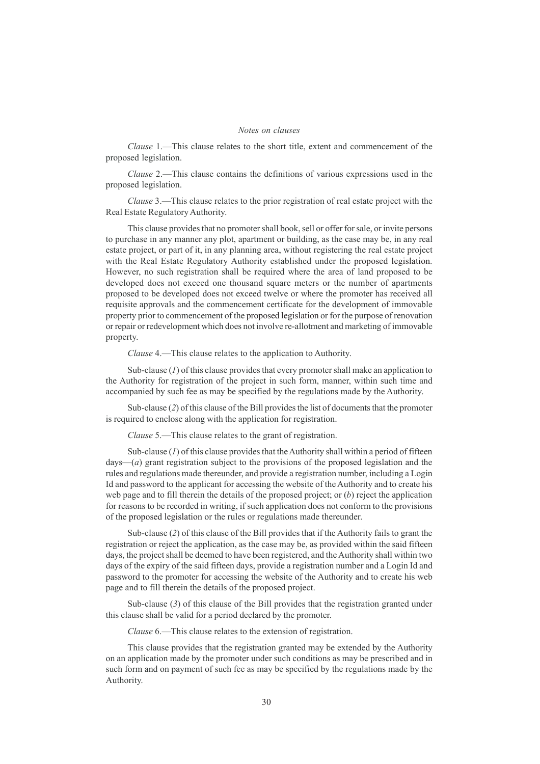#### *Notes on clauses*

*Clause* 1.—This clause relates to the short title, extent and commencement of the proposed legislation.

*Clause* 2.—This clause contains the definitions of various expressions used in the proposed legislation.

*Clause* 3.—This clause relates to the prior registration of real estate project with the Real Estate Regulatory Authority.

This clause provides that no promoter shall book, sell or offer for sale, or invite persons to purchase in any manner any plot, apartment or building, as the case may be, in any real estate project, or part of it, in any planning area, without registering the real estate project with the Real Estate Regulatory Authority established under the proposed legislation. However, no such registration shall be required where the area of land proposed to be developed does not exceed one thousand square meters or the number of apartments proposed to be developed does not exceed twelve or where the promoter has received all requisite approvals and the commencement certificate for the development of immovable property prior to commencement of the proposed legislation or for the purpose of renovation or repair or redevelopment which does not involve re-allotment and marketing of immovable property.

*Clause* 4.—This clause relates to the application to Authority.

Sub-clause (*1*) of this clause provides that every promoter shall make an application to the Authority for registration of the project in such form, manner, within such time and accompanied by such fee as may be specified by the regulations made by the Authority.

Sub-clause (*2*) of this clause of the Bill provides the list of documents that the promoter is required to enclose along with the application for registration.

*Clause* 5.—This clause relates to the grant of registration.

Sub-clause  $(1)$  of this clause provides that the Authority shall within a period of fifteen days— $(a)$  grant registration subject to the provisions of the proposed legislation and the rules and regulations made thereunder, and provide a registration number, including a Login Id and password to the applicant for accessing the website of the Authority and to create his web page and to fill therein the details of the proposed project; or (*b*) reject the application for reasons to be recorded in writing, if such application does not conform to the provisions of the proposed legislation or the rules or regulations made thereunder.

Sub-clause (*2*) of this clause of the Bill provides that if the Authority fails to grant the registration or reject the application, as the case may be, as provided within the said fifteen days, the project shall be deemed to have been registered, and the Authority shall within two days of the expiry of the said fifteen days, provide a registration number and a Login Id and password to the promoter for accessing the website of the Authority and to create his web page and to fill therein the details of the proposed project.

Sub-clause (*3*) of this clause of the Bill provides that the registration granted under this clause shall be valid for a period declared by the promoter.

*Clause* 6.—This clause relates to the extension of registration.

This clause provides that the registration granted may be extended by the Authority on an application made by the promoter under such conditions as may be prescribed and in such form and on payment of such fee as may be specified by the regulations made by the Authority.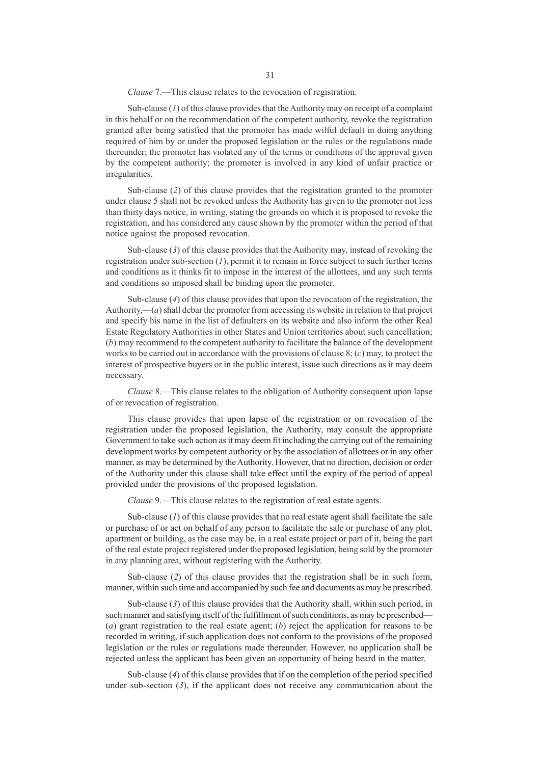Sub-clause (*1*) of this clause provides that the Authority may on receipt of a complaint in this behalf or on the recommendation of the competent authority, revoke the registration granted after being satisfied that the promoter has made wilful default in doing anything required of him by or under the proposed legislation or the rules or the regulations made thereunder; the promoter has violated any of the terms or conditions of the approval given by the competent authority; the promoter is involved in any kind of unfair practice or irregularities.

Sub-clause (*2*) of this clause provides that the registration granted to the promoter under clause 5 shall not be revoked unless the Authority has given to the promoter not less than thirty days notice, in writing, stating the grounds on which it is proposed to revoke the registration, and has considered any cause shown by the promoter within the period of that notice against the proposed revocation.

Sub-clause (*3*) of this clause provides that the Authority may, instead of revoking the registration under sub-section (*1*), permit it to remain in force subject to such further terms and conditions as it thinks fit to impose in the interest of the allottees, and any such terms and conditions so imposed shall be binding upon the promoter.

Sub-clause (*4*) of this clause provides that upon the revocation of the registration, the Authority,— $(a)$  shall debar the promoter from accessing its website in relation to that project and specify his name in the list of defaulters on its website and also inform the other Real Estate Regulatory Authorities in other States and Union territories about such cancellation; (*b*) may recommend to the competent authority to facilitate the balance of the development works to be carried out in accordance with the provisions of clause 8; (*c*) may, to protect the interest of prospective buyers or in the public interest, issue such directions as it may deem necessary.

*Clause* 8.—This clause relates to the obligation of Authority consequent upon lapse of or revocation of registration.

This clause provides that upon lapse of the registration or on revocation of the registration under the proposed legislation, the Authority, may consult the appropriate Government to take such action as it may deem fit including the carrying out of the remaining development works by competent authority or by the association of allottees or in any other manner, as may be determined by the Authority. However, that no direction, decision or order of the Authority under this clause shall take effect until the expiry of the period of appeal provided under the provisions of the proposed legislation.

*Clause* 9.—This clause relates to the registration of real estate agents.

Sub-clause (*1*) of this clause provides that no real estate agent shall facilitate the sale or purchase of or act on behalf of any person to facilitate the sale or purchase of any plot, apartment or building, as the case may be, in a real estate project or part of it, being the part of the real estate project registered under the proposed legislation, being sold by the promoter in any planning area, without registering with the Authority.

Sub-clause (*2*) of this clause provides that the registration shall be in such form, manner, within such time and accompanied by such fee and documents as may be prescribed.

Sub-clause (*3*) of this clause provides that the Authority shall, within such period, in such manner and satisfying itself of the fulfillment of such conditions, as may be prescribed— (*a*) grant registration to the real estate agent; (*b*) reject the application for reasons to be recorded in writing, if such application does not conform to the provisions of the proposed legislation or the rules or regulations made thereunder. However, no application shall be rejected unless the applicant has been given an opportunity of being heard in the matter.

Sub-clause (*4*) of this clause provides that if on the completion of the period specified under sub-section (*3*), if the applicant does not receive any communication about the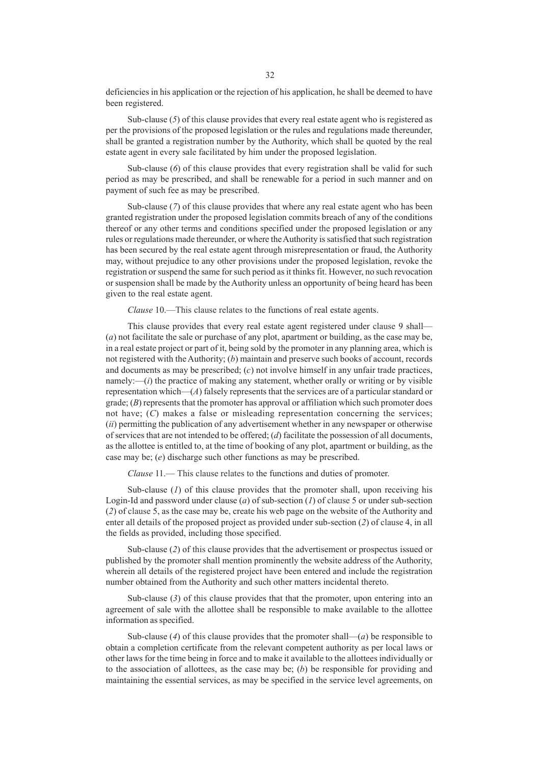deficiencies in his application or the rejection of his application, he shall be deemed to have been registered.

Sub-clause (*5*) of this clause provides that every real estate agent who is registered as per the provisions of the proposed legislation or the rules and regulations made thereunder, shall be granted a registration number by the Authority, which shall be quoted by the real estate agent in every sale facilitated by him under the proposed legislation.

Sub-clause (6) of this clause provides that every registration shall be valid for such period as may be prescribed, and shall be renewable for a period in such manner and on payment of such fee as may be prescribed.

Sub-clause (*7*) of this clause provides that where any real estate agent who has been granted registration under the proposed legislation commits breach of any of the conditions thereof or any other terms and conditions specified under the proposed legislation or any rules or regulations made thereunder, or where the Authority is satisfied that such registration has been secured by the real estate agent through misrepresentation or fraud, the Authority may, without prejudice to any other provisions under the proposed legislation, revoke the registration or suspend the same for such period as it thinks fit. However, no such revocation or suspension shall be made by the Authority unless an opportunity of being heard has been given to the real estate agent.

*Clause* 10.—This clause relates to the functions of real estate agents.

This clause provides that every real estate agent registered under clause 9 shall— (*a*) not facilitate the sale or purchase of any plot, apartment or building, as the case may be, in a real estate project or part of it, being sold by the promoter in any planning area, which is not registered with the Authority; (*b*) maintain and preserve such books of account, records and documents as may be prescribed; (*c*) not involve himself in any unfair trade practices, namely: $-(i)$  the practice of making any statement, whether orally or writing or by visible representation which—(*A*) falsely represents that the services are of a particular standard or grade; (*B*) represents that the promoter has approval or affiliation which such promoter does not have; (*C*) makes a false or misleading representation concerning the services; (*ii*) permitting the publication of any advertisement whether in any newspaper or otherwise of services that are not intended to be offered; (*d*) facilitate the possession of all documents, as the allottee is entitled to, at the time of booking of any plot, apartment or building, as the case may be; (*e*) discharge such other functions as may be prescribed.

*Clause* 11.— This clause relates to the functions and duties of promoter.

Sub-clause (*1*) of this clause provides that the promoter shall, upon receiving his Login-Id and password under clause (*a*) of sub-section (*1*) of clause 5 or under sub-section (*2*) of clause 5, as the case may be, create his web page on the website of the Authority and enter all details of the proposed project as provided under sub-section (*2*) of clause 4, in all the fields as provided, including those specified.

Sub-clause (*2*) of this clause provides that the advertisement or prospectus issued or published by the promoter shall mention prominently the website address of the Authority, wherein all details of the registered project have been entered and include the registration number obtained from the Authority and such other matters incidental thereto.

Sub-clause (3) of this clause provides that that the promoter, upon entering into an agreement of sale with the allottee shall be responsible to make available to the allottee information as specified.

Sub-clause (4) of this clause provides that the promoter shall—(*a*) be responsible to obtain a completion certificate from the relevant competent authority as per local laws or other laws for the time being in force and to make it available to the allottees individually or to the association of allottees, as the case may be; (*b*) be responsible for providing and maintaining the essential services, as may be specified in the service level agreements, on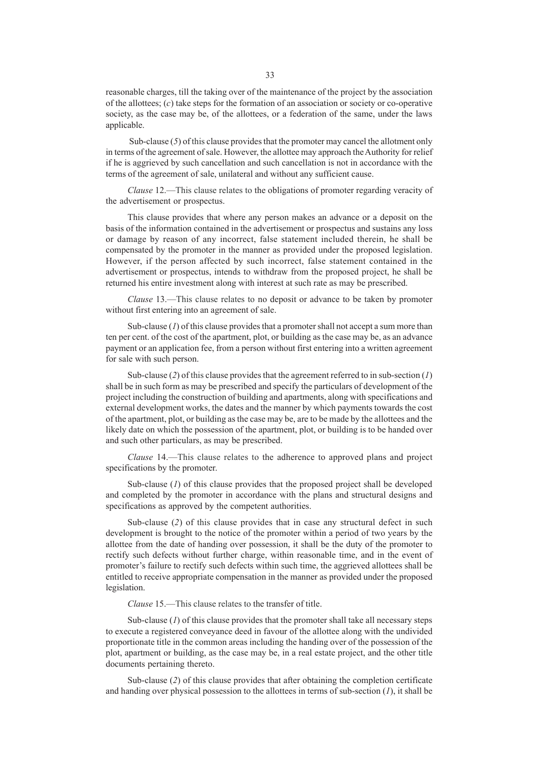reasonable charges, till the taking over of the maintenance of the project by the association of the allottees; (*c*) take steps for the formation of an association or society or co-operative society, as the case may be, of the allottees, or a federation of the same, under the laws applicable.

Sub-clause (5) of this clause provides that the promoter may cancel the allotment only in terms of the agreement of sale. However, the allottee may approach the Authority for relief if he is aggrieved by such cancellation and such cancellation is not in accordance with the terms of the agreement of sale, unilateral and without any sufficient cause.

*Clause* 12.—This clause relates to the obligations of promoter regarding veracity of the advertisement or prospectus.

This clause provides that where any person makes an advance or a deposit on the basis of the information contained in the advertisement or prospectus and sustains any loss or damage by reason of any incorrect, false statement included therein, he shall be compensated by the promoter in the manner as provided under the proposed legislation. However, if the person affected by such incorrect, false statement contained in the advertisement or prospectus, intends to withdraw from the proposed project, he shall be returned his entire investment along with interest at such rate as may be prescribed.

*Clause* 13.—This clause relates to no deposit or advance to be taken by promoter without first entering into an agreement of sale.

Sub-clause (*I*) of this clause provides that a promoter shall not accept a sum more than ten per cent. of the cost of the apartment, plot, or building as the case may be, as an advance payment or an application fee, from a person without first entering into a written agreement for sale with such person.

Sub-clause (*2*) of this clause provides that the agreement referred to in sub-section (*1*) shall be in such form as may be prescribed and specify the particulars of development of the project including the construction of building and apartments, along with specifications and external development works, the dates and the manner by which payments towards the cost of the apartment, plot, or building as the case may be, are to be made by the allottees and the likely date on which the possession of the apartment, plot, or building is to be handed over and such other particulars, as may be prescribed.

*Clause* 14.—This clause relates to the adherence to approved plans and project specifications by the promoter.

Sub-clause (*1*) of this clause provides that the proposed project shall be developed and completed by the promoter in accordance with the plans and structural designs and specifications as approved by the competent authorities.

Sub-clause (*2*) of this clause provides that in case any structural defect in such development is brought to the notice of the promoter within a period of two years by the allottee from the date of handing over possession, it shall be the duty of the promoter to rectify such defects without further charge, within reasonable time, and in the event of promoter's failure to rectify such defects within such time, the aggrieved allottees shall be entitled to receive appropriate compensation in the manner as provided under the proposed legislation.

*Clause* 15.—This clause relates to the transfer of title.

Sub-clause (*1*) of this clause provides that the promoter shall take all necessary steps to execute a registered conveyance deed in favour of the allottee along with the undivided proportionate title in the common areas including the handing over of the possession of the plot, apartment or building, as the case may be, in a real estate project, and the other title documents pertaining thereto.

Sub-clause (*2*) of this clause provides that after obtaining the completion certificate and handing over physical possession to the allottees in terms of sub-section (*1*), it shall be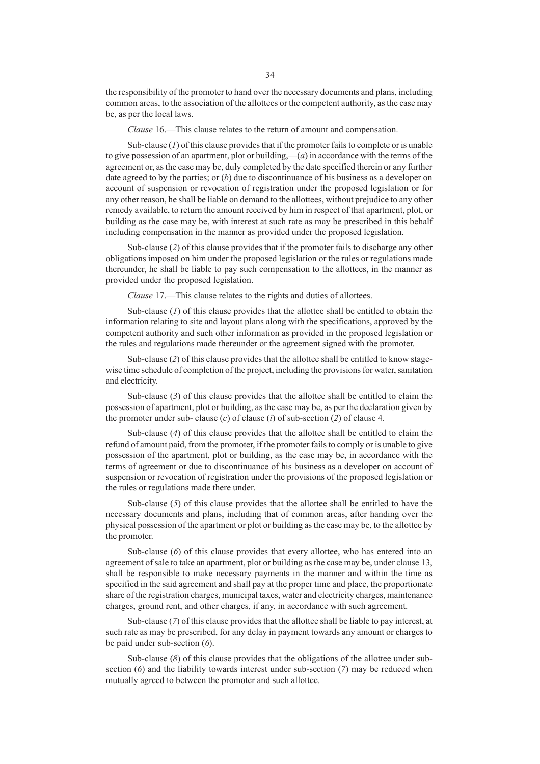the responsibility of the promoter to hand over the necessary documents and plans, including common areas, to the association of the allottees or the competent authority, as the case may be, as per the local laws.

*Clause* 16.—This clause relates to the return of amount and compensation.

Sub-clause (*I*) of this clause provides that if the promoter fails to complete or is unable to give possession of an apartment, plot or building,  $-(a)$  in accordance with the terms of the agreement or, as the case may be, duly completed by the date specified therein or any further date agreed to by the parties; or (*b*) due to discontinuance of his business as a developer on account of suspension or revocation of registration under the proposed legislation or for any other reason, he shall be liable on demand to the allottees, without prejudice to any other remedy available, to return the amount received by him in respect of that apartment, plot, or building as the case may be, with interest at such rate as may be prescribed in this behalf including compensation in the manner as provided under the proposed legislation.

Sub-clause (*2*) of this clause provides that if the promoter fails to discharge any other obligations imposed on him under the proposed legislation or the rules or regulations made thereunder, he shall be liable to pay such compensation to the allottees, in the manner as provided under the proposed legislation.

*Clause* 17.—This clause relates to the rights and duties of allottees.

Sub-clause (*1*) of this clause provides that the allottee shall be entitled to obtain the information relating to site and layout plans along with the specifications, approved by the competent authority and such other information as provided in the proposed legislation or the rules and regulations made thereunder or the agreement signed with the promoter.

Sub-clause (*2*) of this clause provides that the allottee shall be entitled to know stagewise time schedule of completion of the project, including the provisions for water, sanitation and electricity.

Sub-clause (*3*) of this clause provides that the allottee shall be entitled to claim the possession of apartment, plot or building, as the case may be, as per the declaration given by the promoter under sub- clause (*c*) of clause (*i*) of sub-section (*2*) of clause 4.

Sub-clause (*4*) of this clause provides that the allottee shall be entitled to claim the refund of amount paid, from the promoter, if the promoter fails to comply or is unable to give possession of the apartment, plot or building, as the case may be, in accordance with the terms of agreement or due to discontinuance of his business as a developer on account of suspension or revocation of registration under the provisions of the proposed legislation or the rules or regulations made there under.

Sub-clause (5) of this clause provides that the allottee shall be entitled to have the necessary documents and plans, including that of common areas, after handing over the physical possession of the apartment or plot or building as the case may be, to the allottee by the promoter.

Sub-clause (6) of this clause provides that every allottee, who has entered into an agreement of sale to take an apartment, plot or building as the case may be, under clause 13, shall be responsible to make necessary payments in the manner and within the time as specified in the said agreement and shall pay at the proper time and place, the proportionate share of the registration charges, municipal taxes, water and electricity charges, maintenance charges, ground rent, and other charges, if any, in accordance with such agreement.

Sub-clause (*7*) of this clause provides that the allottee shall be liable to pay interest, at such rate as may be prescribed, for any delay in payment towards any amount or charges to be paid under sub-section (*6*).

Sub-clause (8) of this clause provides that the obligations of the allottee under subsection (*6*) and the liability towards interest under sub-section (*7*) may be reduced when mutually agreed to between the promoter and such allottee.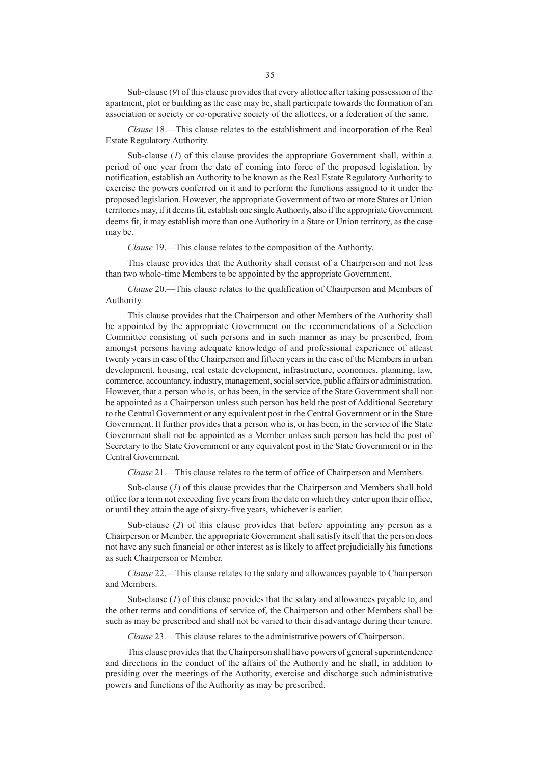Sub-clause (9) of this clause provides that every allottee after taking possession of the apartment, plot or building as the case may be, shall participate towards the formation of an association or society or co-operative society of the allottees, or a federation of the same.

*Clause* 18.—This clause relates to the establishment and incorporation of the Real Estate Regulatory Authority.

Sub-clause (*1*) of this clause provides the appropriate Government shall, within a period of one year from the date of coming into force of the proposed legislation, by notification, establish an Authority to be known as the Real Estate Regulatory Authority to exercise the powers conferred on it and to perform the functions assigned to it under the proposed legislation. However, the appropriate Government of two or more States or Union territories may, if it deems fit, establish one single Authority, also if the appropriate Government deems fit, it may establish more than one Authority in a State or Union territory, as the case may be.

*Clause* 19.—This clause relates to the composition of the Authority.

This clause provides that the Authority shall consist of a Chairperson and not less than two whole-time Members to be appointed by the appropriate Government.

*Clause* 20.—This clause relates to the qualification of Chairperson and Members of Authority.

This clause provides that the Chairperson and other Members of the Authority shall be appointed by the appropriate Government on the recommendations of a Selection Committee consisting of such persons and in such manner as may be prescribed, from amongst persons having adequate knowledge of and professional experience of atleast twenty years in case of the Chairperson and fifteen years in the case of the Members in urban development, housing, real estate development, infrastructure, economics, planning, law, commerce, accountancy, industry, management, social service, public affairs or administration. However, that a person who is, or has been, in the service of the State Government shall not be appointed as a Chairperson unless such person has held the post of Additional Secretary to the Central Government or any equivalent post in the Central Government or in the State Government. It further provides that a person who is, or has been, in the service of the State Government shall not be appointed as a Member unless such person has held the post of Secretary to the State Government or any equivalent post in the State Government or in the Central Government.

*Clause* 21.—This clause relates to the term of office of Chairperson and Members.

Sub-clause (*1*) of this clause provides that the Chairperson and Members shall hold office for a term not exceeding five years from the date on which they enter upon their office, or until they attain the age of sixty-five years, whichever is earlier.

Sub-clause (2) of this clause provides that before appointing any person as a Chairperson or Member, the appropriate Government shall satisfy itself that the person does not have any such financial or other interest as is likely to affect prejudicially his functions as such Chairperson or Member.

*Clause* 22.—This clause relates to the salary and allowances payable to Chairperson and Members.

Sub-clause (*1*) of this clause provides that the salary and allowances payable to, and the other terms and conditions of service of, the Chairperson and other Members shall be such as may be prescribed and shall not be varied to their disadvantage during their tenure.

*Clause* 23.—This clause relates to the administrative powers of Chairperson.

This clause provides that the Chairperson shall have powers of general superintendence and directions in the conduct of the affairs of the Authority and he shall, in addition to presiding over the meetings of the Authority, exercise and discharge such administrative powers and functions of the Authority as may be prescribed.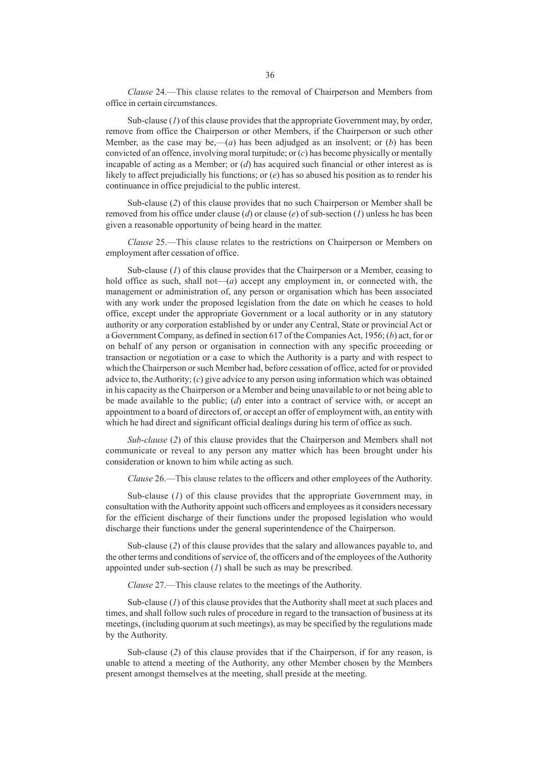*Clause* 24.—This clause relates to the removal of Chairperson and Members from office in certain circumstances.

Sub-clause (*1*) of this clause provides that the appropriate Government may, by order, remove from office the Chairperson or other Members, if the Chairperson or such other Member, as the case may be,— $(a)$  has been adjudged as an insolvent; or  $(b)$  has been convicted of an offence, involving moral turpitude; or (*c*) has become physically or mentally incapable of acting as a Member; or (*d*) has acquired such financial or other interest as is likely to affect prejudicially his functions; or (*e*) has so abused his position as to render his continuance in office prejudicial to the public interest.

Sub-clause (*2*) of this clause provides that no such Chairperson or Member shall be removed from his office under clause (*d*) or clause (*e*) of sub-section (*1*) unless he has been given a reasonable opportunity of being heard in the matter.

*Clause* 25.—This clause relates to the restrictions on Chairperson or Members on employment after cessation of office.

Sub-clause (*1*) of this clause provides that the Chairperson or a Member, ceasing to hold office as such, shall not—(*a*) accept any employment in, or connected with, the management or administration of, any person or organisation which has been associated with any work under the proposed legislation from the date on which he ceases to hold office, except under the appropriate Government or a local authority or in any statutory authority or any corporation established by or under any Central, State or provincial Act or a Government Company, as defined in section 617 of the Companies Act, 1956; (*b*) act, for or on behalf of any person or organisation in connection with any specific proceeding or transaction or negotiation or a case to which the Authority is a party and with respect to which the Chairperson or such Member had, before cessation of office, acted for or provided advice to, the Authority; (*c*) give advice to any person using information which was obtained in his capacity as the Chairperson or a Member and being unavailable to or not being able to be made available to the public; (*d*) enter into a contract of service with, or accept an appointment to a board of directors of, or accept an offer of employment with, an entity with which he had direct and significant official dealings during his term of office as such.

*Sub-clause* (*2*) of this clause provides that the Chairperson and Members shall not communicate or reveal to any person any matter which has been brought under his consideration or known to him while acting as such.

*Clause* 26.—This clause relates to the officers and other employees of the Authority.

Sub-clause (*1*) of this clause provides that the appropriate Government may, in consultation with the Authority appoint such officers and employees as it considers necessary for the efficient discharge of their functions under the proposed legislation who would discharge their functions under the general superintendence of the Chairperson.

Sub-clause (*2*) of this clause provides that the salary and allowances payable to, and the other terms and conditions of service of, the officers and of the employees of the Authority appointed under sub-section (*1*) shall be such as may be prescribed.

*Clause* 27.—This clause relates to the meetings of the Authority.

Sub-clause (*1*) of this clause provides that the Authority shall meet at such places and times, and shall follow such rules of procedure in regard to the transaction of business at its meetings, (including quorum at such meetings), as may be specified by the regulations made by the Authority.

Sub-clause (2) of this clause provides that if the Chairperson, if for any reason, is unable to attend a meeting of the Authority, any other Member chosen by the Members present amongst themselves at the meeting, shall preside at the meeting.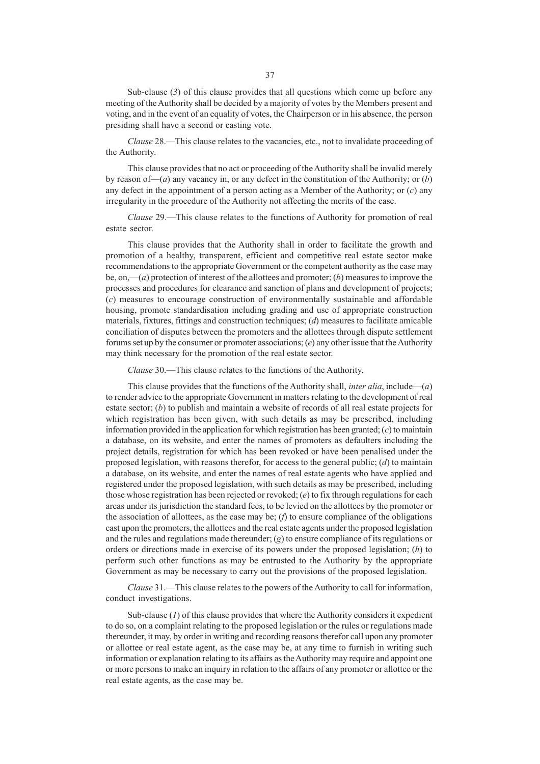Sub-clause (3) of this clause provides that all questions which come up before any meeting of the Authority shall be decided by a majority of votes by the Members present and voting, and in the event of an equality of votes, the Chairperson or in his absence, the person presiding shall have a second or casting vote.

*Clause* 28.—This clause relates to the vacancies, etc., not to invalidate proceeding of the Authority.

This clause provides that no act or proceeding of the Authority shall be invalid merely by reason of— $(a)$  any vacancy in, or any defect in the constitution of the Authority; or  $(b)$ any defect in the appointment of a person acting as a Member of the Authority; or (*c*) any irregularity in the procedure of the Authority not affecting the merits of the case.

*Clause* 29.—This clause relates to the functions of Authority for promotion of real estate sector.

This clause provides that the Authority shall in order to facilitate the growth and promotion of a healthy, transparent, efficient and competitive real estate sector make recommendations to the appropriate Government or the competent authority as the case may be, on,—(*a*) protection of interest of the allottees and promoter; (*b*) measures to improve the processes and procedures for clearance and sanction of plans and development of projects; (*c*) measures to encourage construction of environmentally sustainable and affordable housing, promote standardisation including grading and use of appropriate construction materials, fixtures, fittings and construction techniques; (*d*) measures to facilitate amicable conciliation of disputes between the promoters and the allottees through dispute settlement forums set up by the consumer or promoter associations; (*e*) any other issue that the Authority may think necessary for the promotion of the real estate sector.

*Clause* 30.—This clause relates to the functions of the Authority.

This clause provides that the functions of the Authority shall, *inter alia*, include—(*a*) to render advice to the appropriate Government in matters relating to the development of real estate sector; (*b*) to publish and maintain a website of records of all real estate projects for which registration has been given, with such details as may be prescribed, including information provided in the application for which registration has been granted; (*c*) to maintain a database, on its website, and enter the names of promoters as defaulters including the project details, registration for which has been revoked or have been penalised under the proposed legislation, with reasons therefor, for access to the general public; (*d*) to maintain a database, on its website, and enter the names of real estate agents who have applied and registered under the proposed legislation, with such details as may be prescribed, including those whose registration has been rejected or revoked; (*e*) to fix through regulations for each areas under its jurisdiction the standard fees, to be levied on the allottees by the promoter or the association of allottees, as the case may be;  $(f)$  to ensure compliance of the obligations cast upon the promoters, the allottees and the real estate agents under the proposed legislation and the rules and regulations made thereunder; (*g*) to ensure compliance of its regulations or orders or directions made in exercise of its powers under the proposed legislation; (*h*) to perform such other functions as may be entrusted to the Authority by the appropriate Government as may be necessary to carry out the provisions of the proposed legislation.

*Clause* 31.—This clause relates to the powers of the Authority to call for information, conduct investigations.

Sub-clause (*1*) of this clause provides that where the Authority considers it expedient to do so, on a complaint relating to the proposed legislation or the rules or regulations made thereunder, it may, by order in writing and recording reasons therefor call upon any promoter or allottee or real estate agent, as the case may be, at any time to furnish in writing such information or explanation relating to its affairs as the Authority may require and appoint one or more persons to make an inquiry in relation to the affairs of any promoter or allottee or the real estate agents, as the case may be.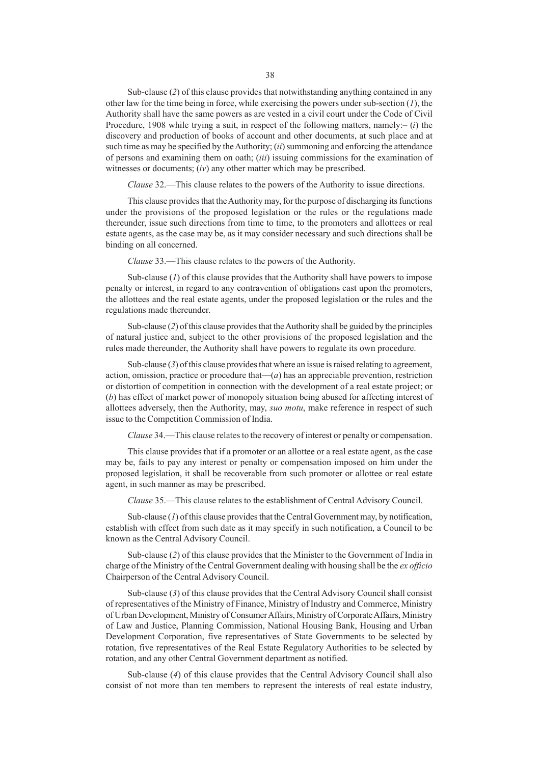Sub-clause (*2*) of this clause provides that notwithstanding anything contained in any other law for the time being in force, while exercising the powers under sub-section (*1*), the Authority shall have the same powers as are vested in a civil court under the Code of Civil Procedure, 1908 while trying a suit, in respect of the following matters, namely:– (*i*) the discovery and production of books of account and other documents, at such place and at such time as may be specified by the Authority; (*ii*) summoning and enforcing the attendance of persons and examining them on oath; (*iii*) issuing commissions for the examination of witnesses or documents; (*iv*) any other matter which may be prescribed.

*Clause* 32.—This clause relates to the powers of the Authority to issue directions.

This clause provides that the Authority may, for the purpose of discharging its functions under the provisions of the proposed legislation or the rules or the regulations made thereunder, issue such directions from time to time, to the promoters and allottees or real estate agents, as the case may be, as it may consider necessary and such directions shall be binding on all concerned.

*Clause* 33.—This clause relates to the powers of the Authority.

Sub-clause (*1*) of this clause provides that the Authority shall have powers to impose penalty or interest, in regard to any contravention of obligations cast upon the promoters, the allottees and the real estate agents, under the proposed legislation or the rules and the regulations made thereunder.

Sub-clause (*2*) of this clause provides that the Authority shall be guided by the principles of natural justice and, subject to the other provisions of the proposed legislation and the rules made thereunder, the Authority shall have powers to regulate its own procedure.

Sub-clause (3) of this clause provides that where an issue is raised relating to agreement, action, omission, practice or procedure that— $(a)$  has an appreciable prevention, restriction or distortion of competition in connection with the development of a real estate project; or (*b*) has effect of market power of monopoly situation being abused for affecting interest of allottees adversely, then the Authority, may, *suo motu*, make reference in respect of such issue to the Competition Commission of India.

*Clause* 34.—This clause relates to the recovery of interest or penalty or compensation.

This clause provides that if a promoter or an allottee or a real estate agent, as the case may be, fails to pay any interest or penalty or compensation imposed on him under the proposed legislation, it shall be recoverable from such promoter or allottee or real estate agent, in such manner as may be prescribed.

*Clause* 35.—This clause relates to the establishment of Central Advisory Council.

Sub-clause (*1*) of this clause provides that the Central Government may, by notification, establish with effect from such date as it may specify in such notification, a Council to be known as the Central Advisory Council.

Sub-clause (*2*) of this clause provides that the Minister to the Government of India in charge of the Ministry of the Central Government dealing with housing shall be the *ex officio* Chairperson of the Central Advisory Council.

Sub-clause (*3*) of this clause provides that the Central Advisory Council shall consist of representatives of the Ministry of Finance, Ministry of Industry and Commerce, Ministry of Urban Development, Ministry of Consumer Affairs, Ministry of Corporate Affairs, Ministry of Law and Justice, Planning Commission, National Housing Bank, Housing and Urban Development Corporation, five representatives of State Governments to be selected by rotation, five representatives of the Real Estate Regulatory Authorities to be selected by rotation, and any other Central Government department as notified.

Sub-clause (*4*) of this clause provides that the Central Advisory Council shall also consist of not more than ten members to represent the interests of real estate industry,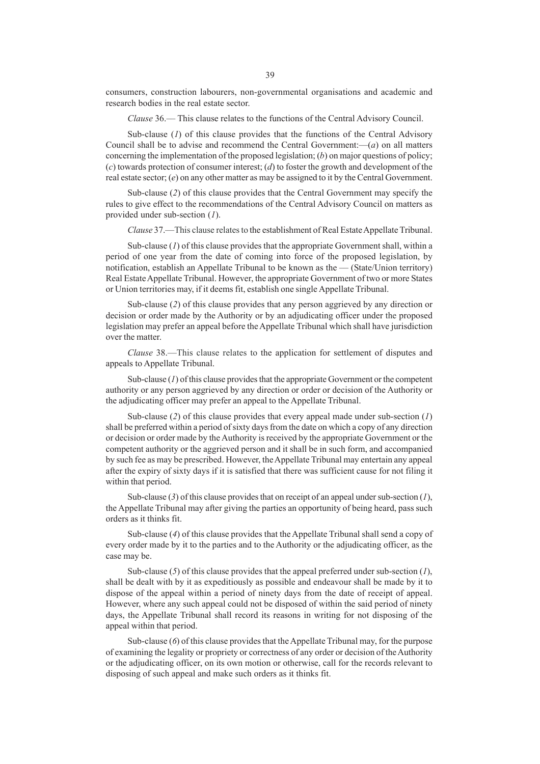consumers, construction labourers, non-governmental organisations and academic and research bodies in the real estate sector.

*Clause* 36.–– This clause relates to the functions of the Central Advisory Council.

Sub-clause (*1*) of this clause provides that the functions of the Central Advisory Council shall be to advise and recommend the Central Government:—(*a*) on all matters concerning the implementation of the proposed legislation; (*b*) on major questions of policy; (*c*) towards protection of consumer interest; (*d*) to foster the growth and development of the real estate sector; (*e*) on any other matter as may be assigned to it by the Central Government.

Sub-clause (*2*) of this clause provides that the Central Government may specify the rules to give effect to the recommendations of the Central Advisory Council on matters as provided under sub-section (*1*).

*Clause* 37.—This clause relates to the establishment of Real Estate Appellate Tribunal.

Sub-clause (*1*) of this clause provides that the appropriate Government shall, within a period of one year from the date of coming into force of the proposed legislation, by notification, establish an Appellate Tribunal to be known as the — (State/Union territory) Real Estate Appellate Tribunal. However, the appropriate Government of two or more States or Union territories may, if it deems fit, establish one single Appellate Tribunal.

Sub-clause (*2*) of this clause provides that any person aggrieved by any direction or decision or order made by the Authority or by an adjudicating officer under the proposed legislation may prefer an appeal before the Appellate Tribunal which shall have jurisdiction over the matter.

*Clause* 38.—This clause relates to the application for settlement of disputes and appeals to Appellate Tribunal.

Sub-clause (*1*) of this clause provides that the appropriate Government or the competent authority or any person aggrieved by any direction or order or decision of the Authority or the adjudicating officer may prefer an appeal to the Appellate Tribunal.

Sub-clause (*2*) of this clause provides that every appeal made under sub-section (*1*) shall be preferred within a period of sixty days from the date on which a copy of any direction or decision or order made by the Authority is received by the appropriate Government or the competent authority or the aggrieved person and it shall be in such form, and accompanied by such fee as may be prescribed. However, the Appellate Tribunal may entertain any appeal after the expiry of sixty days if it is satisfied that there was sufficient cause for not filing it within that period.

Sub-clause (*3*) of this clause provides that on receipt of an appeal under sub-section (*1*), the Appellate Tribunal may after giving the parties an opportunity of being heard, pass such orders as it thinks fit.

Sub-clause (*4*) of this clause provides that the Appellate Tribunal shall send a copy of every order made by it to the parties and to the Authority or the adjudicating officer, as the case may be.

Sub-clause (*5*) of this clause provides that the appeal preferred under sub-section (*1*), shall be dealt with by it as expeditiously as possible and endeavour shall be made by it to dispose of the appeal within a period of ninety days from the date of receipt of appeal. However, where any such appeal could not be disposed of within the said period of ninety days, the Appellate Tribunal shall record its reasons in writing for not disposing of the appeal within that period.

Sub-clause (*6*) of this clause provides that the Appellate Tribunal may, for the purpose of examining the legality or propriety or correctness of any order or decision of the Authority or the adjudicating officer, on its own motion or otherwise, call for the records relevant to disposing of such appeal and make such orders as it thinks fit.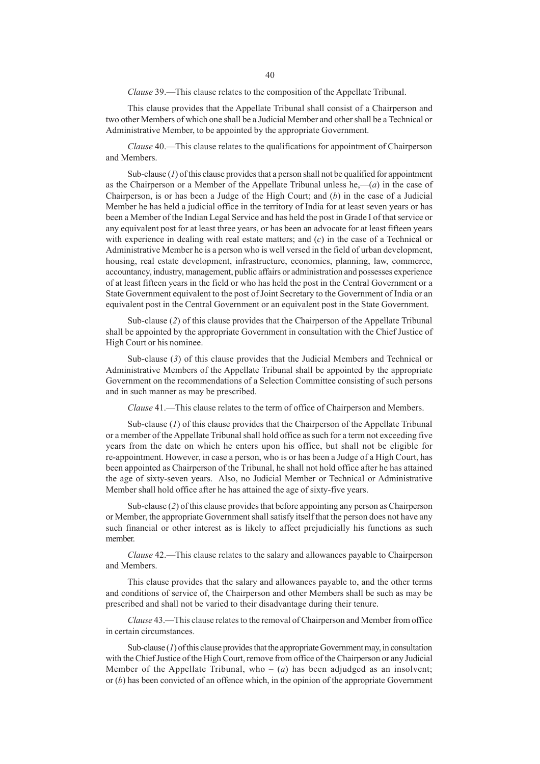*Clause* 39.—This clause relates to the composition of the Appellate Tribunal.

This clause provides that the Appellate Tribunal shall consist of a Chairperson and two other Members of which one shall be a Judicial Member and other shall be a Technical or Administrative Member, to be appointed by the appropriate Government.

*Clause* 40.—This clause relates to the qualifications for appointment of Chairperson and Members.

Sub-clause (*1*) of this clause provides that a person shall not be qualified for appointment as the Chairperson or a Member of the Appellate Tribunal unless he,—(*a*) in the case of Chairperson, is or has been a Judge of the High Court; and (*b*) in the case of a Judicial Member he has held a judicial office in the territory of India for at least seven years or has been a Member of the Indian Legal Service and has held the post in Grade I of that service or any equivalent post for at least three years, or has been an advocate for at least fifteen years with experience in dealing with real estate matters; and  $(c)$  in the case of a Technical or Administrative Member he is a person who is well versed in the field of urban development, housing, real estate development, infrastructure, economics, planning, law, commerce, accountancy, industry, management, public affairs or administration and possesses experience of at least fifteen years in the field or who has held the post in the Central Government or a State Government equivalent to the post of Joint Secretary to the Government of India or an equivalent post in the Central Government or an equivalent post in the State Government.

Sub-clause (*2*) of this clause provides that the Chairperson of the Appellate Tribunal shall be appointed by the appropriate Government in consultation with the Chief Justice of High Court or his nominee.

Sub-clause (*3*) of this clause provides that the Judicial Members and Technical or Administrative Members of the Appellate Tribunal shall be appointed by the appropriate Government on the recommendations of a Selection Committee consisting of such persons and in such manner as may be prescribed.

*Clause* 41.—This clause relates to the term of office of Chairperson and Members.

Sub-clause (*1*) of this clause provides that the Chairperson of the Appellate Tribunal or a member of the Appellate Tribunal shall hold office as such for a term not exceeding five years from the date on which he enters upon his office, but shall not be eligible for re-appointment. However, in case a person, who is or has been a Judge of a High Court, has been appointed as Chairperson of the Tribunal, he shall not hold office after he has attained the age of sixty-seven years. Also, no Judicial Member or Technical or Administrative Member shall hold office after he has attained the age of sixty-five years.

Sub-clause (*2*) of this clause provides that before appointing any person as Chairperson or Member, the appropriate Government shall satisfy itself that the person does not have any such financial or other interest as is likely to affect prejudicially his functions as such member.

*Clause* 42.—This clause relates to the salary and allowances payable to Chairperson and Members.

This clause provides that the salary and allowances payable to, and the other terms and conditions of service of, the Chairperson and other Members shall be such as may be prescribed and shall not be varied to their disadvantage during their tenure.

*Clause* 43.—This clause relates to the removal of Chairperson and Member from office in certain circumstances.

Sub-clause (*1*) of this clause provides that the appropriate Government may, in consultation with the Chief Justice of the High Court, remove from office of the Chairperson or any Judicial Member of the Appellate Tribunal, who  $-$  (*a*) has been adjudged as an insolvent; or (*b*) has been convicted of an offence which, in the opinion of the appropriate Government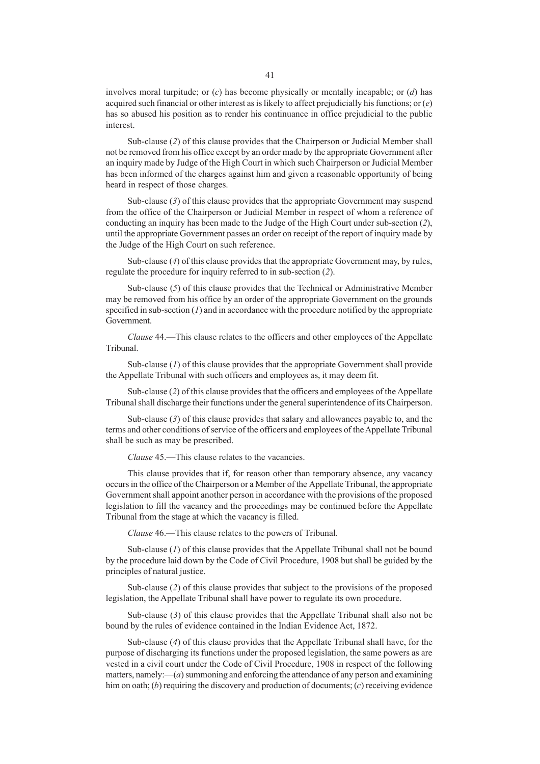involves moral turpitude; or (*c*) has become physically or mentally incapable; or (*d*) has acquired such financial or other interest as is likely to affect prejudicially his functions; or (*e*) has so abused his position as to render his continuance in office prejudicial to the public interest.

Sub-clause (*2*) of this clause provides that the Chairperson or Judicial Member shall not be removed from his office except by an order made by the appropriate Government after an inquiry made by Judge of the High Court in which such Chairperson or Judicial Member has been informed of the charges against him and given a reasonable opportunity of being heard in respect of those charges.

Sub-clause (*3*) of this clause provides that the appropriate Government may suspend from the office of the Chairperson or Judicial Member in respect of whom a reference of conducting an inquiry has been made to the Judge of the High Court under sub-section (*2*), until the appropriate Government passes an order on receipt of the report of inquiry made by the Judge of the High Court on such reference.

Sub-clause (*4*) of this clause provides that the appropriate Government may, by rules, regulate the procedure for inquiry referred to in sub-section (*2*).

Sub-clause (5) of this clause provides that the Technical or Administrative Member may be removed from his office by an order of the appropriate Government on the grounds specified in sub-section  $(I)$  and in accordance with the procedure notified by the appropriate Government.

*Clause* 44.—This clause relates to the officers and other employees of the Appellate Tribunal.

Sub-clause (*1*) of this clause provides that the appropriate Government shall provide the Appellate Tribunal with such officers and employees as, it may deem fit.

Sub-clause (*2*) of this clause provides that the officers and employees of the Appellate Tribunal shall discharge their functions under the general superintendence of its Chairperson.

Sub-clause (*3*) of this clause provides that salary and allowances payable to, and the terms and other conditions of service of the officers and employees of the Appellate Tribunal shall be such as may be prescribed.

*Clause* 45.—This clause relates to the vacancies.

This clause provides that if, for reason other than temporary absence, any vacancy occurs in the office of the Chairperson or a Member of the Appellate Tribunal, the appropriate Government shall appoint another person in accordance with the provisions of the proposed legislation to fill the vacancy and the proceedings may be continued before the Appellate Tribunal from the stage at which the vacancy is filled.

*Clause* 46.—This clause relates to the powers of Tribunal.

Sub-clause (*1*) of this clause provides that the Appellate Tribunal shall not be bound by the procedure laid down by the Code of Civil Procedure, 1908 but shall be guided by the principles of natural justice.

Sub-clause (*2*) of this clause provides that subject to the provisions of the proposed legislation, the Appellate Tribunal shall have power to regulate its own procedure.

Sub-clause (*3*) of this clause provides that the Appellate Tribunal shall also not be bound by the rules of evidence contained in the Indian Evidence Act, 1872.

Sub-clause (*4*) of this clause provides that the Appellate Tribunal shall have, for the purpose of discharging its functions under the proposed legislation, the same powers as are vested in a civil court under the Code of Civil Procedure, 1908 in respect of the following matters, namely: $-(a)$  summoning and enforcing the attendance of any person and examining him on oath; (*b*) requiring the discovery and production of documents; (*c*) receiving evidence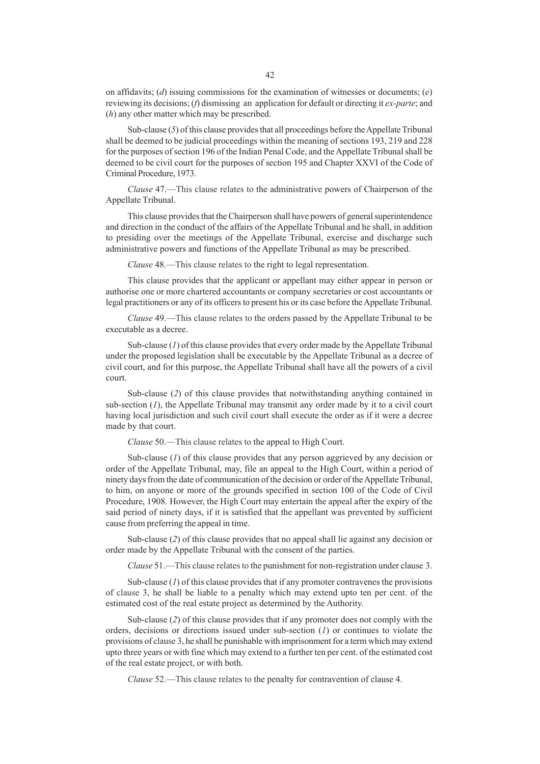on affidavits; (*d*) issuing commissions for the examination of witnesses or documents; (*e*) reviewing its decisions; (*f*) dismissing an application for default or directing it *ex-parte*; and (*h*) any other matter which may be prescribed.

Sub-clause (5) of this clause provides that all proceedings before the Appellate Tribunal shall be deemed to be judicial proceedings within the meaning of sections 193, 219 and 228 for the purposes of section 196 of the Indian Penal Code, and the Appellate Tribunal shall be deemed to be civil court for the purposes of section 195 and Chapter XXVI of the Code of Criminal Procedure, 1973.

*Clause* 47.—This clause relates to the administrative powers of Chairperson of the Appellate Tribunal.

This clause provides that the Chairperson shall have powers of general superintendence and direction in the conduct of the affairs of the Appellate Tribunal and he shall, in addition to presiding over the meetings of the Appellate Tribunal, exercise and discharge such administrative powers and functions of the Appellate Tribunal as may be prescribed.

*Clause* 48.—This clause relates to the right to legal representation.

This clause provides that the applicant or appellant may either appear in person or authorise one or more chartered accountants or company secretaries or cost accountants or legal practitioners or any of its officers to present his or its case before the Appellate Tribunal.

*Clause* 49.—This clause relates to the orders passed by the Appellate Tribunal to be executable as a decree.

Sub-clause (*1*) of this clause provides that every order made by the Appellate Tribunal under the proposed legislation shall be executable by the Appellate Tribunal as a decree of civil court, and for this purpose, the Appellate Tribunal shall have all the powers of a civil court.

Sub-clause (*2*) of this clause provides that notwithstanding anything contained in sub-section  $(I)$ , the Appellate Tribunal may transmit any order made by it to a civil court having local jurisdiction and such civil court shall execute the order as if it were a decree made by that court.

*Clause* 50.—This clause relates to the appeal to High Court.

Sub-clause (*1*) of this clause provides that any person aggrieved by any decision or order of the Appellate Tribunal, may, file an appeal to the High Court, within a period of ninety days from the date of communication of the decision or order of the Appellate Tribunal, to him, on anyone or more of the grounds specified in section 100 of the Code of Civil Procedure, 1908. However, the High Court may entertain the appeal after the expiry of the said period of ninety days, if it is satisfied that the appellant was prevented by sufficient cause from preferring the appeal in time.

Sub-clause (*2*) of this clause provides that no appeal shall lie against any decision or order made by the Appellate Tribunal with the consent of the parties.

*Clause* 51.—This clause relates to the punishment for non-registration under clause 3.

Sub-clause (*1*) of this clause provides that if any promoter contravenes the provisions of clause 3, he shall be liable to a penalty which may extend upto ten per cent. of the estimated cost of the real estate project as determined by the Authority.

Sub-clause (*2*) of this clause provides that if any promoter does not comply with the orders, decisions or directions issued under sub-section (*1*) or continues to violate the provisions of clause 3, he shall be punishable with imprisonment for a term which may extend upto three years or with fine which may extend to a further ten per cent. of the estimated cost of the real estate project, or with both.

*Clause* 52.—This clause relates to the penalty for contravention of clause 4.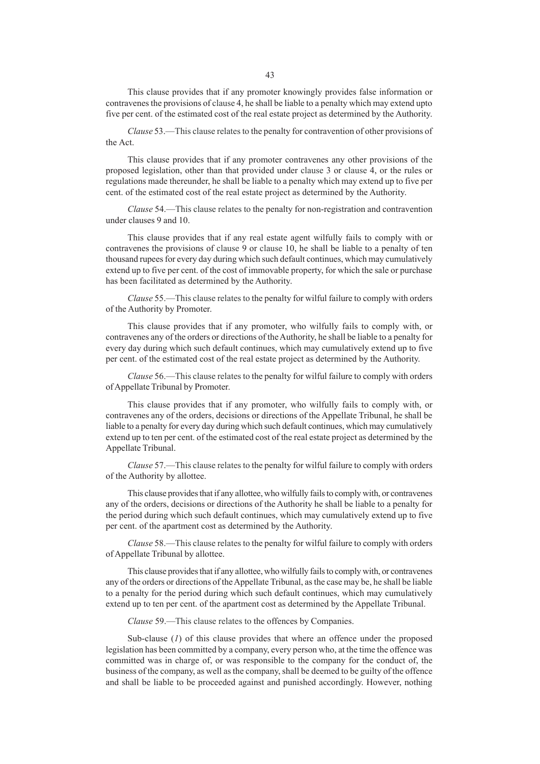This clause provides that if any promoter knowingly provides false information or contravenes the provisions of clause 4, he shall be liable to a penalty which may extend upto five per cent. of the estimated cost of the real estate project as determined by the Authority.

*Clause* 53.—This clause relates to the penalty for contravention of other provisions of the Act.

This clause provides that if any promoter contravenes any other provisions of the proposed legislation, other than that provided under clause 3 or clause 4, or the rules or regulations made thereunder, he shall be liable to a penalty which may extend up to five per cent. of the estimated cost of the real estate project as determined by the Authority.

*Clause* 54.—This clause relates to the penalty for non-registration and contravention under clauses 9 and 10.

This clause provides that if any real estate agent wilfully fails to comply with or contravenes the provisions of clause 9 or clause 10, he shall be liable to a penalty of ten thousand rupees for every day during which such default continues, which may cumulatively extend up to five per cent. of the cost of immovable property, for which the sale or purchase has been facilitated as determined by the Authority.

*Clause* 55.—This clause relates to the penalty for wilful failure to comply with orders of the Authority by Promoter.

This clause provides that if any promoter, who wilfully fails to comply with, or contravenes any of the orders or directions of the Authority, he shall be liable to a penalty for every day during which such default continues, which may cumulatively extend up to five per cent. of the estimated cost of the real estate project as determined by the Authority.

*Clause* 56.—This clause relates to the penalty for wilful failure to comply with orders of Appellate Tribunal by Promoter.

This clause provides that if any promoter, who wilfully fails to comply with, or contravenes any of the orders, decisions or directions of the Appellate Tribunal, he shall be liable to a penalty for every day during which such default continues, which may cumulatively extend up to ten per cent. of the estimated cost of the real estate project as determined by the Appellate Tribunal.

*Clause* 57.—This clause relates to the penalty for wilful failure to comply with orders of the Authority by allottee.

This clause provides that if any allottee, who wilfully fails to comply with, or contravenes any of the orders, decisions or directions of the Authority he shall be liable to a penalty for the period during which such default continues, which may cumulatively extend up to five per cent. of the apartment cost as determined by the Authority.

*Clause* 58.—This clause relates to the penalty for wilful failure to comply with orders of Appellate Tribunal by allottee.

This clause provides that if any allottee, who wilfully fails to comply with, or contravenes any of the orders or directions of the Appellate Tribunal, as the case may be, he shall be liable to a penalty for the period during which such default continues, which may cumulatively extend up to ten per cent. of the apartment cost as determined by the Appellate Tribunal.

*Clause* 59.—This clause relates to the offences by Companies.

Sub-clause (*1*) of this clause provides that where an offence under the proposed legislation has been committed by a company, every person who, at the time the offence was committed was in charge of, or was responsible to the company for the conduct of, the business of the company, as well as the company, shall be deemed to be guilty of the offence and shall be liable to be proceeded against and punished accordingly. However, nothing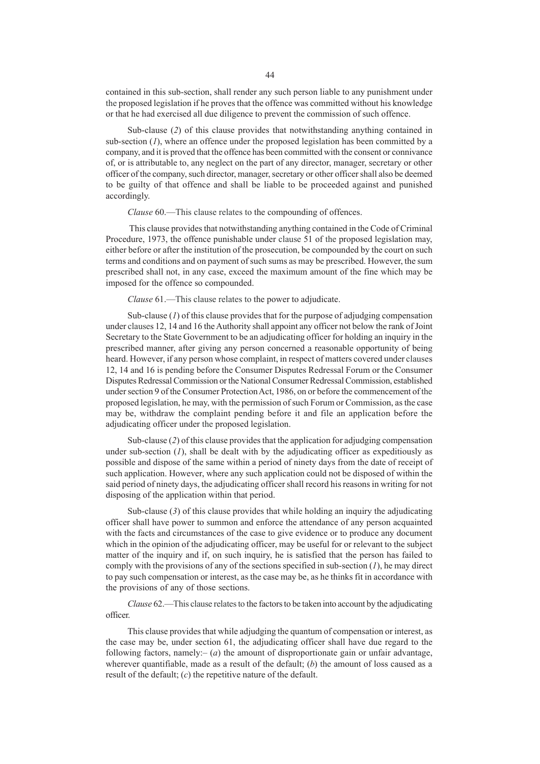contained in this sub-section, shall render any such person liable to any punishment under the proposed legislation if he proves that the offence was committed without his knowledge or that he had exercised all due diligence to prevent the commission of such offence.

Sub-clause (*2*) of this clause provides that notwithstanding anything contained in sub-section  $(1)$ , where an offence under the proposed legislation has been committed by a company, and it is proved that the offence has been committed with the consent or connivance of, or is attributable to, any neglect on the part of any director, manager, secretary or other officer of the company, such director, manager, secretary or other officer shall also be deemed to be guilty of that offence and shall be liable to be proceeded against and punished accordingly.

*Clause* 60.—This clause relates to the compounding of offences.

 This clause provides that notwithstanding anything contained in the Code of Criminal Procedure, 1973, the offence punishable under clause 51 of the proposed legislation may, either before or after the institution of the prosecution, be compounded by the court on such terms and conditions and on payment of such sums as may be prescribed. However, the sum prescribed shall not, in any case, exceed the maximum amount of the fine which may be imposed for the offence so compounded.

*Clause* 61.—This clause relates to the power to adjudicate.

Sub-clause (*1*) of this clause provides that for the purpose of adjudging compensation under clauses 12, 14 and 16 the Authority shall appoint any officer not below the rank of Joint Secretary to the State Government to be an adjudicating officer for holding an inquiry in the prescribed manner, after giving any person concerned a reasonable opportunity of being heard. However, if any person whose complaint, in respect of matters covered under clauses 12, 14 and 16 is pending before the Consumer Disputes Redressal Forum or the Consumer Disputes Redressal Commission or the National Consumer Redressal Commission, established under section 9 of the Consumer Protection Act, 1986, on or before the commencement of the proposed legislation, he may, with the permission of such Forum or Commission, as the case may be, withdraw the complaint pending before it and file an application before the adjudicating officer under the proposed legislation.

Sub-clause (*2*) of this clause provides that the application for adjudging compensation under sub-section  $(I)$ , shall be dealt with by the adjudicating officer as expeditiously as possible and dispose of the same within a period of ninety days from the date of receipt of such application. However, where any such application could not be disposed of within the said period of ninety days, the adjudicating officer shall record his reasons in writing for not disposing of the application within that period.

Sub-clause (*3*) of this clause provides that while holding an inquiry the adjudicating officer shall have power to summon and enforce the attendance of any person acquainted with the facts and circumstances of the case to give evidence or to produce any document which in the opinion of the adjudicating officer, may be useful for or relevant to the subject matter of the inquiry and if, on such inquiry, he is satisfied that the person has failed to comply with the provisions of any of the sections specified in sub-section (*1*), he may direct to pay such compensation or interest, as the case may be, as he thinks fit in accordance with the provisions of any of those sections.

*Clause* 62.—This clause relates to the factors to be taken into account by the adjudicating officer.

This clause provides that while adjudging the quantum of compensation or interest, as the case may be, under section 61, the adjudicating officer shall have due regard to the following factors, namely: $-(a)$  the amount of disproportionate gain or unfair advantage, wherever quantifiable, made as a result of the default; (*b*) the amount of loss caused as a result of the default; (*c*) the repetitive nature of the default.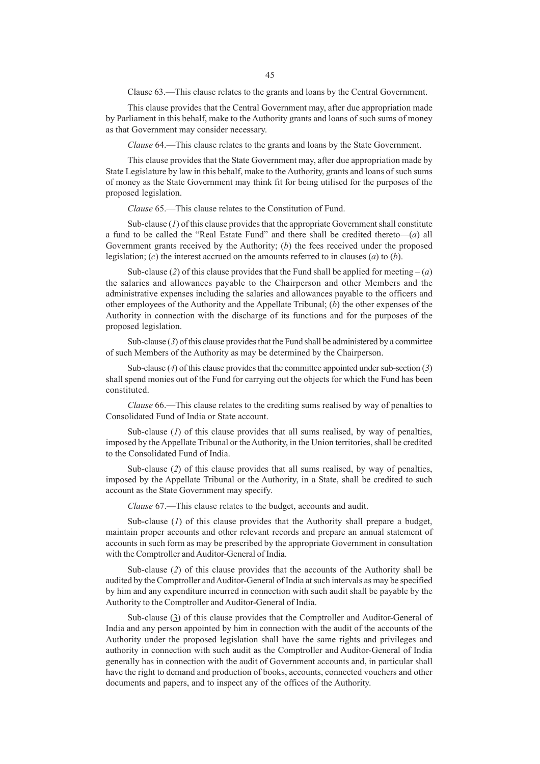Clause 63.—This clause relates to the grants and loans by the Central Government.

This clause provides that the Central Government may, after due appropriation made by Parliament in this behalf, make to the Authority grants and loans of such sums of money as that Government may consider necessary.

*Clause* 64.—This clause relates to the grants and loans by the State Government.

This clause provides that the State Government may, after due appropriation made by State Legislature by law in this behalf, make to the Authority, grants and loans of such sums of money as the State Government may think fit for being utilised for the purposes of the proposed legislation.

*Clause* 65.—This clause relates to the Constitution of Fund.

Sub-clause (*1*) of this clause provides that the appropriate Government shall constitute a fund to be called the "Real Estate Fund" and there shall be credited thereto—(*a*) all Government grants received by the Authority; (*b*) the fees received under the proposed legislation; (*c*) the interest accrued on the amounts referred to in clauses (*a*) to (*b*).

Sub-clause (2) of this clause provides that the Fund shall be applied for meeting  $-(a)$ the salaries and allowances payable to the Chairperson and other Members and the administrative expenses including the salaries and allowances payable to the officers and other employees of the Authority and the Appellate Tribunal; (*b*) the other expenses of the Authority in connection with the discharge of its functions and for the purposes of the proposed legislation.

Sub-clause (3) of this clause provides that the Fund shall be administered by a committee of such Members of the Authority as may be determined by the Chairperson.

Sub-clause (*4*) of this clause provides that the committee appointed under sub-section (*3*) shall spend monies out of the Fund for carrying out the objects for which the Fund has been constituted.

*Clause* 66.––This clause relates to the crediting sums realised by way of penalties to Consolidated Fund of India or State account.

Sub-clause (*1*) of this clause provides that all sums realised, by way of penalties, imposed by the Appellate Tribunal or the Authority, in the Union territories, shall be credited to the Consolidated Fund of India.

Sub-clause (*2*) of this clause provides that all sums realised, by way of penalties, imposed by the Appellate Tribunal or the Authority, in a State, shall be credited to such account as the State Government may specify.

*Clause* 67.—This clause relates to the budget, accounts and audit.

Sub-clause (*1*) of this clause provides that the Authority shall prepare a budget, maintain proper accounts and other relevant records and prepare an annual statement of accounts in such form as may be prescribed by the appropriate Government in consultation with the Comptroller and Auditor-General of India.

Sub-clause (*2*) of this clause provides that the accounts of the Authority shall be audited by the Comptroller and Auditor-General of India at such intervals as may be specified by him and any expenditure incurred in connection with such audit shall be payable by the Authority to the Comptroller and Auditor-General of India.

Sub-clause (3) of this clause provides that the Comptroller and Auditor-General of India and any person appointed by him in connection with the audit of the accounts of the Authority under the proposed legislation shall have the same rights and privileges and authority in connection with such audit as the Comptroller and Auditor-General of India generally has in connection with the audit of Government accounts and, in particular shall have the right to demand and production of books, accounts, connected vouchers and other documents and papers, and to inspect any of the offices of the Authority.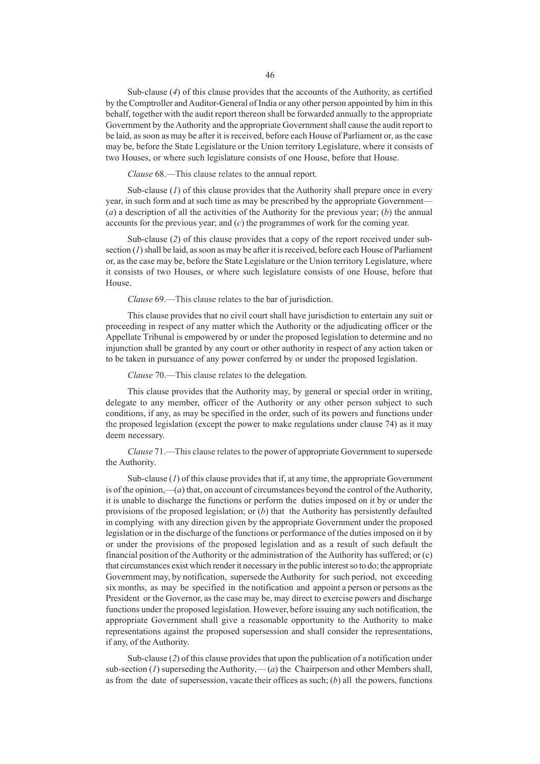Sub-clause (*4*) of this clause provides that the accounts of the Authority, as certified by the Comptroller and Auditor-General of India or any other person appointed by him in this behalf, together with the audit report thereon shall be forwarded annually to the appropriate Government by the Authority and the appropriate Government shall cause the audit report to be laid, as soon as may be after it is received, before each House of Parliament or, as the case may be, before the State Legislature or the Union territory Legislature, where it consists of two Houses, or where such legislature consists of one House, before that House.

*Clause* 68.—This clause relates to the annual report.

Sub-clause (*1*) of this clause provides that the Authority shall prepare once in every year, in such form and at such time as may be prescribed by the appropriate Government— (*a*) a description of all the activities of the Authority for the previous year; (*b*) the annual accounts for the previous year; and (*c*) the programmes of work for the coming year.

Sub-clause (*2*) of this clause provides that a copy of the report received under subsection (*1*) shall be laid, as soon as may be after it is received, before each House of Parliament or, as the case may be, before the State Legislature or the Union territory Legislature, where it consists of two Houses, or where such legislature consists of one House, before that House.

#### *Clause* 69.—This clause relates to the bar of jurisdiction.

This clause provides that no civil court shall have jurisdiction to entertain any suit or proceeding in respect of any matter which the Authority or the adjudicating officer or the Appellate Tribunal is empowered by or under the proposed legislation to determine and no injunction shall be granted by any court or other authority in respect of any action taken or to be taken in pursuance of any power conferred by or under the proposed legislation.

## *Clause* 70.—This clause relates to the delegation.

This clause provides that the Authority may, by general or special order in writing, delegate to any member, officer of the Authority or any other person subject to such conditions, if any, as may be specified in the order, such of its powers and functions under the proposed legislation (except the power to make regulations under clause 74) as it may deem necessary.

*Clause* 71.—This clause relates to the power of appropriate Government to supersede the Authority.

Sub-clause (*1*) of this clause provides that if, at any time, the appropriate Government is of the opinion,—(*a*) that, on account of circumstances beyond the control of the Authority, it is unable to discharge the functions or perform the duties imposed on it by or under the provisions of the proposed legislation; or (*b*) that the Authority has persistently defaulted in complying with any direction given by the appropriate Government under the proposed legislation or in the discharge of the functions or performance of the duties imposed on it by or under the provisions of the proposed legislation and as a result of such default the financial position of the Authority or the administration of the Authority has suffered; or (c) that circumstances exist which render it necessary in the public interest so to do; the appropriate Government may, by notification, supersede the Authority for such period, not exceeding six months, as may be specified in the notification and appoint a person or persons as the President or the Governor, as the case may be, may direct to exercise powers and discharge functions under the proposed legislation. However, before issuing any such notification, the appropriate Government shall give a reasonable opportunity to the Authority to make representations against the proposed supersession and shall consider the representations, if any, of the Authority.

Sub-clause (*2*) of this clause provides that upon the publication of a notification under sub-section ( $I$ ) superseding the Authority,—( $a$ ) the Chairperson and other Members shall, as from the date of supersession, vacate their offices as such; (*b*) all the powers, functions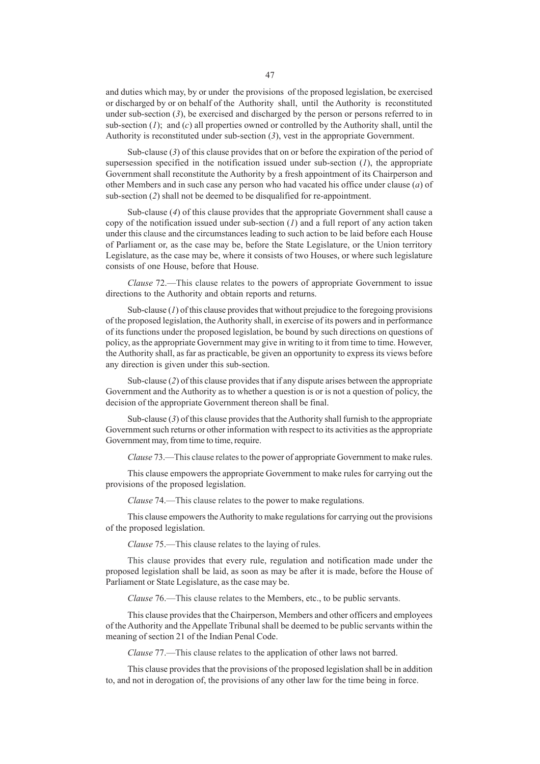and duties which may, by or under the provisions of the proposed legislation, be exercised or discharged by or on behalf of the Authority shall, until the Authority is reconstituted under sub-section (*3*), be exercised and discharged by the person or persons referred to in sub-section  $(I)$ ; and  $(c)$  all properties owned or controlled by the Authority shall, until the Authority is reconstituted under sub-section (*3*), vest in the appropriate Government.

Sub-clause (*3*) of this clause provides that on or before the expiration of the period of supersession specified in the notification issued under sub-section  $(I)$ , the appropriate Government shall reconstitute the Authority by a fresh appointment of its Chairperson and other Members and in such case any person who had vacated his office under clause (*a*) of sub-section (*2*) shall not be deemed to be disqualified for re-appointment.

Sub-clause (*4*) of this clause provides that the appropriate Government shall cause a copy of the notification issued under sub-section (*1*) and a full report of any action taken under this clause and the circumstances leading to such action to be laid before each House of Parliament or, as the case may be, before the State Legislature, or the Union territory Legislature, as the case may be, where it consists of two Houses, or where such legislature consists of one House, before that House.

*Clause* 72.—This clause relates to the powers of appropriate Government to issue directions to the Authority and obtain reports and returns.

Sub-clause (*1*) of this clause provides that without prejudice to the foregoing provisions of the proposed legislation, the Authority shall, in exercise of its powers and in performance of its functions under the proposed legislation, be bound by such directions on questions of policy, as the appropriate Government may give in writing to it from time to time. However, the Authority shall, as far as practicable, be given an opportunity to express its views before any direction is given under this sub-section.

Sub-clause (*2*) of this clause provides that if any dispute arises between the appropriate Government and the Authority as to whether a question is or is not a question of policy, the decision of the appropriate Government thereon shall be final.

Sub-clause (3) of this clause provides that the Authority shall furnish to the appropriate Government such returns or other information with respect to its activities as the appropriate Government may, from time to time, require.

*Clause* 73.—This clause relates to the power of appropriate Government to make rules.

This clause empowers the appropriate Government to make rules for carrying out the provisions of the proposed legislation.

*Clause* 74.—This clause relates to the power to make regulations.

This clause empowers the Authority to make regulations for carrying out the provisions of the proposed legislation.

*Clause* 75.—This clause relates to the laying of rules.

This clause provides that every rule, regulation and notification made under the proposed legislation shall be laid, as soon as may be after it is made, before the House of Parliament or State Legislature, as the case may be.

*Clause* 76.—This clause relates to the Members, etc., to be public servants.

This clause provides that the Chairperson, Members and other officers and employees of the Authority and the Appellate Tribunal shall be deemed to be public servants within the meaning of section 21 of the Indian Penal Code.

*Clause* 77.—This clause relates to the application of other laws not barred.

This clause provides that the provisions of the proposed legislation shall be in addition to, and not in derogation of, the provisions of any other law for the time being in force.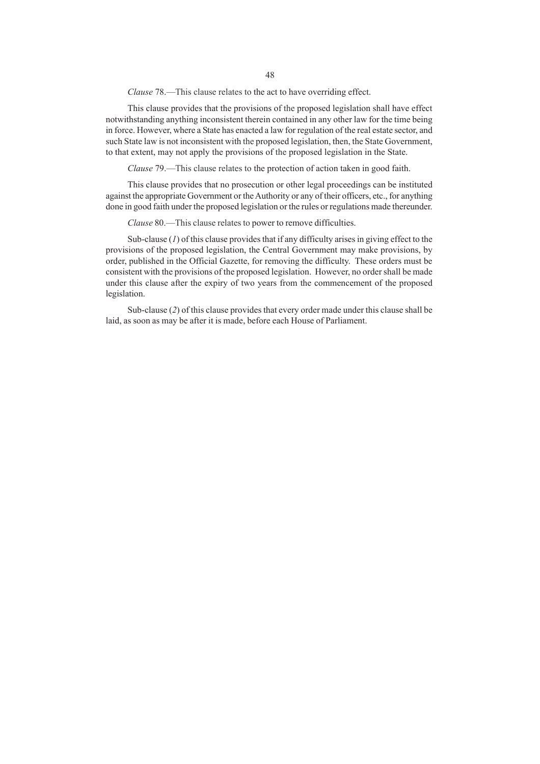*Clause* 78.—This clause relates to the act to have overriding effect.

This clause provides that the provisions of the proposed legislation shall have effect notwithstanding anything inconsistent therein contained in any other law for the time being in force. However, where a State has enacted a law for regulation of the real estate sector, and such State law is not inconsistent with the proposed legislation, then, the State Government, to that extent, may not apply the provisions of the proposed legislation in the State.

*Clause* 79.—This clause relates to the protection of action taken in good faith.

This clause provides that no prosecution or other legal proceedings can be instituted against the appropriate Government or the Authority or any of their officers, etc., for anything done in good faith under the proposed legislation or the rules or regulations made thereunder.

*Clause* 80.—This clause relates to power to remove difficulties.

Sub-clause (*1*) of this clause provides that if any difficulty arises in giving effect to the provisions of the proposed legislation, the Central Government may make provisions, by order, published in the Official Gazette, for removing the difficulty. These orders must be consistent with the provisions of the proposed legislation. However, no order shall be made under this clause after the expiry of two years from the commencement of the proposed legislation.

Sub-clause (*2*) of this clause provides that every order made under this clause shall be laid, as soon as may be after it is made, before each House of Parliament.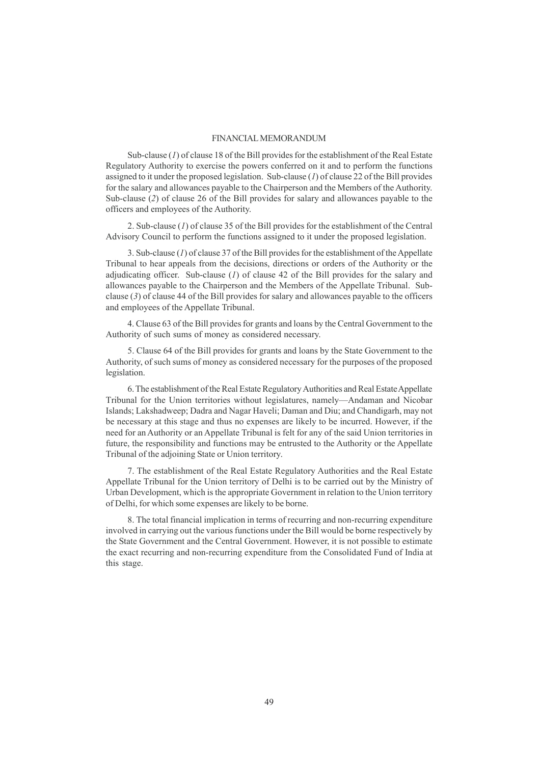## FINANCIAL MEMORANDUM

Sub-clause (*1*) of clause 18 of the Bill provides for the establishment of the Real Estate Regulatory Authority to exercise the powers conferred on it and to perform the functions assigned to it under the proposed legislation. Sub-clause (*1*) of clause 22 of the Bill provides for the salary and allowances payable to the Chairperson and the Members of the Authority. Sub-clause (*2*) of clause 26 of the Bill provides for salary and allowances payable to the officers and employees of the Authority.

2. Sub-clause (*1*) of clause 35 of the Bill provides for the establishment of the Central Advisory Council to perform the functions assigned to it under the proposed legislation.

3. Sub-clause (*1*) of clause 37 of the Bill provides for the establishment of the Appellate Tribunal to hear appeals from the decisions, directions or orders of the Authority or the adjudicating officer. Sub-clause (*1*) of clause 42 of the Bill provides for the salary and allowances payable to the Chairperson and the Members of the Appellate Tribunal. Subclause (*3*) of clause 44 of the Bill provides for salary and allowances payable to the officers and employees of the Appellate Tribunal.

4. Clause 63 of the Bill provides for grants and loans by the Central Government to the Authority of such sums of money as considered necessary.

5. Clause 64 of the Bill provides for grants and loans by the State Government to the Authority, of such sums of money as considered necessary for the purposes of the proposed legislation.

6. The establishment of the Real Estate Regulatory Authorities and Real Estate Appellate Tribunal for the Union territories without legislatures, namely—Andaman and Nicobar Islands; Lakshadweep; Dadra and Nagar Haveli; Daman and Diu; and Chandigarh, may not be necessary at this stage and thus no expenses are likely to be incurred. However, if the need for an Authority or an Appellate Tribunal is felt for any of the said Union territories in future, the responsibility and functions may be entrusted to the Authority or the Appellate Tribunal of the adjoining State or Union territory.

7. The establishment of the Real Estate Regulatory Authorities and the Real Estate Appellate Tribunal for the Union territory of Delhi is to be carried out by the Ministry of Urban Development, which is the appropriate Government in relation to the Union territory of Delhi, for which some expenses are likely to be borne.

8. The total financial implication in terms of recurring and non-recurring expenditure involved in carrying out the various functions under the Bill would be borne respectively by the State Government and the Central Government. However, it is not possible to estimate the exact recurring and non-recurring expenditure from the Consolidated Fund of India at this stage.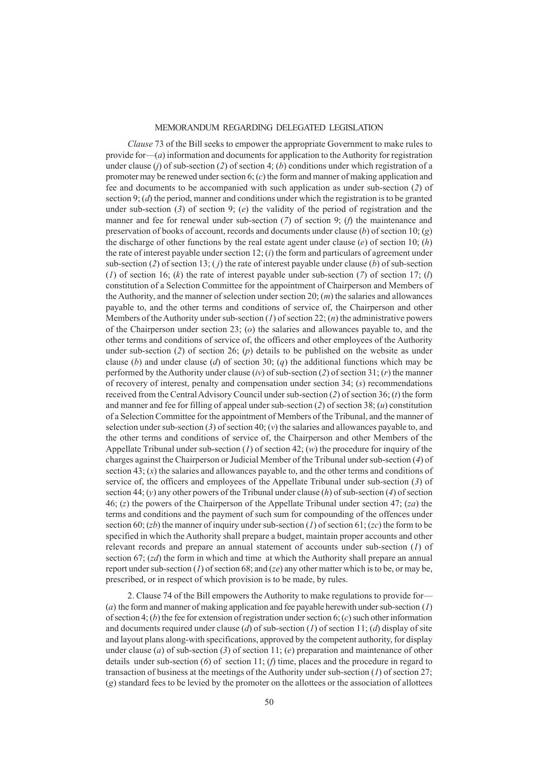#### MEMORANDUM REGARDING DELEGATED LEGISLATION

*Clause* 73 of the Bill seeks to empower the appropriate Government to make rules to provide for— $(a)$  information and documents for application to the Authority for registration under clause (*j*) of sub-section (*2*) of section 4; (*b*) conditions under which registration of a promoter may be renewed under section 6; (*c*) the form and manner of making application and fee and documents to be accompanied with such application as under sub-section (*2*) of section 9; (*d*) the period, manner and conditions under which the registration is to be granted under sub-section (*3*) of section 9; (*e*) the validity of the period of registration and the manner and fee for renewal under sub-section (*7*) of section 9; (*f*) the maintenance and preservation of books of account, records and documents under clause (*b*) of section 10; (*g*) the discharge of other functions by the real estate agent under clause (*e*) of section 10; (*h*) the rate of interest payable under section 12; (*i*) the form and particulars of agreement under sub-section (*2*) of section 13; ( *j*) the rate of interest payable under clause (*b*) of sub-section (*I*) of section 16; (*k*) the rate of interest payable under sub-section (*7*) of section 17; (*l*) constitution of a Selection Committee for the appointment of Chairperson and Members of the Authority, and the manner of selection under section 20; (*m*) the salaries and allowances payable to, and the other terms and conditions of service of, the Chairperson and other Members of the Authority under sub-section (*1*) of section 22; (*n*) the administrative powers of the Chairperson under section 23; (*o*) the salaries and allowances payable to, and the other terms and conditions of service of, the officers and other employees of the Authority under sub-section (*2*) of section 26; (*p*) details to be published on the website as under clause (*b*) and under clause (*d*) of section 30; (*q*) the additional functions which may be performed by the Authority under clause (*iv*) of sub-section (*2*) of section 31; (*r*) the manner of recovery of interest, penalty and compensation under section 34; (*s*) recommendations received from the Central Advisory Council under sub-section (*2*) of section 36; (*t*) the form and manner and fee for filling of appeal under sub-section (*2*) of section 38; (*u*) constitution of a Selection Committee for the appointment of Members of the Tribunal, and the manner of selection under sub-section (*3*) of section 40; (*v*) the salaries and allowances payable to, and the other terms and conditions of service of, the Chairperson and other Members of the Appellate Tribunal under sub-section (*1*) of section 42; (*w*) the procedure for inquiry of the charges against the Chairperson or Judicial Member of the Tribunal under sub-section (*4*) of section 43; (*x*) the salaries and allowances payable to, and the other terms and conditions of service of, the officers and employees of the Appellate Tribunal under sub-section (*3*) of section 44; (*y*) any other powers of the Tribunal under clause (*h*) of sub-section (*4*) of section 46; (*z*) the powers of the Chairperson of the Appellate Tribunal under section 47; (*za*) the terms and conditions and the payment of such sum for compounding of the offences under section 60; (*zb*) the manner of inquiry under sub-section (*1*) of section 61; (*zc*) the form to be specified in which the Authority shall prepare a budget, maintain proper accounts and other relevant records and prepare an annual statement of accounts under sub-section (*1*) of section 67; (*zd*) the form in which and time at which the Authority shall prepare an annual report under sub-section (*1*) of section 68; and (*ze*) any other matter which is to be, or may be, prescribed, or in respect of which provision is to be made, by rules.

2. Clause 74 of the Bill empowers the Authority to make regulations to provide for— (*a*) the form and manner of making application and fee payable herewith under sub-section (*1*) of section 4; (b) the fee for extension of registration under section 6; (c) such other information and documents required under clause (*d*) of sub-section (*1*) of section 11; (*d*) display of site and layout plans along-with specifications, approved by the competent authority, for display under clause (*a*) of sub-section (*3*) of section 11; (*e*) preparation and maintenance of other details under sub-section (*6*) of section 11; (*f*) time, places and the procedure in regard to transaction of business at the meetings of the Authority under sub-section (*1*) of section 27; (*g*) standard fees to be levied by the promoter on the allottees or the association of allottees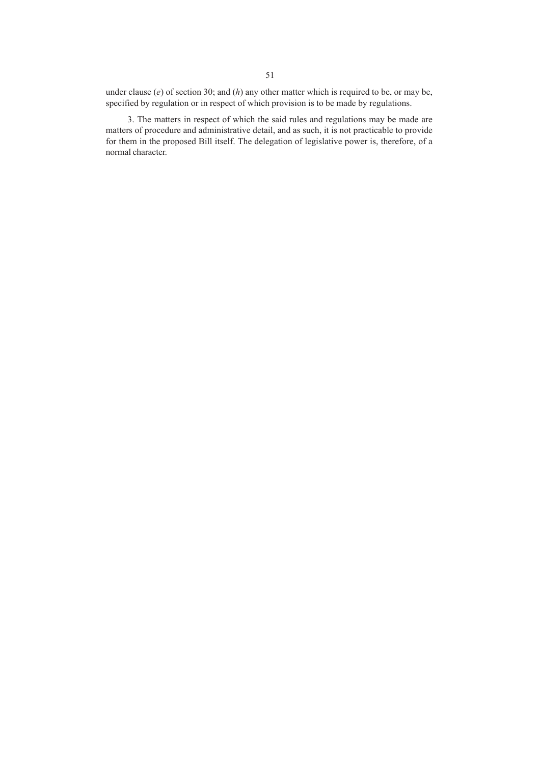under clause (*e*) of section 30; and (*h*) any other matter which is required to be, or may be, specified by regulation or in respect of which provision is to be made by regulations.

3. The matters in respect of which the said rules and regulations may be made are matters of procedure and administrative detail, and as such, it is not practicable to provide for them in the proposed Bill itself. The delegation of legislative power is, therefore, of a normal character.